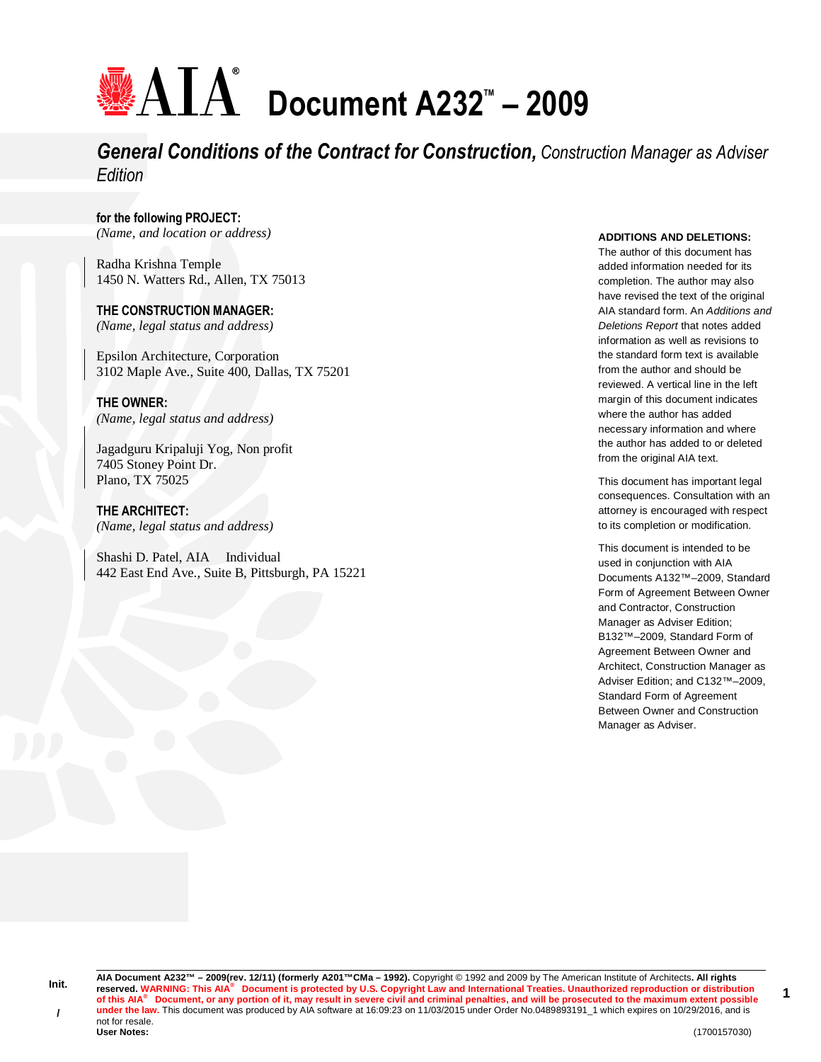# **1** Document A232™ – 2009

*General Conditions of the Contract for Construction, Construction Manager as Adviser Edition*

#### **for the following PROJECT:**

*(Name, and location or address)*

Radha Krishna Temple 1450 N. Watters Rd., Allen, TX 75013

# **THE CONSTRUCTION MANAGER:**

*(Name, legal status and address)*

Epsilon Architecture, Corporation 3102 Maple Ave., Suite 400, Dallas, TX 75201

# **THE OWNER:**

*(Name, legal status and address)*

Jagadguru Kripaluji Yog, Non profit 7405 Stoney Point Dr. Plano, TX 75025

**THE ARCHITECT:** *(Name, legal status and address)*

Shashi D. Patel, AIA Individual 442 East End Ave., Suite B, Pittsburgh, PA 15221

#### **ADDITIONS AND DELETIONS:**

The author of this document has added information needed for its completion. The author may also have revised the text of the original AIA standard form. An *Additions and Deletions Report* that notes added information as well as revisions to the standard form text is available from the author and should be reviewed. A vertical line in the left margin of this document indicates where the author has added necessary information and where the author has added to or deleted from the original AIA text.

This document has important legal consequences. Consultation with an attorney is encouraged with respect to its completion or modification.

This document is intended to be used in conjunction with AIA Documents A132™–2009, Standard Form of Agreement Between Owner and Contractor, Construction Manager as Adviser Edition; B132™–2009, Standard Form of Agreement Between Owner and Architect, Construction Manager as Adviser Edition; and C132™–2009, Standard Form of Agreement Between Owner and Construction Manager as Adviser.

**AIA Document A232™ – 2009(rev. 12/11) (formerly A201™CMa – 1992).** Copyright © 1992 and 2009 by The American Institute of Architects**. All rights reserved. WARNING: This AIA® Document is protected by U.S. Copyright Law and International Treaties. Unauthorized reproduction or distribution of this AIA® Document, or any portion of it, may result in severe civil and criminal penalties, and will be prosecuted to the maximum extent possible under the law.** This document was produced by AIA software at 16:09:23 on 11/03/2015 under Order No.0489893191\_1 which expires on 10/29/2016, and is not for resale.<br>User Notes: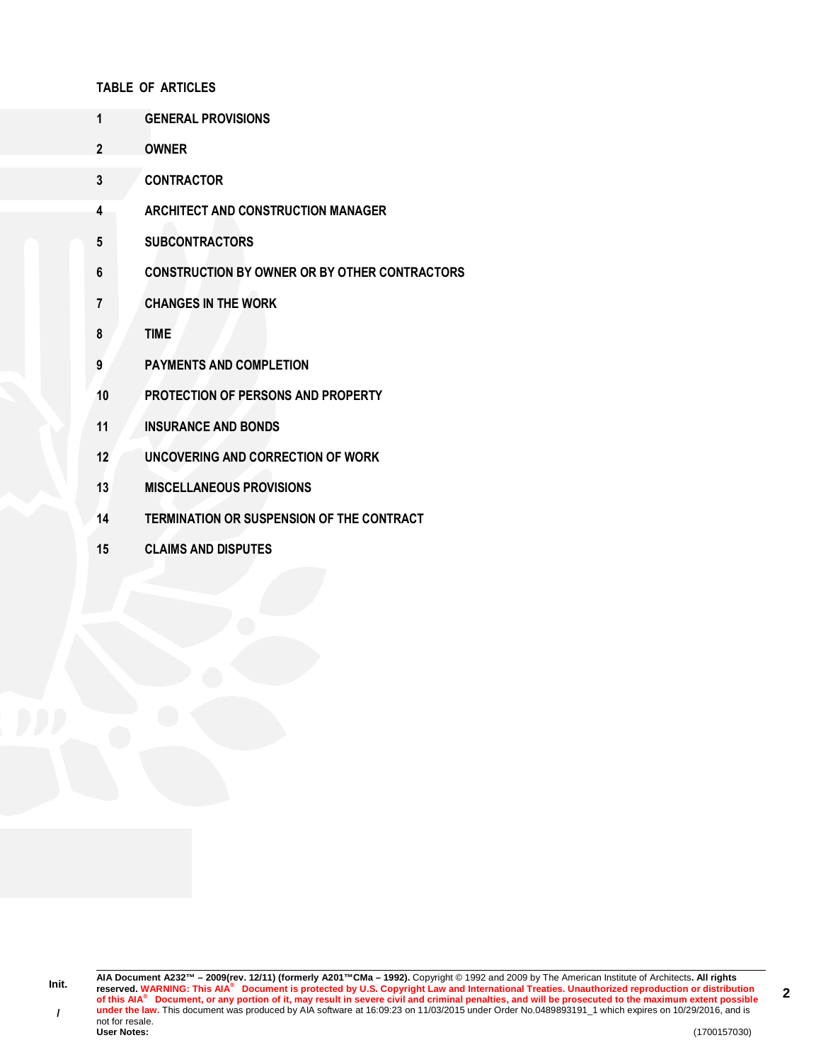# **TABLE OF ARTICLES**

- **GENERAL PROVISIONS**
- **OWNER**
- **CONTRACTOR**
- **ARCHITECT AND CONSTRUCTION MANAGER**
- **SUBCONTRACTORS**
- **CONSTRUCTION BY OWNER OR BY OTHER CONTRACTORS**
- **CHANGES IN THE WORK**
- **TIME**
- **PAYMENTS AND COMPLETION**
- **PROTECTION OF PERSONS AND PROPERTY**
- **INSURANCE AND BONDS**
- **UNCOVERING AND CORRECTION OF WORK**
- **MISCELLANEOUS PROVISIONS**
- **TERMINATION OR SUSPENSION OF THE CONTRACT**
- **CLAIMS AND DISPUTES**

**/**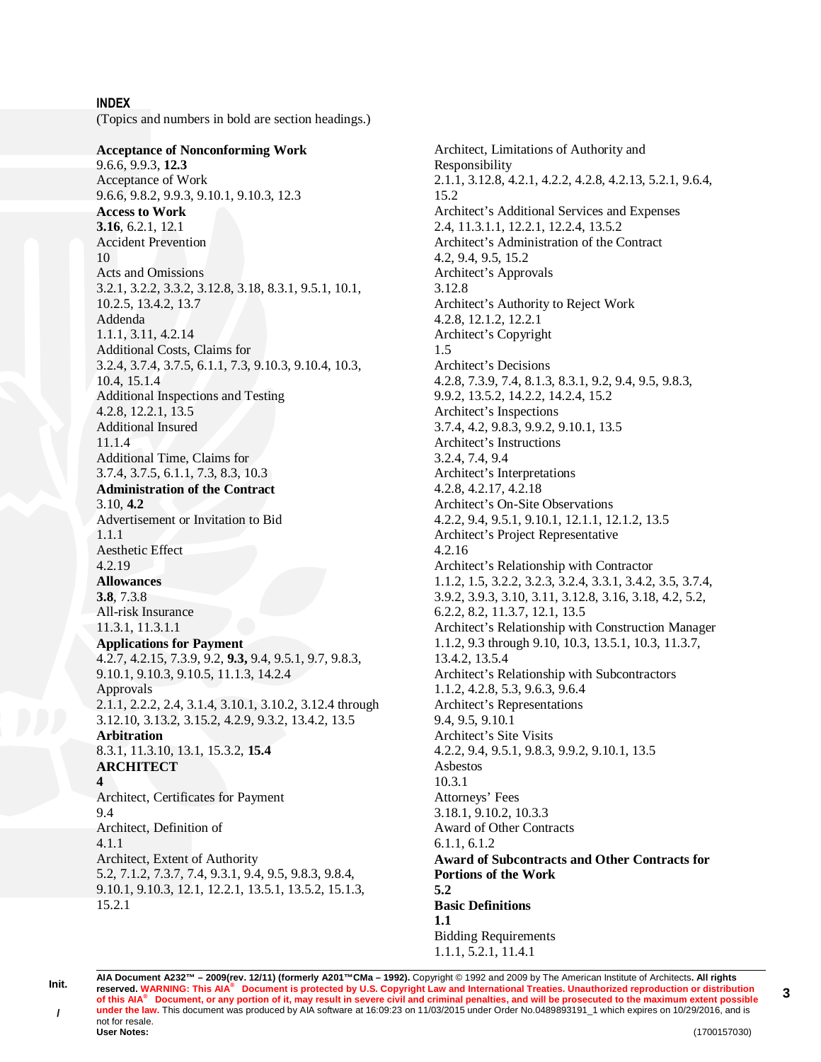#### **INDEX**

(Topics and numbers in bold are section headings.)

**Acceptance of Nonconforming Work** 9.6.6, 9.9.3, **12.3** Acceptance of Work 9.6.6, 9.8.2, 9.9.3, 9.10.1, 9.10.3, 12.3 **Access to Work 3.16**, 6.2.1, 12.1 Accident Prevention 10 Acts and Omissions 3.2.1, 3.2.2, 3.3.2, 3.12.8, 3.18, 8.3.1, 9.5.1, 10.1, 10.2.5, 13.4.2, 13.7 Addenda 1.1.1, 3.11, 4.2.14 Additional Costs, Claims for 3.2.4, 3.7.4, 3.7.5, 6.1.1, 7.3, 9.10.3, 9.10.4, 10.3, 10.4, 15.1.4 Additional Inspections and Testing 4.2.8, 12.2.1, 13.5 Additional Insured 11.1.4 Additional Time, Claims for 3.7.4, 3.7.5, 6.1.1, 7.3, 8.3, 10.3 **Administration of the Contract** 3.10, **4.2** Advertisement or Invitation to Bid 1.1.1 Aesthetic Effect 4.2.19 **Allowances 3.8**, 7.3.8 All-risk Insurance 11.3.1, 11.3.1.1 **Applications for Payment** 4.2.7, 4.2.15, 7.3.9, 9.2, **9.3,** 9.4, 9.5.1, 9.7, 9.8.3, 9.10.1, 9.10.3, 9.10.5, 11.1.3, 14.2.4 Approvals 2.1.1, 2.2.2, 2.4, 3.1.4, 3.10.1, 3.10.2, 3.12.4 through 3.12.10, 3.13.2, 3.15.2, 4.2.9, 9.3.2, 13.4.2, 13.5 **Arbitration** 8.3.1, 11.3.10, 13.1, 15.3.2, **15.4 ARCHITECT 4** Architect, Certificates for Payment 9.4 Architect, Definition of 4.1.1 Architect, Extent of Authority 5.2, 7.1.2, 7.3.7, 7.4, 9.3.1, 9.4, 9.5, 9.8.3, 9.8.4, 9.10.1, 9.10.3, 12.1, 12.2.1, 13.5.1, 13.5.2, 15.1.3, 15.2.1

Architect, Limitations of Authority and Responsibility 2.1.1, 3.12.8, 4.2.1, 4.2.2, 4.2.8, 4.2.13, 5.2.1, 9.6.4, 15.2 Architect's Additional Services and Expenses 2.4, 11.3.1.1, 12.2.1, 12.2.4, 13.5.2 Architect's Administration of the Contract 4.2, 9.4, 9.5, 15.2 Architect's Approvals 3.12.8 Architect's Authority to Reject Work 4.2.8, 12.1.2, 12.2.1 Architect's Copyright 1.5 Architect's Decisions 4.2.8, 7.3.9, 7.4, 8.1.3, 8.3.1, 9.2, 9.4, 9.5, 9.8.3, 9.9.2, 13.5.2, 14.2.2, 14.2.4, 15.2 Architect's Inspections 3.7.4, 4.2, 9.8.3, 9.9.2, 9.10.1, 13.5 Architect's Instructions 3.2.4, 7.4, 9.4 Architect's Interpretations 4.2.8, 4.2.17, 4.2.18 Architect's On-Site Observations 4.2.2, 9.4, 9.5.1, 9.10.1, 12.1.1, 12.1.2, 13.5 Architect's Project Representative 4.2.16 Architect's Relationship with Contractor 1.1.2, 1.5, 3.2.2, 3.2.3, 3.2.4, 3.3.1, 3.4.2, 3.5, 3.7.4, 3.9.2, 3.9.3, 3.10, 3.11, 3.12.8, 3.16, 3.18, 4.2, 5.2, 6.2.2, 8.2, 11.3.7, 12.1, 13.5 Architect's Relationship with Construction Manager 1.1.2, 9.3 through 9.10, 10.3, 13.5.1, 10.3, 11.3.7, 13.4.2, 13.5.4 Architect's Relationship with Subcontractors 1.1.2, 4.2.8, 5.3, 9.6.3, 9.6.4 Architect's Representations 9.4, 9.5, 9.10.1 Architect's Site Visits 4.2.2, 9.4, 9.5.1, 9.8.3, 9.9.2, 9.10.1, 13.5 Asbestos 10.3.1 Attorneys' Fees 3.18.1, 9.10.2, 10.3.3 Award of Other Contracts 6.1.1, 6.1.2 **Award of Subcontracts and Other Contracts for Portions of the Work 5.2 Basic Definitions 1.1** Bidding Requirements 1.1.1, 5.2.1, 11.4.1

**Init.**

**/**

**AIA Document A232™ – 2009(rev. 12/11) (formerly A201™CMa – 1992).** Copyright © 1992 and 2009 by The American Institute of Architects**. All rights reserved. WARNING: This AIA® Document is protected by U.S. Copyright Law and International Treaties. Unauthorized reproduction or distribution of this AIA® Document, or any portion of it, may result in severe civil and criminal penalties, and will be prosecuted to the maximum extent possible under the law.** This document was produced by AIA software at 16:09:23 on 11/03/2015 under Order No.0489893191\_1 which expires on 10/29/2016, and is not for resale.<br>User Notes: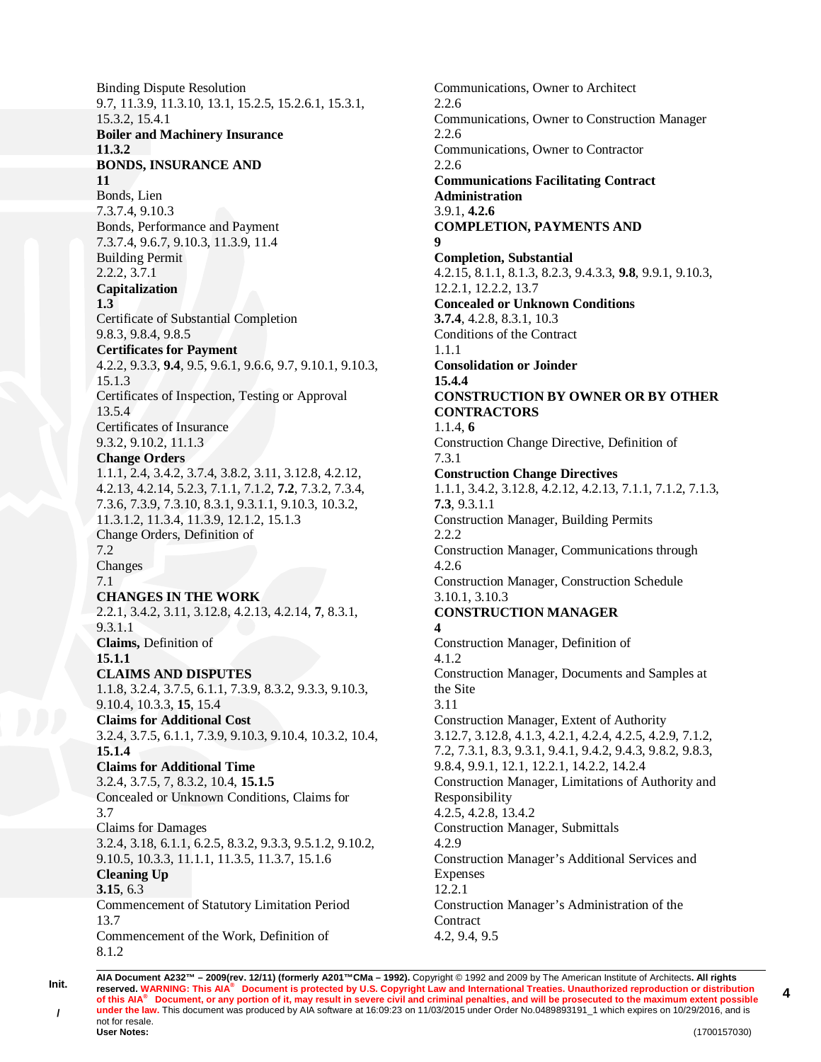Binding Dispute Resolution 9.7, 11.3.9, 11.3.10, 13.1, 15.2.5, 15.2.6.1, 15.3.1, 15.3.2, 15.4.1 **Boiler and Machinery Insurance 11.3.2 BONDS, INSURANCE AND 11**  Bonds, Lien 7.3.7.4, 9.10.3 Bonds, Performance and Payment 7.3.7.4, 9.6.7, 9.10.3, 11.3.9, 11.4 Building Permit 2.2.2, 3.7.1 **Capitalization 1.3** Certificate of Substantial Completion 9.8.3, 9.8.4, 9.8.5 **Certificates for Payment** 4.2.2, 9.3.3, **9.4**, 9.5, 9.6.1, 9.6.6, 9.7, 9.10.1, 9.10.3, 15.1.3 Certificates of Inspection, Testing or Approval 13.5.4 Certificates of Insurance 9.3.2, 9.10.2, 11.1.3 **Change Orders**  1.1.1, 2.4, 3.4.2, 3.7.4, 3.8.2, 3.11, 3.12.8, 4.2.12, 4.2.13, 4.2.14, 5.2.3, 7.1.1, 7.1.2, **7.2**, 7.3.2, 7.3.4, 7.3.6, 7.3.9, 7.3.10, 8.3.1, 9.3.1.1, 9.10.3, 10.3.2, 11.3.1.2, 11.3.4, 11.3.9, 12.1.2, 15.1.3 Change Orders, Definition of 7.2 Changes 7.1 **CHANGES IN THE WORK** 2.2.1, 3.4.2, 3.11, 3.12.8, 4.2.13, 4.2.14, **7**, 8.3.1, 9.3.1.1 **Claims,** Definition of **15.1.1 CLAIMS AND DISPUTES** 1.1.8, 3.2.4, 3.7.5, 6.1.1, 7.3.9, 8.3.2, 9.3.3, 9.10.3, 9.10.4, 10.3.3, **15**, 15.4 **Claims for Additional Cost** 3.2.4, 3.7.5, 6.1.1, 7.3.9, 9.10.3, 9.10.4, 10.3.2, 10.4, **15.1.4 Claims for Additional Time** 3.2.4, 3.7.5, 7, 8.3.2, 10.4, **15.1.5** Concealed or Unknown Conditions, Claims for 3.7 Claims for Damages 3.2.4, 3.18, 6.1.1, 6.2.5, 8.3.2, 9.3.3, 9.5.1.2, 9.10.2, 9.10.5, 10.3.3, 11.1.1, 11.3.5, 11.3.7, 15.1.6 **Cleaning Up 3.15**, 6.3 Commencement of Statutory Limitation Period 13.7 Commencement of the Work, Definition of 8.1.2

2.2.6 Communications, Owner to Construction Manager 2.2.6 Communications, Owner to Contractor 2.2.6 **Communications Facilitating Contract Administration** 3.9.1, **4.2.6 COMPLETION, PAYMENTS AND 9 Completion, Substantial**  4.2.15, 8.1.1, 8.1.3, 8.2.3, 9.4.3.3, **9.8**, 9.9.1, 9.10.3, 12.2.1, 12.2.2, 13.7 **Concealed or Unknown Conditions 3.7.4**, 4.2.8, 8.3.1, 10.3 Conditions of the Contract 1.1.1 **Consolidation or Joinder 15.4.4 CONSTRUCTION BY OWNER OR BY OTHER CONTRACTORS** 1.1.4, **6** Construction Change Directive, Definition of 7.3.1 **Construction Change Directives** 1.1.1, 3.4.2, 3.12.8, 4.2.12, 4.2.13, 7.1.1, 7.1.2, 7.1.3, **7.3**, 9.3.1.1 Construction Manager, Building Permits 2.2.2 Construction Manager, Communications through 4.2.6 Construction Manager, Construction Schedule 3.10.1, 3.10.3 **CONSTRUCTION MANAGER 4** Construction Manager, Definition of 4.1.2 Construction Manager, Documents and Samples at the Site 3.11 Construction Manager, Extent of Authority 3.12.7, 3.12.8, 4.1.3, 4.2.1, 4.2.4, 4.2.5, 4.2.9, 7.1.2, 7.2, 7.3.1, 8.3, 9.3.1, 9.4.1, 9.4.2, 9.4.3, 9.8.2, 9.8.3, 9.8.4, 9.9.1, 12.1, 12.2.1, 14.2.2, 14.2.4 Construction Manager, Limitations of Authority and Responsibility 4.2.5, 4.2.8, 13.4.2 Construction Manager, Submittals 4.2.9 Construction Manager's Additional Services and Expenses 12.2.1 Construction Manager's Administration of the **Contract** 4.2, 9.4, 9.5

Communications, Owner to Architect

**Init. /**

**AIA Document A232™ – 2009(rev. 12/11) (formerly A201™CMa – 1992).** Copyright © 1992 and 2009 by The American Institute of Architects**. All rights reserved. WARNING: This AIA® Document is protected by U.S. Copyright Law and International Treaties. Unauthorized reproduction or distribution of this AIA® Document, or any portion of it, may result in severe civil and criminal penalties, and will be prosecuted to the maximum extent possible under the law.** This document was produced by AIA software at 16:09:23 on 11/03/2015 under Order No.0489893191\_1 which expires on 10/29/2016, and is not for resale.<br>User Notes: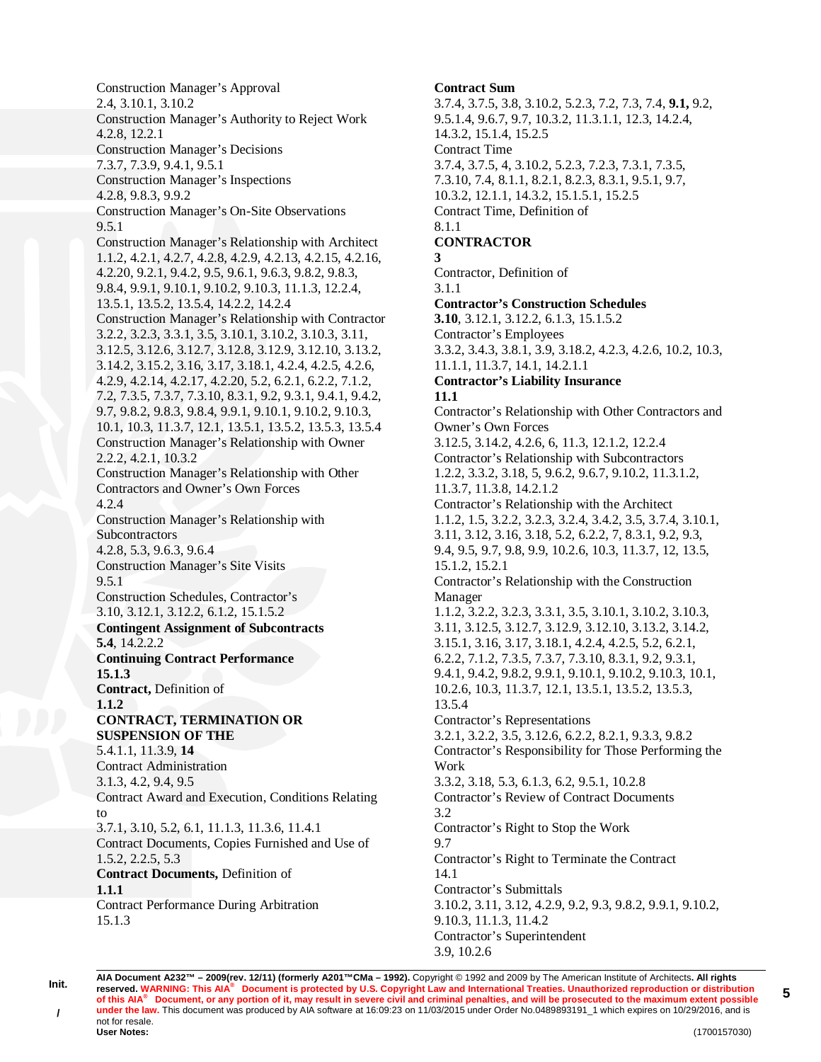Construction Manager's Approval 2.4, 3.10.1, 3.10.2 Construction Manager's Authority to Reject Work 4.2.8, 12.2.1 Construction Manager's Decisions 7.3.7, 7.3.9, 9.4.1, 9.5.1 Construction Manager's Inspections 4.2.8, 9.8.3, 9.9.2 Construction Manager's On-Site Observations 9.5.1 Construction Manager's Relationship with Architect 1.1.2, 4.2.1, 4.2.7, 4.2.8, 4.2.9, 4.2.13, 4.2.15, 4.2.16, 4.2.20, 9.2.1, 9.4.2, 9.5, 9.6.1, 9.6.3, 9.8.2, 9.8.3, 9.8.4, 9.9.1, 9.10.1, 9.10.2, 9.10.3, 11.1.3, 12.2.4, 13.5.1, 13.5.2, 13.5.4, 14.2.2, 14.2.4 Construction Manager's Relationship with Contractor 3.2.2, 3.2.3, 3.3.1, 3.5, 3.10.1, 3.10.2, 3.10.3, 3.11, 3.12.5, 3.12.6, 3.12.7, 3.12.8, 3.12.9, 3.12.10, 3.13.2, 3.14.2, 3.15.2, 3.16, 3.17, 3.18.1, 4.2.4, 4.2.5, 4.2.6, 4.2.9, 4.2.14, 4.2.17, 4.2.20, 5.2, 6.2.1, 6.2.2, 7.1.2, 7.2, 7.3.5, 7.3.7, 7.3.10, 8.3.1, 9.2, 9.3.1, 9.4.1, 9.4.2, 9.7, 9.8.2, 9.8.3, 9.8.4, 9.9.1, 9.10.1, 9.10.2, 9.10.3, 10.1, 10.3, 11.3.7, 12.1, 13.5.1, 13.5.2, 13.5.3, 13.5.4 Construction Manager's Relationship with Owner 2.2.2, 4.2.1, 10.3.2 Construction Manager's Relationship with Other Contractors and Owner's Own Forces 4.2.4 Construction Manager's Relationship with **Subcontractors** 4.2.8, 5.3, 9.6.3, 9.6.4 Construction Manager's Site Visits 9.5.1 Construction Schedules, Contractor's 3.10, 3.12.1, 3.12.2, 6.1.2, 15.1.5.2 **Contingent Assignment of Subcontracts 5.4**, 14.2.2.2 **Continuing Contract Performance 15.1.3 Contract,** Definition of **1.1.2 CONTRACT, TERMINATION OR SUSPENSION OF THE**  5.4.1.1, 11.3.9, **14** Contract Administration 3.1.3, 4.2, 9.4, 9.5 Contract Award and Execution, Conditions Relating to 3.7.1, 3.10, 5.2, 6.1, 11.1.3, 11.3.6, 11.4.1 Contract Documents, Copies Furnished and Use of 1.5.2, 2.2.5, 5.3 **Contract Documents,** Definition of **1.1.1** Contract Performance During Arbitration 15.1.3

#### **Contract Sum**

3.7.4, 3.7.5, 3.8, 3.10.2, 5.2.3, 7.2, 7.3, 7.4, **9.1,** 9.2, 9.5.1.4, 9.6.7, 9.7, 10.3.2, 11.3.1.1, 12.3, 14.2.4, 14.3.2, 15.1.4, 15.2.5 Contract Time 3.7.4, 3.7.5, 4, 3.10.2, 5.2.3, 7.2.3, 7.3.1, 7.3.5, 7.3.10, 7.4, 8.1.1, 8.2.1, 8.2.3, 8.3.1, 9.5.1, 9.7, 10.3.2, 12.1.1, 14.3.2, 15.1.5.1, 15.2.5 Contract Time, Definition of 8.1.1 **CONTRACTOR 3** Contractor, Definition of 3.1.1 **Contractor's Construction Schedules 3.10**, 3.12.1, 3.12.2, 6.1.3, 15.1.5.2 Contractor's Employees 3.3.2, 3.4.3, 3.8.1, 3.9, 3.18.2, 4.2.3, 4.2.6, 10.2, 10.3, 11.1.1, 11.3.7, 14.1, 14.2.1.1 **Contractor's Liability Insurance 11.1** Contractor's Relationship with Other Contractors and Owner's Own Forces 3.12.5, 3.14.2, 4.2.6, 6, 11.3, 12.1.2, 12.2.4 Contractor's Relationship with Subcontractors 1.2.2, 3.3.2, 3.18, 5, 9.6.2, 9.6.7, 9.10.2, 11.3.1.2, 11.3.7, 11.3.8, 14.2.1.2 Contractor's Relationship with the Architect 1.1.2, 1.5, 3.2.2, 3.2.3, 3.2.4, 3.4.2, 3.5, 3.7.4, 3.10.1, 3.11, 3.12, 3.16, 3.18, 5.2, 6.2.2, 7, 8.3.1, 9.2, 9.3, 9.4, 9.5, 9.7, 9.8, 9.9, 10.2.6, 10.3, 11.3.7, 12, 13.5, 15.1.2, 15.2.1 Contractor's Relationship with the Construction Manager 1.1.2, 3.2.2, 3.2.3, 3.3.1, 3.5, 3.10.1, 3.10.2, 3.10.3, 3.11, 3.12.5, 3.12.7, 3.12.9, 3.12.10, 3.13.2, 3.14.2, 3.15.1, 3.16, 3.17, 3.18.1, 4.2.4, 4.2.5, 5.2, 6.2.1, 6.2.2, 7.1.2, 7.3.5, 7.3.7, 7.3.10, 8.3.1, 9.2, 9.3.1, 9.4.1, 9.4.2, 9.8.2, 9.9.1, 9.10.1, 9.10.2, 9.10.3, 10.1, 10.2.6, 10.3, 11.3.7, 12.1, 13.5.1, 13.5.2, 13.5.3, 13.5.4 Contractor's Representations 3.2.1, 3.2.2, 3.5, 3.12.6, 6.2.2, 8.2.1, 9.3.3, 9.8.2 Contractor's Responsibility for Those Performing the Work 3.3.2, 3.18, 5.3, 6.1.3, 6.2, 9.5.1, 10.2.8 Contractor's Review of Contract Documents 3.2 Contractor's Right to Stop the Work 9.7 Contractor's Right to Terminate the Contract 14.1 Contractor's Submittals 3.10.2, 3.11, 3.12, 4.2.9, 9.2, 9.3, 9.8.2, 9.9.1, 9.10.2, 9.10.3, 11.1.3, 11.4.2 Contractor's Superintendent 3.9, 10.2.6

**Init. /**

**AIA Document A232™ – 2009(rev. 12/11) (formerly A201™CMa – 1992).** Copyright © 1992 and 2009 by The American Institute of Architects**. All rights reserved. WARNING: This AIA® Document is protected by U.S. Copyright Law and International Treaties. Unauthorized reproduction or distribution of this AIA® Document, or any portion of it, may result in severe civil and criminal penalties, and will be prosecuted to the maximum extent possible under the law.** This document was produced by AIA software at 16:09:23 on 11/03/2015 under Order No.0489893191\_1 which expires on 10/29/2016, and is not for resale.<br>User Notes: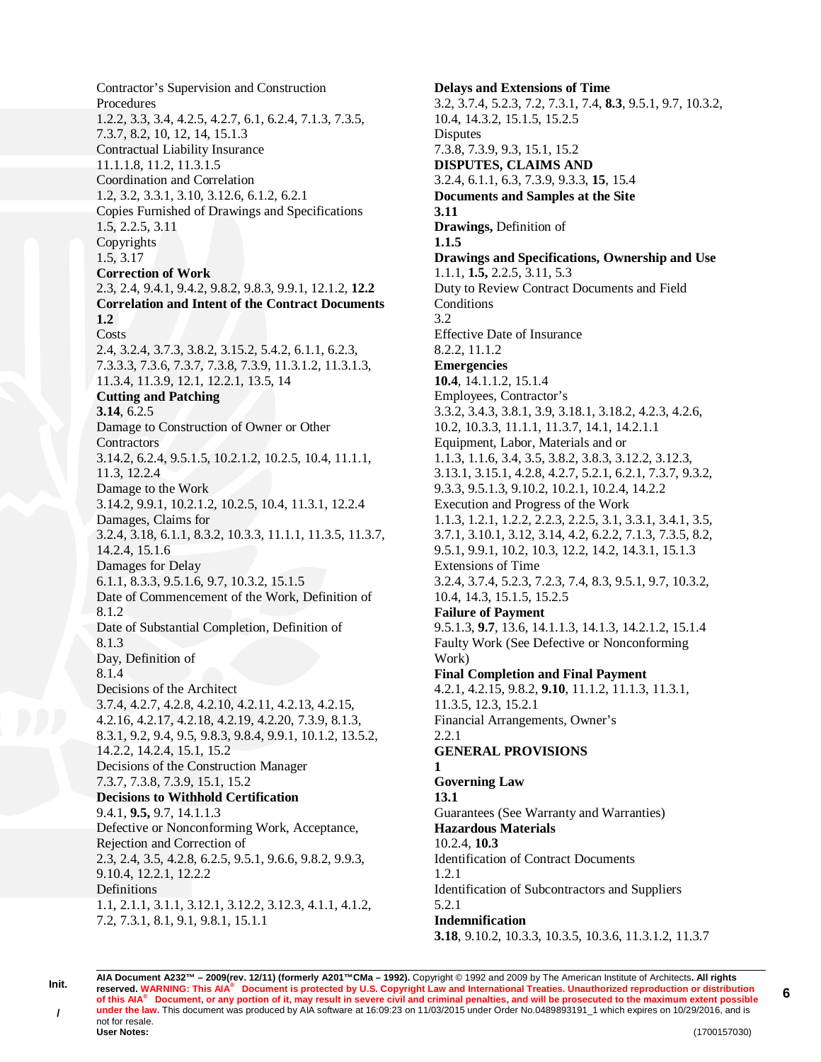Contractor's Supervision and Construction Procedures 1.2.2, 3.3, 3.4, 4.2.5, 4.2.7, 6.1, 6.2.4, 7.1.3, 7.3.5, 7.3.7, 8.2, 10, 12, 14, 15.1.3 Contractual Liability Insurance 11.1.1.8, 11.2, 11.3.1.5 Coordination and Correlation 1.2, 3.2, 3.3.1, 3.10, 3.12.6, 6.1.2, 6.2.1 Copies Furnished of Drawings and Specifications 1.5, 2.2.5, 3.11 Copyrights 1.5, 3.17 **Correction of Work**  2.3, 2.4, 9.4.1, 9.4.2, 9.8.2, 9.8.3, 9.9.1, 12.1.2, **12.2 Correlation and Intent of the Contract Documents 1.2 Costs** 2.4, 3.2.4, 3.7.3, 3.8.2, 3.15.2, 5.4.2, 6.1.1, 6.2.3, 7.3.3.3, 7.3.6, 7.3.7, 7.3.8, 7.3.9, 11.3.1.2, 11.3.1.3, 11.3.4, 11.3.9, 12.1, 12.2.1, 13.5, 14 **Cutting and Patching 3.14**, 6.2.5 Damage to Construction of Owner or Other **Contractors** 3.14.2, 6.2.4, 9.5.1.5, 10.2.1.2, 10.2.5, 10.4, 11.1.1, 11.3, 12.2.4 Damage to the Work 3.14.2, 9.9.1, 10.2.1.2, 10.2.5, 10.4, 11.3.1, 12.2.4 Damages, Claims for 3.2.4, 3.18, 6.1.1, 8.3.2, 10.3.3, 11.1.1, 11.3.5, 11.3.7, 14.2.4, 15.1.6 Damages for Delay 6.1.1, 8.3.3, 9.5.1.6, 9.7, 10.3.2, 15.1.5 Date of Commencement of the Work, Definition of 8.1.2 Date of Substantial Completion, Definition of 8.1.3 Day, Definition of 8.1.4 Decisions of the Architect 3.7.4, 4.2.7, 4.2.8, 4.2.10, 4.2.11, 4.2.13, 4.2.15, 4.2.16, 4.2.17, 4.2.18, 4.2.19, 4.2.20, 7.3.9, 8.1.3, 8.3.1, 9.2, 9.4, 9.5, 9.8.3, 9.8.4, 9.9.1, 10.1.2, 13.5.2, 14.2.2, 14.2.4, 15.1, 15.2 Decisions of the Construction Manager 7.3.7, 7.3.8, 7.3.9, 15.1, 15.2 **Decisions to Withhold Certification** 9.4.1, **9.5,** 9.7, 14.1.1.3 Defective or Nonconforming Work, Acceptance, Rejection and Correction of 2.3, 2.4, 3.5, 4.2.8, 6.2.5, 9.5.1, 9.6.6, 9.8.2, 9.9.3, 9.10.4, 12.2.1, 12.2.2 Definitions 1.1, 2.1.1, 3.1.1, 3.12.1, 3.12.2, 3.12.3, 4.1.1, 4.1.2, 7.2, 7.3.1, 8.1, 9.1, 9.8.1, 15.1.1

**Delays and Extensions of Time**  3.2, 3.7.4, 5.2.3, 7.2, 7.3.1, 7.4, **8.3**, 9.5.1, 9.7, 10.3.2, 10.4, 14.3.2, 15.1.5, 15.2.5 **Disputes** 7.3.8, 7.3.9, 9.3, 15.1, 15.2 **DISPUTES, CLAIMS AND** 3.2.4, 6.1.1, 6.3, 7.3.9, 9.3.3, **15**, 15.4 **Documents and Samples at the Site 3.11 Drawings,** Definition of **1.1.5 Drawings and Specifications, Ownership and Use** 1.1.1, **1.5,** 2.2.5, 3.11, 5.3 Duty to Review Contract Documents and Field Conditions 3.2 Effective Date of Insurance 8.2.2, 11.1.2 **Emergencies 10.4**, 14.1.1.2, 15.1.4 Employees, Contractor's 3.3.2, 3.4.3, 3.8.1, 3.9, 3.18.1, 3.18.2, 4.2.3, 4.2.6, 10.2, 10.3.3, 11.1.1, 11.3.7, 14.1, 14.2.1.1 Equipment, Labor, Materials and or 1.1.3, 1.1.6, 3.4, 3.5, 3.8.2, 3.8.3, 3.12.2, 3.12.3, 3.13.1, 3.15.1, 4.2.8, 4.2.7, 5.2.1, 6.2.1, 7.3.7, 9.3.2, 9.3.3, 9.5.1.3, 9.10.2, 10.2.1, 10.2.4, 14.2.2 Execution and Progress of the Work 1.1.3, 1.2.1, 1.2.2, 2.2.3, 2.2.5, 3.1, 3.3.1, 3.4.1, 3.5, 3.7.1, 3.10.1, 3.12, 3.14, 4.2, 6.2.2, 7.1.3, 7.3.5, 8.2, 9.5.1, 9.9.1, 10.2, 10.3, 12.2, 14.2, 14.3.1, 15.1.3 Extensions of Time 3.2.4, 3.7.4, 5.2.3, 7.2.3, 7.4, 8.3, 9.5.1, 9.7, 10.3.2, 10.4, 14.3, 15.1.5, 15.2.5 **Failure of Payment**  9.5.1.3, **9.7**, 13.6, 14.1.1.3, 14.1.3, 14.2.1.2, 15.1.4 Faulty Work (See Defective or Nonconforming Work) **Final Completion and Final Payment**  4.2.1, 4.2.15, 9.8.2, **9.10**, 11.1.2, 11.1.3, 11.3.1, 11.3.5, 12.3, 15.2.1 Financial Arrangements, Owner's 2.2.1 **GENERAL PROVISIONS 1 Governing Law 13.1** Guarantees (See Warranty and Warranties) **Hazardous Materials** 10.2.4, **10.3** Identification of Contract Documents 1.2.1 Identification of Subcontractors and Suppliers 5.2.1 **Indemnification 3.18**, 9.10.2, 10.3.3, 10.3.5, 10.3.6, 11.3.1.2, 11.3.7

**Init.**

**/**

**AIA Document A232™ – 2009(rev. 12/11) (formerly A201™CMa – 1992).** Copyright © 1992 and 2009 by The American Institute of Architects**. All rights reserved. WARNING: This AIA® Document is protected by U.S. Copyright Law and International Treaties. Unauthorized reproduction or distribution of this AIA® Document, or any portion of it, may result in severe civil and criminal penalties, and will be prosecuted to the maximum extent possible under the law.** This document was produced by AIA software at 16:09:23 on 11/03/2015 under Order No.0489893191\_1 which expires on 10/29/2016, and is not for resale.<br>User Notes: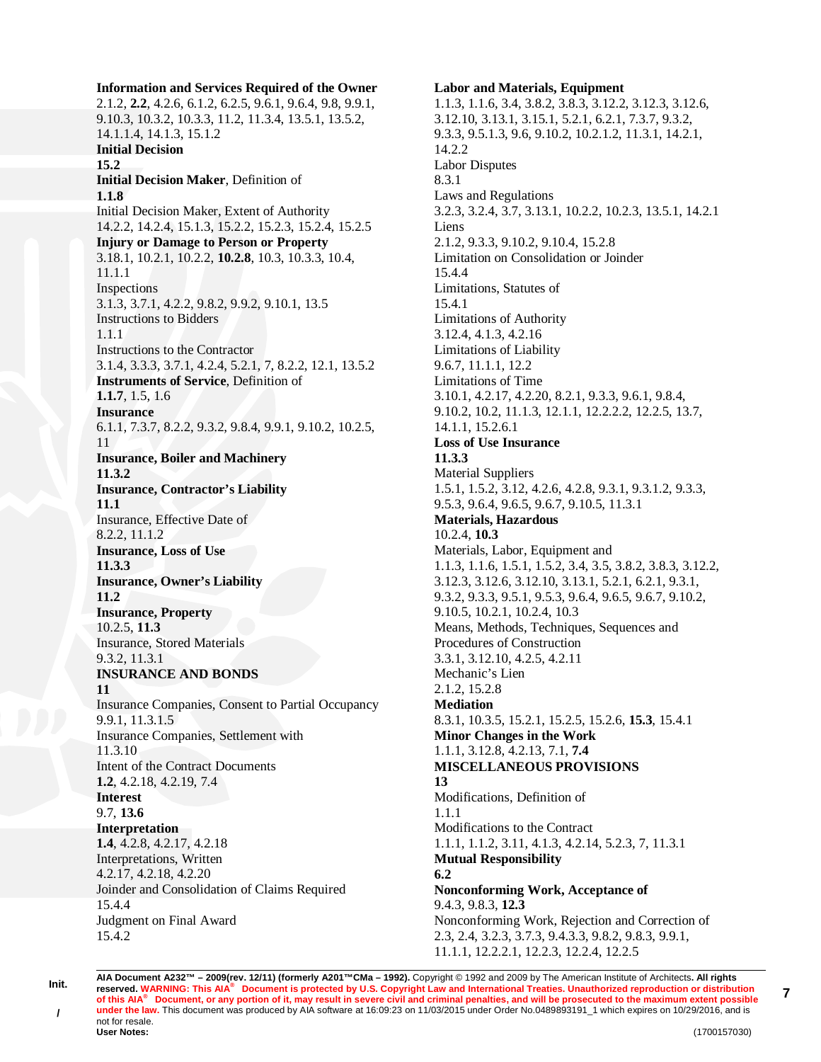**Information and Services Required of the Owner** 2.1.2, **2.2**, 4.2.6, 6.1.2, 6.2.5, 9.6.1, 9.6.4, 9.8, 9.9.1, 9.10.3, 10.3.2, 10.3.3, 11.2, 11.3.4, 13.5.1, 13.5.2, 14.1.1.4, 14.1.3, 15.1.2 **Initial Decision 15.2 Initial Decision Maker**, Definition of **1.1.8** Initial Decision Maker, Extent of Authority 14.2.2, 14.2.4, 15.1.3, 15.2.2, 15.2.3, 15.2.4, 15.2.5 **Injury or Damage to Person or Property** 3.18.1, 10.2.1, 10.2.2, **10.2.8**, 10.3, 10.3.3, 10.4, 11.1.1 Inspections 3.1.3, 3.7.1, 4.2.2, 9.8.2, 9.9.2, 9.10.1, 13.5 Instructions to Bidders 1.1.1 Instructions to the Contractor 3.1.4, 3.3.3, 3.7.1, 4.2.4, 5.2.1, 7, 8.2.2, 12.1, 13.5.2 **Instruments of Service**, Definition of **1.1.7**, 1.5, 1.6 **Insurance**  6.1.1, 7.3.7, 8.2.2, 9.3.2, 9.8.4, 9.9.1, 9.10.2, 10.2.5, 11 **Insurance, Boiler and Machinery 11.3.2 Insurance, Contractor's Liability 11.1** Insurance, Effective Date of 8.2.2, 11.1.2 **Insurance, Loss of Use 11.3.3 Insurance, Owner's Liability 11.2 Insurance, Property** 10.2.5, **11.3** Insurance, Stored Materials 9.3.2, 11.3.1 **INSURANCE AND BONDS 11** Insurance Companies, Consent to Partial Occupancy 9.9.1, 11.3.1.5 Insurance Companies, Settlement with 11.3.10 Intent of the Contract Documents **1.2**, 4.2.18, 4.2.19, 7.4 **Interest**  9.7, **13.6 Interpretation 1.4**, 4.2.8, 4.2.17, 4.2.18 Interpretations, Written 4.2.17, 4.2.18, 4.2.20 Joinder and Consolidation of Claims Required 15.4.4 Judgment on Final Award 15.4.2

**Labor and Materials, Equipment**  1.1.3, 1.1.6, 3.4, 3.8.2, 3.8.3, 3.12.2, 3.12.3, 3.12.6, 3.12.10, 3.13.1, 3.15.1, 5.2.1, 6.2.1, 7.3.7, 9.3.2, 9.3.3, 9.5.1.3, 9.6, 9.10.2, 10.2.1.2, 11.3.1, 14.2.1, 14.2.2 Labor Disputes 8.3.1 Laws and Regulations 3.2.3, 3.2.4, 3.7, 3.13.1, 10.2.2, 10.2.3, 13.5.1, 14.2.1 Liens 2.1.2, 9.3.3, 9.10.2, 9.10.4, 15.2.8 Limitation on Consolidation or Joinder 15.4.4 Limitations, Statutes of 15.4.1 Limitations of Authority 3.12.4, 4.1.3, 4.2.16 Limitations of Liability 9.6.7, 11.1.1, 12.2 Limitations of Time 3.10.1, 4.2.17, 4.2.20, 8.2.1, 9.3.3, 9.6.1, 9.8.4, 9.10.2, 10.2, 11.1.3, 12.1.1, 12.2.2.2, 12.2.5, 13.7, 14.1.1, 15.2.6.1 **Loss of Use Insurance 11.3.3**  Material Suppliers 1.5.1, 1.5.2, 3.12, 4.2.6, 4.2.8, 9.3.1, 9.3.1.2, 9.3.3, 9.5.3, 9.6.4, 9.6.5, 9.6.7, 9.10.5, 11.3.1 **Materials, Hazardous** 10.2.4, **10.3** Materials, Labor, Equipment and 1.1.3, 1.1.6, 1.5.1, 1.5.2, 3.4, 3.5, 3.8.2, 3.8.3, 3.12.2, 3.12.3, 3.12.6, 3.12.10, 3.13.1, 5.2.1, 6.2.1, 9.3.1, 9.3.2, 9.3.3, 9.5.1, 9.5.3, 9.6.4, 9.6.5, 9.6.7, 9.10.2, 9.10.5, 10.2.1, 10.2.4, 10.3 Means, Methods, Techniques, Sequences and Procedures of Construction 3.3.1, 3.12.10, 4.2.5, 4.2.11 Mechanic's Lien 2.1.2, 15.2.8 **Mediation** 8.3.1, 10.3.5, 15.2.1, 15.2.5, 15.2.6, **15.3**, 15.4.1 **Minor Changes in the Work** 1.1.1, 3.12.8, 4.2.13, 7.1, **7.4 MISCELLANEOUS PROVISIONS 13** Modifications, Definition of 1.1.1 Modifications to the Contract 1.1.1, 1.1.2, 3.11, 4.1.3, 4.2.14, 5.2.3, 7, 11.3.1 **Mutual Responsibility 6.2 Nonconforming Work, Acceptance of**  9.4.3, 9.8.3, **12.3** Nonconforming Work, Rejection and Correction of 2.3, 2.4, 3.2.3, 3.7.3, 9.4.3.3, 9.8.2, 9.8.3, 9.9.1, 11.1.1, 12.2.2.1, 12.2.3, 12.2.4, 12.2.5

**Init. /**

**AIA Document A232™ – 2009(rev. 12/11) (formerly A201™CMa – 1992).** Copyright © 1992 and 2009 by The American Institute of Architects**. All rights reserved. WARNING: This AIA® Document is protected by U.S. Copyright Law and International Treaties. Unauthorized reproduction or distribution of this AIA® Document, or any portion of it, may result in severe civil and criminal penalties, and will be prosecuted to the maximum extent possible under the law.** This document was produced by AIA software at 16:09:23 on 11/03/2015 under Order No.0489893191\_1 which expires on 10/29/2016, and is not for resale.<br>User Notes: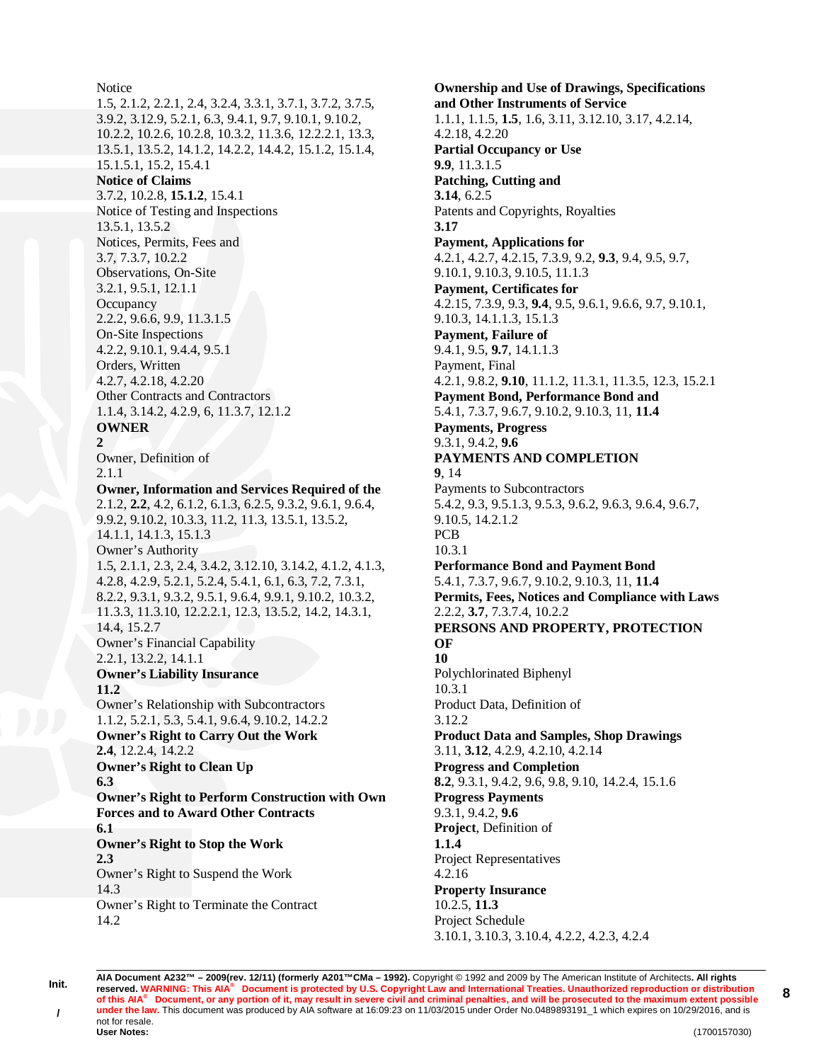#### **Notice**

1.5, 2.1.2, 2.2.1, 2.4, 3.2.4, 3.3.1, 3.7.1, 3.7.2, 3.7.5, 3.9.2, 3.12.9, 5.2.1, 6.3, 9.4.1, 9.7, 9.10.1, 9.10.2, 10.2.2, 10.2.6, 10.2.8, 10.3.2, 11.3.6, 12.2.2.1, 13.3, 13.5.1, 13.5.2, 14.1.2, 14.2.2, 14.4.2, 15.1.2, 15.1.4, 15.1.5.1, 15.2, 15.4.1 **Notice of Claims** 3.7.2, 10.2.8, **15.1.2**, 15.4.1 Notice of Testing and Inspections 13.5.1, 13.5.2 Notices, Permits, Fees and 3.7, 7.3.7, 10.2.2 Observations, On-Site 3.2.1, 9.5.1, 12.1.1 **Occupancy** 2.2.2, 9.6.6, 9.9, 11.3.1.5 On-Site Inspections 4.2.2, 9.10.1, 9.4.4, 9.5.1 Orders, Written 4.2.7, 4.2.18, 4.2.20 Other Contracts and Contractors 1.1.4, 3.14.2, 4.2.9, 6, 11.3.7, 12.1.2 **OWNER**  $\lambda$ Owner, Definition of 2.1.1 **Owner, Information and Services Required of the** 2.1.2, **2.2**, 4.2, 6.1.2, 6.1.3, 6.2.5, 9.3.2, 9.6.1, 9.6.4, 9.9.2, 9.10.2, 10.3.3, 11.2, 11.3, 13.5.1, 13.5.2, 14.1.1, 14.1.3, 15.1.3 Owner's Authority 1.5, 2.1.1, 2.3, 2.4, 3.4.2, 3.12.10, 3.14.2, 4.1.2, 4.1.3, 4.2.8, 4.2.9, 5.2.1, 5.2.4, 5.4.1, 6.1, 6.3, 7.2, 7.3.1, 8.2.2, 9.3.1, 9.3.2, 9.5.1, 9.6.4, 9.9.1, 9.10.2, 10.3.2, 11.3.3, 11.3.10, 12.2.2.1, 12.3, 13.5.2, 14.2, 14.3.1, 14.4, 15.2.7 Owner's Financial Capability 2.2.1, 13.2.2, 14.1.1 **Owner's Liability Insurance 11.2** Owner's Relationship with Subcontractors 1.1.2, 5.2.1, 5.3, 5.4.1, 9.6.4, 9.10.2, 14.2.2 **Owner's Right to Carry Out the Work 2.4**, 12.2.4, 14.2.2 **Owner's Right to Clean Up 6.3 Owner's Right to Perform Construction with Own Forces and to Award Other Contracts 6.1 Owner's Right to Stop the Work 2.3** Owner's Right to Suspend the Work 14.3 Owner's Right to Terminate the Contract 14.2

**Ownership and Use of Drawings, Specifications and Other Instruments of Service** 1.1.1, 1.1.5, **1.5**, 1.6, 3.11, 3.12.10, 3.17, 4.2.14, 4.2.18, 4.2.20 **Partial Occupancy or Use 9.9**, 11.3.1.5 **Patching, Cutting and 3.14**, 6.2.5 Patents and Copyrights, Royalties **3.17 Payment, Applications for** 4.2.1, 4.2.7, 4.2.15, 7.3.9, 9.2, **9.3**, 9.4, 9.5, 9.7, 9.10.1, 9.10.3, 9.10.5, 11.1.3 **Payment, Certificates for** 4.2.15, 7.3.9, 9.3, **9.4**, 9.5, 9.6.1, 9.6.6, 9.7, 9.10.1, 9.10.3, 14.1.1.3, 15.1.3 **Payment, Failure of** 9.4.1, 9.5, **9.7**, 14.1.1.3 Payment, Final 4.2.1, 9.8.2, **9.10**, 11.1.2, 11.3.1, 11.3.5, 12.3, 15.2.1 **Payment Bond, Performance Bond and** 5.4.1, 7.3.7, 9.6.7, 9.10.2, 9.10.3, 11, **11.4 Payments, Progress** 9.3.1, 9.4.2, **9.6 PAYMENTS AND COMPLETION 9**, 14 Payments to Subcontractors 5.4.2, 9.3, 9.5.1.3, 9.5.3, 9.6.2, 9.6.3, 9.6.4, 9.6.7, 9.10.5, 14.2.1.2 PCB 10.3.1 **Performance Bond and Payment Bond** 5.4.1, 7.3.7, 9.6.7, 9.10.2, 9.10.3, 11, **11.4 Permits, Fees, Notices and Compliance with Laws** 2.2.2, **3.7**, 7.3.7.4, 10.2.2 **PERSONS AND PROPERTY, PROTECTION OF 10** Polychlorinated Biphenyl 10.3.1 Product Data, Definition of 3.12.2 **Product Data and Samples, Shop Drawings** 3.11, **3.12**, 4.2.9, 4.2.10, 4.2.14 **Progress and Completion 8.2**, 9.3.1, 9.4.2, 9.6, 9.8, 9.10, 14.2.4, 15.1.6 **Progress Payments** 9.3.1, 9.4.2, **9.6 Project**, Definition of **1.1.4** Project Representatives 4.2.16 **Property Insurance** 10.2.5, **11.3** Project Schedule 3.10.1, 3.10.3, 3.10.4, 4.2.2, 4.2.3, 4.2.4

**Init.**

**/**

**AIA Document A232™ – 2009(rev. 12/11) (formerly A201™CMa – 1992).** Copyright © 1992 and 2009 by The American Institute of Architects**. All rights reserved. WARNING: This AIA® Document is protected by U.S. Copyright Law and International Treaties. Unauthorized reproduction or distribution of this AIA® Document, or any portion of it, may result in severe civil and criminal penalties, and will be prosecuted to the maximum extent possible under the law.** This document was produced by AIA software at 16:09:23 on 11/03/2015 under Order No.0489893191\_1 which expires on 10/29/2016, and is not for resale.<br>User Notes: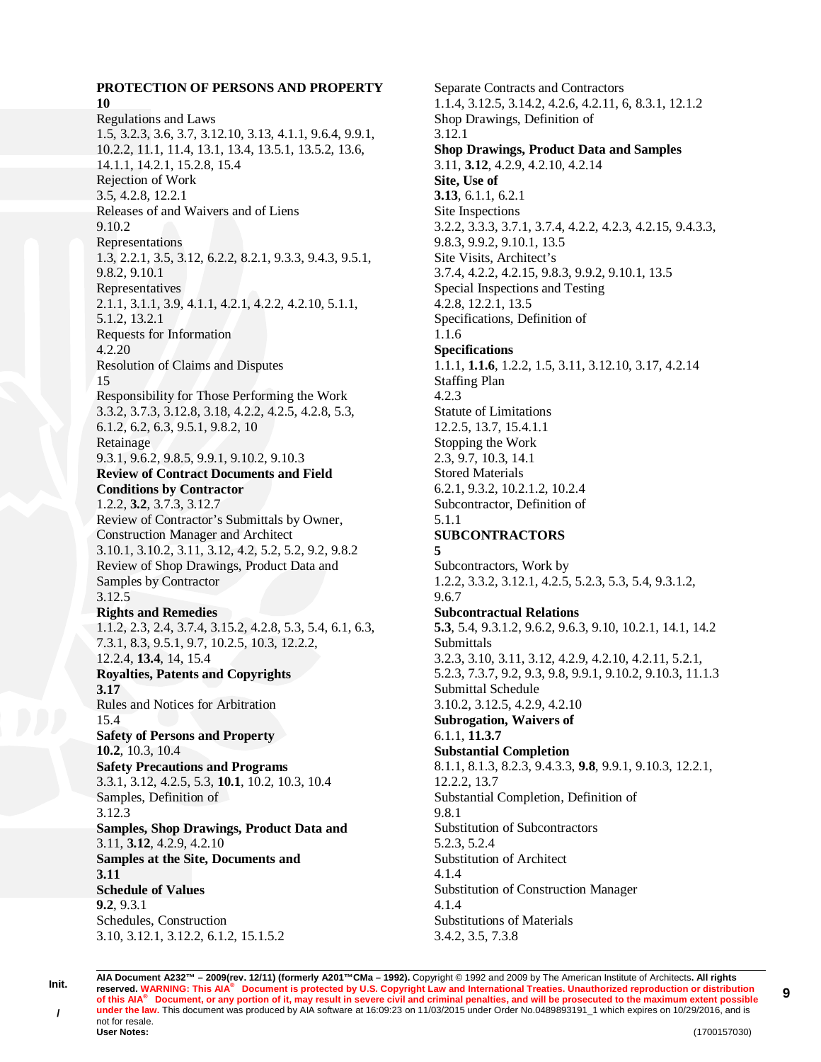#### **PROTECTION OF PERSONS AND PROPERTY 10**

Regulations and Laws 1.5, 3.2.3, 3.6, 3.7, 3.12.10, 3.13, 4.1.1, 9.6.4, 9.9.1, 10.2.2, 11.1, 11.4, 13.1, 13.4, 13.5.1, 13.5.2, 13.6, 14.1.1, 14.2.1, 15.2.8, 15.4 Rejection of Work 3.5, 4.2.8, 12.2.1 Releases of and Waivers and of Liens 9.10.2 Representations 1.3, 2.2.1, 3.5, 3.12, 6.2.2, 8.2.1, 9.3.3, 9.4.3, 9.5.1, 9.8.2, 9.10.1 Representatives 2.1.1, 3.1.1, 3.9, 4.1.1, 4.2.1, 4.2.2, 4.2.10, 5.1.1, 5.1.2, 13.2.1 Requests for Information 4.2.20 Resolution of Claims and Disputes 15 Responsibility for Those Performing the Work 3.3.2, 3.7.3, 3.12.8, 3.18, 4.2.2, 4.2.5, 4.2.8, 5.3, 6.1.2, 6.2, 6.3, 9.5.1, 9.8.2, 10 Retainage 9.3.1, 9.6.2, 9.8.5, 9.9.1, 9.10.2, 9.10.3 **Review of Contract Documents and Field Conditions by Contractor** 1.2.2, **3.2**, 3.7.3, 3.12.7 Review of Contractor's Submittals by Owner, Construction Manager and Architect 3.10.1, 3.10.2, 3.11, 3.12, 4.2, 5.2, 5.2, 9.2, 9.8.2 Review of Shop Drawings, Product Data and Samples by Contractor 3.12.5 **Rights and Remedies** 1.1.2, 2.3, 2.4, 3.7.4, 3.15.2, 4.2.8, 5.3, 5.4, 6.1, 6.3, 7.3.1, 8.3, 9.5.1, 9.7, 10.2.5, 10.3, 12.2.2, 12.2.4, **13.4**, 14, 15.4 **Royalties, Patents and Copyrights 3.17** Rules and Notices for Arbitration 15.4 **Safety of Persons and Property 10.2**, 10.3, 10.4 **Safety Precautions and Programs** 3.3.1, 3.12, 4.2.5, 5.3, **10.1**, 10.2, 10.3, 10.4 Samples, Definition of 3.12.3 **Samples, Shop Drawings, Product Data and** 3.11, **3.12**, 4.2.9, 4.2.10 **Samples at the Site, Documents and 3.11 Schedule of Values 9.2**, 9.3.1 Schedules, Construction 3.10, 3.12.1, 3.12.2, 6.1.2, 15.1.5.2

Separate Contracts and Contractors 1.1.4, 3.12.5, 3.14.2, 4.2.6, 4.2.11, 6, 8.3.1, 12.1.2 Shop Drawings, Definition of 3.12.1 **Shop Drawings, Product Data and Samples**  3.11, **3.12**, 4.2.9, 4.2.10, 4.2.14 **Site, Use of 3.13**, 6.1.1, 6.2.1 Site Inspections 3.2.2, 3.3.3, 3.7.1, 3.7.4, 4.2.2, 4.2.3, 4.2.15, 9.4.3.3, 9.8.3, 9.9.2, 9.10.1, 13.5 Site Visits, Architect's 3.7.4, 4.2.2, 4.2.15, 9.8.3, 9.9.2, 9.10.1, 13.5 Special Inspections and Testing 4.2.8, 12.2.1, 13.5 Specifications, Definition of 1.1.6 **Specifications** 1.1.1, **1.1.6**, 1.2.2, 1.5, 3.11, 3.12.10, 3.17, 4.2.14 Staffing Plan 4.2.3 Statute of Limitations 12.2.5, 13.7, 15.4.1.1 Stopping the Work 2.3, 9.7, 10.3, 14.1 Stored Materials 6.2.1, 9.3.2, 10.2.1.2, 10.2.4 Subcontractor, Definition of 5.1.1 **SUBCONTRACTORS 5**  Subcontractors, Work by 1.2.2, 3.3.2, 3.12.1, 4.2.5, 5.2.3, 5.3, 5.4, 9.3.1.2, 9.6.7 **Subcontractual Relations 5.3**, 5.4, 9.3.1.2, 9.6.2, 9.6.3, 9.10, 10.2.1, 14.1, 14.2 Submittals 3.2.3, 3.10, 3.11, 3.12, 4.2.9, 4.2.10, 4.2.11, 5.2.1, 5.2.3, 7.3.7, 9.2, 9.3, 9.8, 9.9.1, 9.10.2, 9.10.3, 11.1.3 Submittal Schedule 3.10.2, 3.12.5, 4.2.9, 4.2.10 **Subrogation, Waivers of** 6.1.1, **11.3.7 Substantial Completion** 8.1.1, 8.1.3, 8.2.3, 9.4.3.3, **9.8**, 9.9.1, 9.10.3, 12.2.1, 12.2.2, 13.7 Substantial Completion, Definition of 9.8.1 Substitution of Subcontractors 5.2.3, 5.2.4 Substitution of Architect 4.1.4 Substitution of Construction Manager 4.1.4 Substitutions of Materials 3.4.2, 3.5, 7.3.8

**Init. /**

**AIA Document A232™ – 2009(rev. 12/11) (formerly A201™CMa – 1992).** Copyright © 1992 and 2009 by The American Institute of Architects**. All rights reserved. WARNING: This AIA® Document is protected by U.S. Copyright Law and International Treaties. Unauthorized reproduction or distribution of this AIA® Document, or any portion of it, may result in severe civil and criminal penalties, and will be prosecuted to the maximum extent possible under the law.** This document was produced by AIA software at 16:09:23 on 11/03/2015 under Order No.0489893191\_1 which expires on 10/29/2016, and is not for resale.<br>User Notes: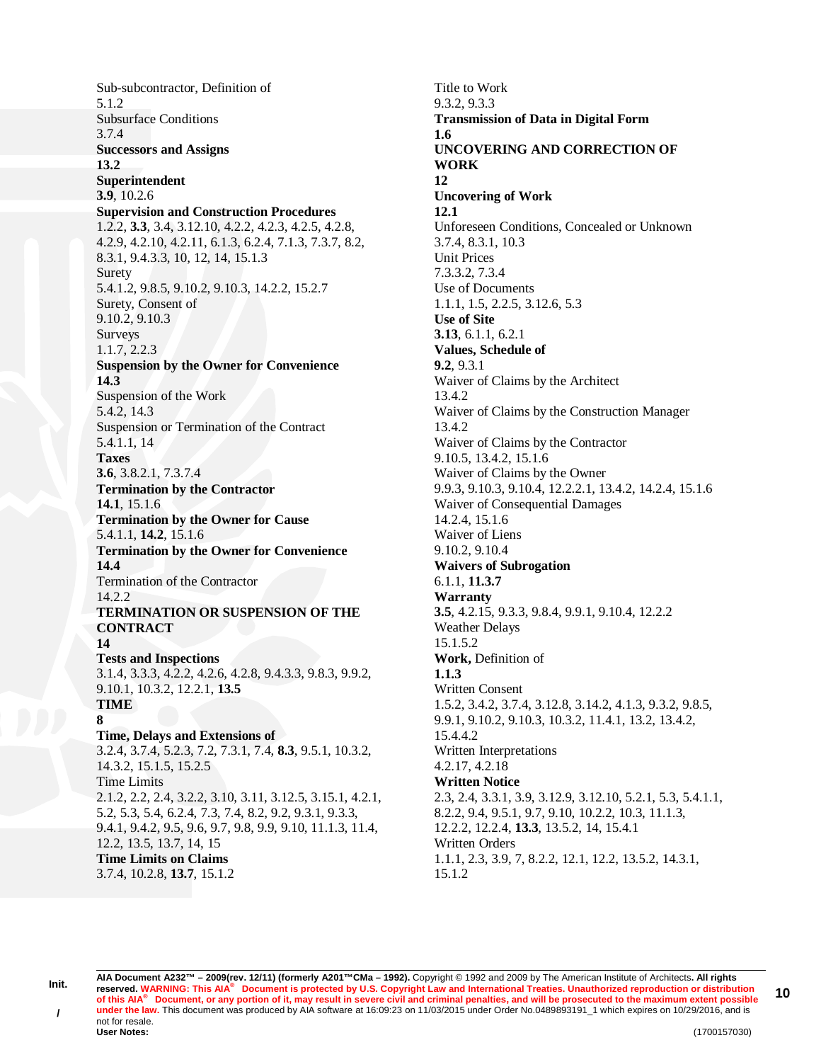Sub-subcontractor, Definition of 5.1.2 Subsurface Conditions 3.7.4 **Successors and Assigns 13.2 Superintendent 3.9**, 10.2.6 **Supervision and Construction Procedures** 1.2.2, **3.3**, 3.4, 3.12.10, 4.2.2, 4.2.3, 4.2.5, 4.2.8, 4.2.9, 4.2.10, 4.2.11, 6.1.3, 6.2.4, 7.1.3, 7.3.7, 8.2, 8.3.1, 9.4.3.3, 10, 12, 14, 15.1.3 Surety 5.4.1.2, 9.8.5, 9.10.2, 9.10.3, 14.2.2, 15.2.7 Surety, Consent of 9.10.2, 9.10.3 Surveys 1.1.7, 2.2.3 **Suspension by the Owner for Convenience 14.3** Suspension of the Work 5.4.2, 14.3 Suspension or Termination of the Contract 5.4.1.1, 14 **Taxes 3.6**, 3.8.2.1, 7.3.7.4 **Termination by the Contractor 14.1**, 15.1.6 **Termination by the Owner for Cause** 5.4.1.1, **14.2**, 15.1.6 **Termination by the Owner for Convenience 14.4** Termination of the Contractor  $14.2.2$ **TERMINATION OR SUSPENSION OF THE CONTRACT 14 Tests and Inspections** 3.1.4, 3.3.3, 4.2.2, 4.2.6, 4.2.8, 9.4.3.3, 9.8.3, 9.9.2, 9.10.1, 10.3.2, 12.2.1, **13.5 TIME 8 Time, Delays and Extensions of** 3.2.4, 3.7.4, 5.2.3, 7.2, 7.3.1, 7.4, **8.3**, 9.5.1, 10.3.2, 14.3.2, 15.1.5, 15.2.5 Time Limits 2.1.2, 2.2, 2.4, 3.2.2, 3.10, 3.11, 3.12.5, 3.15.1, 4.2.1, 5.2, 5.3, 5.4, 6.2.4, 7.3, 7.4, 8.2, 9.2, 9.3.1, 9.3.3, 9.4.1, 9.4.2, 9.5, 9.6, 9.7, 9.8, 9.9, 9.10, 11.1.3, 11.4, 12.2, 13.5, 13.7, 14, 15 **Time Limits on Claims** 3.7.4, 10.2.8, **13.7**, 15.1.2

Title to Work 9.3.2, 9.3.3 **Transmission of Data in Digital Form 1.6 UNCOVERING AND CORRECTION OF WORK 12 Uncovering of Work 12.1** Unforeseen Conditions, Concealed or Unknown 3.7.4, 8.3.1, 10.3 Unit Prices 7.3.3.2, 7.3.4 Use of Documents 1.1.1, 1.5, 2.2.5, 3.12.6, 5.3 **Use of Site 3.13**, 6.1.1, 6.2.1 **Values, Schedule of 9.2**, 9.3.1 Waiver of Claims by the Architect 13.4.2 Waiver of Claims by the Construction Manager 13.4.2 Waiver of Claims by the Contractor 9.10.5, 13.4.2, 15.1.6 Waiver of Claims by the Owner 9.9.3, 9.10.3, 9.10.4, 12.2.2.1, 13.4.2, 14.2.4, 15.1.6 Waiver of Consequential Damages 14.2.4, 15.1.6 Waiver of Liens 9.10.2, 9.10.4 **Waivers of Subrogation** 6.1.1, **11.3.7 Warranty 3.5**, 4.2.15, 9.3.3, 9.8.4, 9.9.1, 9.10.4, 12.2.2 Weather Delays 15.1.5.2 **Work,** Definition of **1.1.3** Written Consent 1.5.2, 3.4.2, 3.7.4, 3.12.8, 3.14.2, 4.1.3, 9.3.2, 9.8.5, 9.9.1, 9.10.2, 9.10.3, 10.3.2, 11.4.1, 13.2, 13.4.2, 15.4.4.2 Written Interpretations 4.2.17, 4.2.18 **Written Notice** 2.3, 2.4, 3.3.1, 3.9, 3.12.9, 3.12.10, 5.2.1, 5.3, 5.4.1.1, 8.2.2, 9.4, 9.5.1, 9.7, 9.10, 10.2.2, 10.3, 11.1.3, 12.2.2, 12.2.4, **13.3**, 13.5.2, 14, 15.4.1 Written Orders 1.1.1, 2.3, 3.9, 7, 8.2.2, 12.1, 12.2, 13.5.2, 14.3.1, 15.1.2

**Init.**

**/**

**AIA Document A232™ – 2009(rev. 12/11) (formerly A201™CMa – 1992).** Copyright © 1992 and 2009 by The American Institute of Architects**. All rights reserved. WARNING: This AIA® Document is protected by U.S. Copyright Law and International Treaties. Unauthorized reproduction or distribution of this AIA® Document, or any portion of it, may result in severe civil and criminal penalties, and will be prosecuted to the maximum extent possible under the law.** This document was produced by AIA software at 16:09:23 on 11/03/2015 under Order No.0489893191\_1 which expires on 10/29/2016, and is not for resale.<br>User Notes: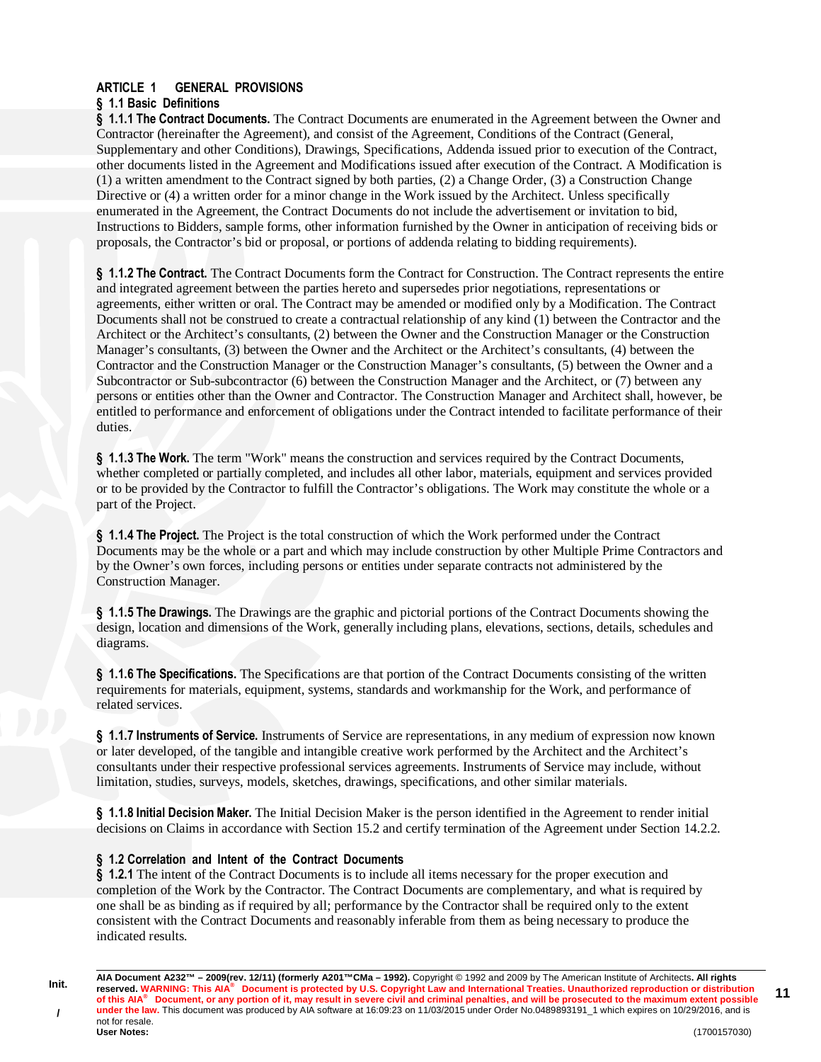# **ARTICLE 1 GENERAL PROVISIONS**

# **§ 1.1 Basic Definitions**

**§ 1.1.1 The Contract Documents.** The Contract Documents are enumerated in the Agreement between the Owner and Contractor (hereinafter the Agreement), and consist of the Agreement, Conditions of the Contract (General, Supplementary and other Conditions), Drawings, Specifications, Addenda issued prior to execution of the Contract, other documents listed in the Agreement and Modifications issued after execution of the Contract. A Modification is (1) a written amendment to the Contract signed by both parties, (2) a Change Order, (3) a Construction Change Directive or (4) a written order for a minor change in the Work issued by the Architect. Unless specifically enumerated in the Agreement, the Contract Documents do not include the advertisement or invitation to bid, Instructions to Bidders, sample forms, other information furnished by the Owner in anticipation of receiving bids or proposals, the Contractor's bid or proposal, or portions of addenda relating to bidding requirements).

**§ 1.1.2 The Contract.** The Contract Documents form the Contract for Construction. The Contract represents the entire and integrated agreement between the parties hereto and supersedes prior negotiations, representations or agreements, either written or oral. The Contract may be amended or modified only by a Modification. The Contract Documents shall not be construed to create a contractual relationship of any kind (1) between the Contractor and the Architect or the Architect's consultants, (2) between the Owner and the Construction Manager or the Construction Manager's consultants, (3) between the Owner and the Architect or the Architect's consultants, (4) between the Contractor and the Construction Manager or the Construction Manager's consultants, (5) between the Owner and a Subcontractor or Sub-subcontractor (6) between the Construction Manager and the Architect, or (7) between any persons or entities other than the Owner and Contractor. The Construction Manager and Architect shall, however, be entitled to performance and enforcement of obligations under the Contract intended to facilitate performance of their duties.

**§ 1.1.3 The Work.** The term "Work" means the construction and services required by the Contract Documents, whether completed or partially completed, and includes all other labor, materials, equipment and services provided or to be provided by the Contractor to fulfill the Contractor's obligations. The Work may constitute the whole or a part of the Project.

**§ 1.1.4 The Project.** The Project is the total construction of which the Work performed under the Contract Documents may be the whole or a part and which may include construction by other Multiple Prime Contractors and by the Owner's own forces, including persons or entities under separate contracts not administered by the Construction Manager.

**§ 1.1.5 The Drawings.** The Drawings are the graphic and pictorial portions of the Contract Documents showing the design, location and dimensions of the Work, generally including plans, elevations, sections, details, schedules and diagrams.

**§ 1.1.6 The Specifications.** The Specifications are that portion of the Contract Documents consisting of the written requirements for materials, equipment, systems, standards and workmanship for the Work, and performance of related services.

**§ 1.1.7 Instruments of Service.** Instruments of Service are representations, in any medium of expression now known or later developed, of the tangible and intangible creative work performed by the Architect and the Architect's consultants under their respective professional services agreements. Instruments of Service may include, without limitation, studies, surveys, models, sketches, drawings, specifications, and other similar materials.

**§ 1.1.8 Initial Decision Maker.** The Initial Decision Maker is the person identified in the Agreement to render initial decisions on Claims in accordance with Section 15.2 and certify termination of the Agreement under Section 14.2.2.

# **§ 1.2 Correlation and Intent of the Contract Documents**

**§ 1.2.1** The intent of the Contract Documents is to include all items necessary for the proper execution and completion of the Work by the Contractor. The Contract Documents are complementary, and what is required by one shall be as binding as if required by all; performance by the Contractor shall be required only to the extent consistent with the Contract Documents and reasonably inferable from them as being necessary to produce the indicated results.

**Init.**

**/**

**AIA Document A232™ – 2009(rev. 12/11) (formerly A201™CMa – 1992).** Copyright © 1992 and 2009 by The American Institute of Architects**. All rights reserved. WARNING: This AIA® Document is protected by U.S. Copyright Law and International Treaties. Unauthorized reproduction or distribution of this AIA® Document, or any portion of it, may result in severe civil and criminal penalties, and will be prosecuted to the maximum extent possible under the law.** This document was produced by AIA software at 16:09:23 on 11/03/2015 under Order No.0489893191\_1 which expires on 10/29/2016, and is not for resale.<br>User Notes: **User Notes:** (1700157030) **11**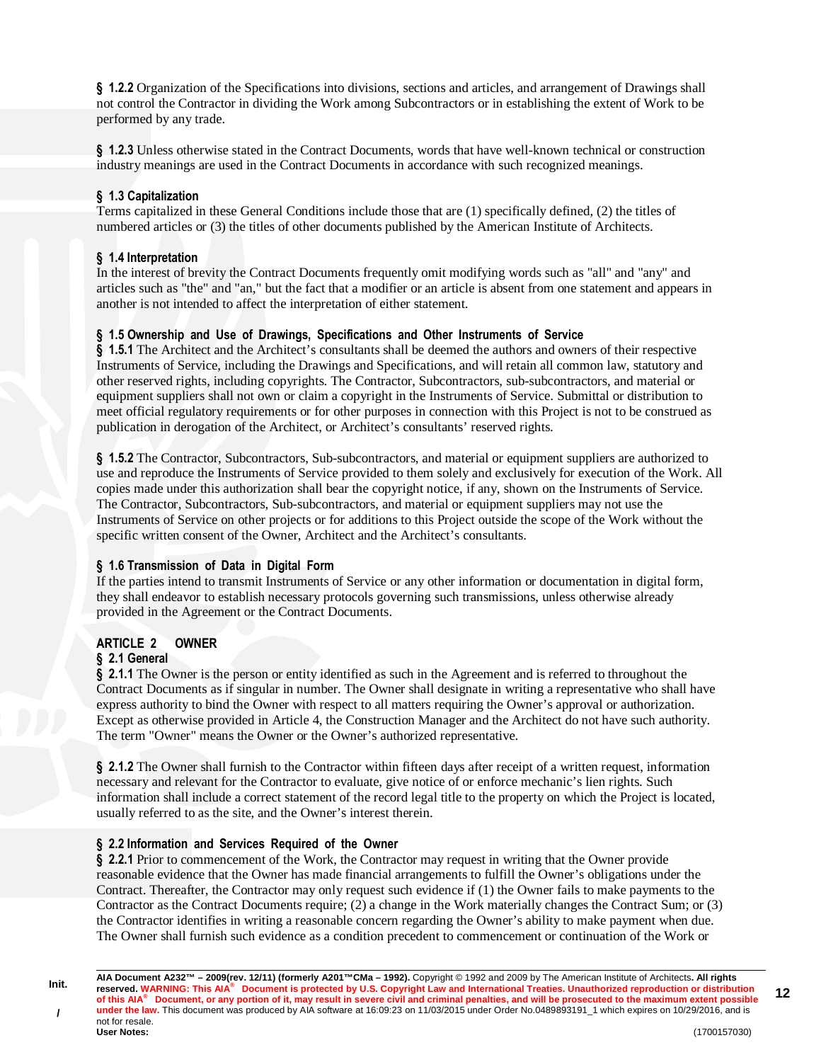**§ 1.2.2** Organization of the Specifications into divisions, sections and articles, and arrangement of Drawings shall not control the Contractor in dividing the Work among Subcontractors or in establishing the extent of Work to be performed by any trade.

**§ 1.2.3** Unless otherwise stated in the Contract Documents, words that have well-known technical or construction industry meanings are used in the Contract Documents in accordance with such recognized meanings.

# **§ 1.3 Capitalization**

Terms capitalized in these General Conditions include those that are (1) specifically defined, (2) the titles of numbered articles or (3) the titles of other documents published by the American Institute of Architects.

#### **§ 1.4 Interpretation**

In the interest of brevity the Contract Documents frequently omit modifying words such as "all" and "any" and articles such as "the" and "an," but the fact that a modifier or an article is absent from one statement and appears in another is not intended to affect the interpretation of either statement.

#### **§ 1.5 Ownership and Use of Drawings, Specifications and Other Instruments of Service**

**§ 1.5.1** The Architect and the Architect's consultants shall be deemed the authors and owners of their respective Instruments of Service, including the Drawings and Specifications, and will retain all common law, statutory and other reserved rights, including copyrights. The Contractor, Subcontractors, sub-subcontractors, and material or equipment suppliers shall not own or claim a copyright in the Instruments of Service. Submittal or distribution to meet official regulatory requirements or for other purposes in connection with this Project is not to be construed as publication in derogation of the Architect, or Architect's consultants' reserved rights.

**§ 1.5.2** The Contractor, Subcontractors, Sub-subcontractors, and material or equipment suppliers are authorized to use and reproduce the Instruments of Service provided to them solely and exclusively for execution of the Work. All copies made under this authorization shall bear the copyright notice, if any, shown on the Instruments of Service. The Contractor, Subcontractors, Sub-subcontractors, and material or equipment suppliers may not use the Instruments of Service on other projects or for additions to this Project outside the scope of the Work without the specific written consent of the Owner, Architect and the Architect's consultants.

#### **§ 1.6 Transmission of Data in Digital Form**

If the parties intend to transmit Instruments of Service or any other information or documentation in digital form, they shall endeavor to establish necessary protocols governing such transmissions, unless otherwise already provided in the Agreement or the Contract Documents.

# **ARTICLE 2 OWNER**

# **§ 2.1 General**

**§ 2.1.1** The Owner is the person or entity identified as such in the Agreement and is referred to throughout the Contract Documents as if singular in number. The Owner shall designate in writing a representative who shall have express authority to bind the Owner with respect to all matters requiring the Owner's approval or authorization. Except as otherwise provided in Article 4, the Construction Manager and the Architect do not have such authority. The term "Owner" means the Owner or the Owner's authorized representative.

**§ 2.1.2** The Owner shall furnish to the Contractor within fifteen days after receipt of a written request, information necessary and relevant for the Contractor to evaluate, give notice of or enforce mechanic's lien rights. Such information shall include a correct statement of the record legal title to the property on which the Project is located, usually referred to as the site, and the Owner's interest therein.

#### **§ 2.2 Information and Services Required of the Owner**

**§ 2.2.1** Prior to commencement of the Work, the Contractor may request in writing that the Owner provide reasonable evidence that the Owner has made financial arrangements to fulfill the Owner's obligations under the Contract. Thereafter, the Contractor may only request such evidence if (1) the Owner fails to make payments to the Contractor as the Contract Documents require; (2) a change in the Work materially changes the Contract Sum; or (3) the Contractor identifies in writing a reasonable concern regarding the Owner's ability to make payment when due. The Owner shall furnish such evidence as a condition precedent to commencement or continuation of the Work or

**/**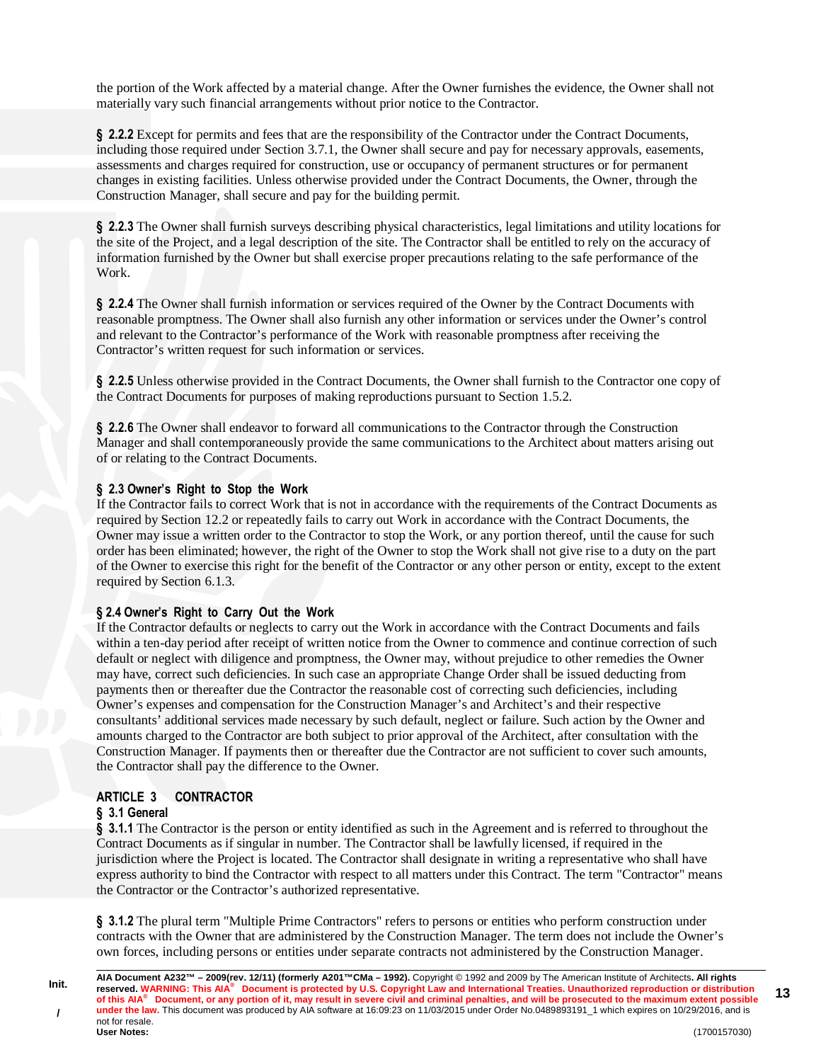the portion of the Work affected by a material change. After the Owner furnishes the evidence, the Owner shall not materially vary such financial arrangements without prior notice to the Contractor.

**§ 2.2.2** Except for permits and fees that are the responsibility of the Contractor under the Contract Documents, including those required under Section 3.7.1, the Owner shall secure and pay for necessary approvals, easements, assessments and charges required for construction, use or occupancy of permanent structures or for permanent changes in existing facilities. Unless otherwise provided under the Contract Documents, the Owner, through the Construction Manager, shall secure and pay for the building permit.

**§ 2.2.3** The Owner shall furnish surveys describing physical characteristics, legal limitations and utility locations for the site of the Project, and a legal description of the site. The Contractor shall be entitled to rely on the accuracy of information furnished by the Owner but shall exercise proper precautions relating to the safe performance of the Work.

**§ 2.2.4** The Owner shall furnish information or services required of the Owner by the Contract Documents with reasonable promptness. The Owner shall also furnish any other information or services under the Owner's control and relevant to the Contractor's performance of the Work with reasonable promptness after receiving the Contractor's written request for such information or services.

**§ 2.2.5** Unless otherwise provided in the Contract Documents, the Owner shall furnish to the Contractor one copy of the Contract Documents for purposes of making reproductions pursuant to Section 1.5.2.

**§ 2.2.6** The Owner shall endeavor to forward all communications to the Contractor through the Construction Manager and shall contemporaneously provide the same communications to the Architect about matters arising out of or relating to the Contract Documents.

#### **§ 2.3 Owner's Right to Stop the Work**

If the Contractor fails to correct Work that is not in accordance with the requirements of the Contract Documents as required by Section 12.2 or repeatedly fails to carry out Work in accordance with the Contract Documents, the Owner may issue a written order to the Contractor to stop the Work, or any portion thereof, until the cause for such order has been eliminated; however, the right of the Owner to stop the Work shall not give rise to a duty on the part of the Owner to exercise this right for the benefit of the Contractor or any other person or entity, except to the extent required by Section 6.1.3.

#### **§ 2.4 Owner's Right to Carry Out the Work**

If the Contractor defaults or neglects to carry out the Work in accordance with the Contract Documents and fails within a ten-day period after receipt of written notice from the Owner to commence and continue correction of such default or neglect with diligence and promptness, the Owner may, without prejudice to other remedies the Owner may have, correct such deficiencies. In such case an appropriate Change Order shall be issued deducting from payments then or thereafter due the Contractor the reasonable cost of correcting such deficiencies, including Owner's expenses and compensation for the Construction Manager's and Architect's and their respective consultants' additional services made necessary by such default, neglect or failure. Such action by the Owner and amounts charged to the Contractor are both subject to prior approval of the Architect, after consultation with the Construction Manager. If payments then or thereafter due the Contractor are not sufficient to cover such amounts, the Contractor shall pay the difference to the Owner.

#### **ARTICLE 3 CONTRACTOR**

#### **§ 3.1 General**

**§ 3.1.1** The Contractor is the person or entity identified as such in the Agreement and is referred to throughout the Contract Documents as if singular in number. The Contractor shall be lawfully licensed, if required in the jurisdiction where the Project is located. The Contractor shall designate in writing a representative who shall have express authority to bind the Contractor with respect to all matters under this Contract. The term "Contractor" means the Contractor or the Contractor's authorized representative.

**§ 3.1.2** The plural term "Multiple Prime Contractors" refers to persons or entities who perform construction under contracts with the Owner that are administered by the Construction Manager. The term does not include the Owner's own forces, including persons or entities under separate contracts not administered by the Construction Manager.

**AIA Document A232™ – 2009(rev. 12/11) (formerly A201™CMa – 1992).** Copyright © 1992 and 2009 by The American Institute of Architects**. All rights reserved. WARNING: This AIA® Document is protected by U.S. Copyright Law and International Treaties. Unauthorized reproduction or distribution of this AIA® Document, or any portion of it, may result in severe civil and criminal penalties, and will be prosecuted to the maximum extent possible under the law.** This document was produced by AIA software at 16:09:23 on 11/03/2015 under Order No.0489893191\_1 which expires on 10/29/2016, and is not for resale.<br>User Notes: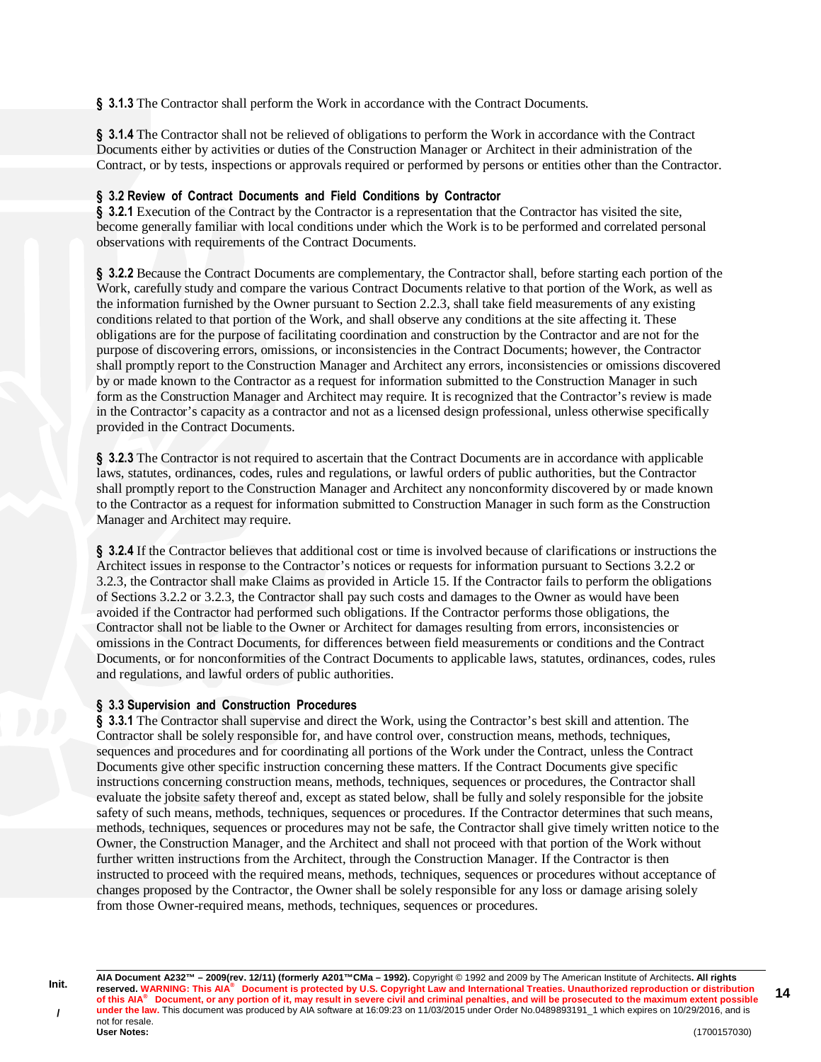**§ 3.1.3** The Contractor shall perform the Work in accordance with the Contract Documents.

**§ 3.1.4** The Contractor shall not be relieved of obligations to perform the Work in accordance with the Contract Documents either by activities or duties of the Construction Manager or Architect in their administration of the Contract, or by tests, inspections or approvals required or performed by persons or entities other than the Contractor.

#### **§ 3.2 Review of Contract Documents and Field Conditions by Contractor**

**§ 3.2.1** Execution of the Contract by the Contractor is a representation that the Contractor has visited the site, become generally familiar with local conditions under which the Work is to be performed and correlated personal observations with requirements of the Contract Documents.

**§ 3.2.2** Because the Contract Documents are complementary, the Contractor shall, before starting each portion of the Work, carefully study and compare the various Contract Documents relative to that portion of the Work, as well as the information furnished by the Owner pursuant to Section 2.2.3, shall take field measurements of any existing conditions related to that portion of the Work, and shall observe any conditions at the site affecting it. These obligations are for the purpose of facilitating coordination and construction by the Contractor and are not for the purpose of discovering errors, omissions, or inconsistencies in the Contract Documents; however, the Contractor shall promptly report to the Construction Manager and Architect any errors, inconsistencies or omissions discovered by or made known to the Contractor as a request for information submitted to the Construction Manager in such form as the Construction Manager and Architect may require. It is recognized that the Contractor's review is made in the Contractor's capacity as a contractor and not as a licensed design professional, unless otherwise specifically provided in the Contract Documents.

**§ 3.2.3** The Contractor is not required to ascertain that the Contract Documents are in accordance with applicable laws, statutes, ordinances, codes, rules and regulations, or lawful orders of public authorities, but the Contractor shall promptly report to the Construction Manager and Architect any nonconformity discovered by or made known to the Contractor as a request for information submitted to Construction Manager in such form as the Construction Manager and Architect may require.

**§ 3.2.4** If the Contractor believes that additional cost or time is involved because of clarifications or instructions the Architect issues in response to the Contractor's notices or requests for information pursuant to Sections 3.2.2 or 3.2.3, the Contractor shall make Claims as provided in Article 15. If the Contractor fails to perform the obligations of Sections 3.2.2 or 3.2.3, the Contractor shall pay such costs and damages to the Owner as would have been avoided if the Contractor had performed such obligations. If the Contractor performs those obligations, the Contractor shall not be liable to the Owner or Architect for damages resulting from errors, inconsistencies or omissions in the Contract Documents, for differences between field measurements or conditions and the Contract Documents, or for nonconformities of the Contract Documents to applicable laws, statutes, ordinances, codes, rules and regulations, and lawful orders of public authorities.

# **§ 3.3 Supervision and Construction Procedures**

**§ 3.3.1** The Contractor shall supervise and direct the Work, using the Contractor's best skill and attention. The Contractor shall be solely responsible for, and have control over, construction means, methods, techniques, sequences and procedures and for coordinating all portions of the Work under the Contract, unless the Contract Documents give other specific instruction concerning these matters. If the Contract Documents give specific instructions concerning construction means, methods, techniques, sequences or procedures, the Contractor shall evaluate the jobsite safety thereof and, except as stated below, shall be fully and solely responsible for the jobsite safety of such means, methods, techniques, sequences or procedures. If the Contractor determines that such means, methods, techniques, sequences or procedures may not be safe, the Contractor shall give timely written notice to the Owner, the Construction Manager, and the Architect and shall not proceed with that portion of the Work without further written instructions from the Architect, through the Construction Manager. If the Contractor is then instructed to proceed with the required means, methods, techniques, sequences or procedures without acceptance of changes proposed by the Contractor, the Owner shall be solely responsible for any loss or damage arising solely from those Owner-required means, methods, techniques, sequences or procedures.

**Init.**

**/**

**AIA Document A232™ – 2009(rev. 12/11) (formerly A201™CMa – 1992).** Copyright © 1992 and 2009 by The American Institute of Architects**. All rights reserved. WARNING: This AIA® Document is protected by U.S. Copyright Law and International Treaties. Unauthorized reproduction or distribution of this AIA® Document, or any portion of it, may result in severe civil and criminal penalties, and will be prosecuted to the maximum extent possible under the law.** This document was produced by AIA software at 16:09:23 on 11/03/2015 under Order No.0489893191\_1 which expires on 10/29/2016, and is not for resale.<br>User Notes: **User Notes:** (1700157030) **14**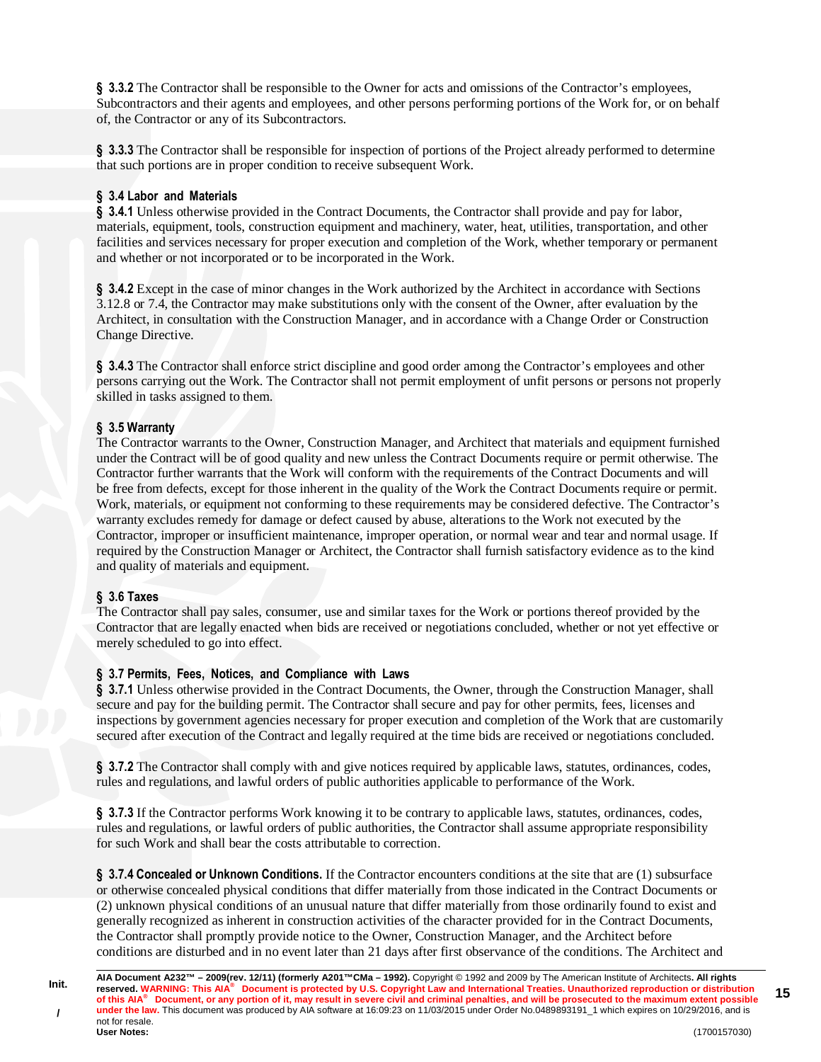**§ 3.3.2** The Contractor shall be responsible to the Owner for acts and omissions of the Contractor's employees, Subcontractors and their agents and employees, and other persons performing portions of the Work for, or on behalf of, the Contractor or any of its Subcontractors.

**§ 3.3.3** The Contractor shall be responsible for inspection of portions of the Project already performed to determine that such portions are in proper condition to receive subsequent Work.

# **§ 3.4 Labor and Materials**

**§ 3.4.1** Unless otherwise provided in the Contract Documents, the Contractor shall provide and pay for labor, materials, equipment, tools, construction equipment and machinery, water, heat, utilities, transportation, and other facilities and services necessary for proper execution and completion of the Work, whether temporary or permanent and whether or not incorporated or to be incorporated in the Work.

**§ 3.4.2** Except in the case of minor changes in the Work authorized by the Architect in accordance with Sections 3.12.8 or 7.4, the Contractor may make substitutions only with the consent of the Owner, after evaluation by the Architect, in consultation with the Construction Manager, and in accordance with a Change Order or Construction Change Directive.

**§ 3.4.3** The Contractor shall enforce strict discipline and good order among the Contractor's employees and other persons carrying out the Work. The Contractor shall not permit employment of unfit persons or persons not properly skilled in tasks assigned to them.

# **§ 3.5 Warranty**

The Contractor warrants to the Owner, Construction Manager, and Architect that materials and equipment furnished under the Contract will be of good quality and new unless the Contract Documents require or permit otherwise. The Contractor further warrants that the Work will conform with the requirements of the Contract Documents and will be free from defects, except for those inherent in the quality of the Work the Contract Documents require or permit. Work, materials, or equipment not conforming to these requirements may be considered defective. The Contractor's warranty excludes remedy for damage or defect caused by abuse, alterations to the Work not executed by the Contractor, improper or insufficient maintenance, improper operation, or normal wear and tear and normal usage. If required by the Construction Manager or Architect, the Contractor shall furnish satisfactory evidence as to the kind and quality of materials and equipment.

# **§ 3.6 Taxes**

**Init.**

**/**

The Contractor shall pay sales, consumer, use and similar taxes for the Work or portions thereof provided by the Contractor that are legally enacted when bids are received or negotiations concluded, whether or not yet effective or merely scheduled to go into effect.

# **§ 3.7 Permits, Fees, Notices, and Compliance with Laws**

**§ 3.7.1** Unless otherwise provided in the Contract Documents, the Owner, through the Construction Manager, shall secure and pay for the building permit. The Contractor shall secure and pay for other permits, fees, licenses and inspections by government agencies necessary for proper execution and completion of the Work that are customarily secured after execution of the Contract and legally required at the time bids are received or negotiations concluded.

**§ 3.7.2** The Contractor shall comply with and give notices required by applicable laws, statutes, ordinances, codes, rules and regulations, and lawful orders of public authorities applicable to performance of the Work.

**§ 3.7.3** If the Contractor performs Work knowing it to be contrary to applicable laws, statutes, ordinances, codes, rules and regulations, or lawful orders of public authorities, the Contractor shall assume appropriate responsibility for such Work and shall bear the costs attributable to correction.

**§ 3.7.4 Concealed or Unknown Conditions.** If the Contractor encounters conditions at the site that are (1) subsurface or otherwise concealed physical conditions that differ materially from those indicated in the Contract Documents or (2) unknown physical conditions of an unusual nature that differ materially from those ordinarily found to exist and generally recognized as inherent in construction activities of the character provided for in the Contract Documents, the Contractor shall promptly provide notice to the Owner, Construction Manager, and the Architect before conditions are disturbed and in no event later than 21 days after first observance of the conditions. The Architect and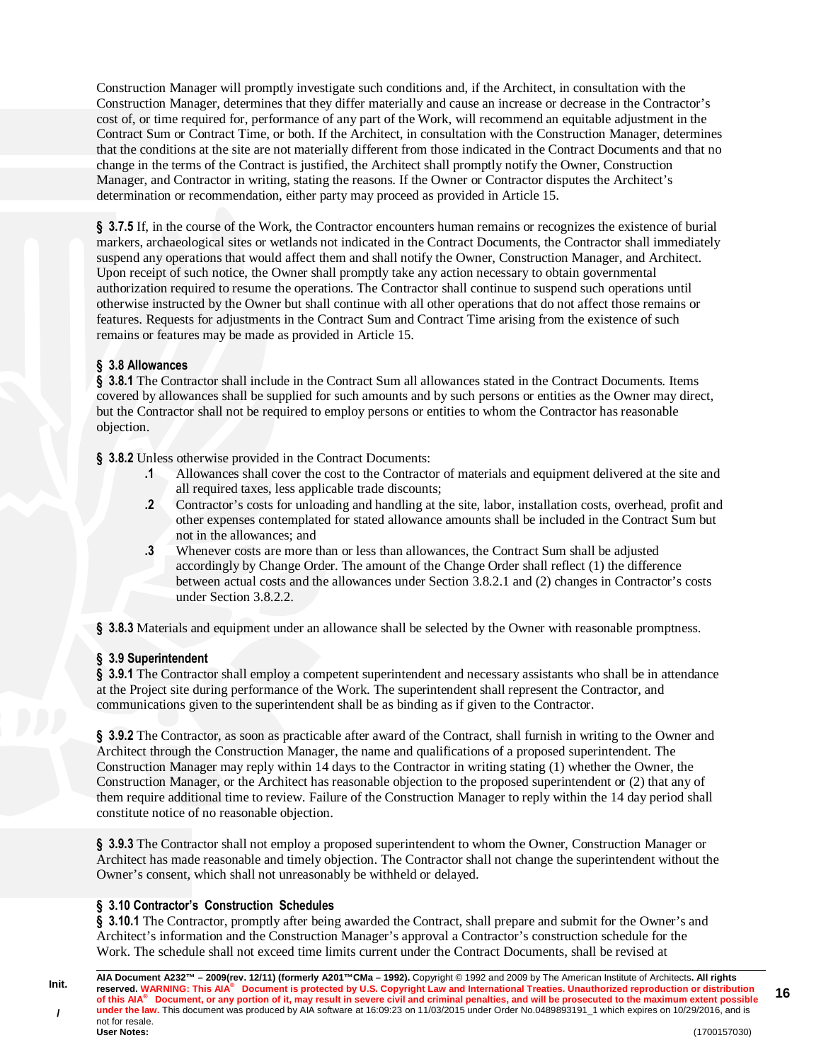Construction Manager will promptly investigate such conditions and, if the Architect, in consultation with the Construction Manager, determines that they differ materially and cause an increase or decrease in the Contractor's cost of, or time required for, performance of any part of the Work, will recommend an equitable adjustment in the Contract Sum or Contract Time, or both. If the Architect, in consultation with the Construction Manager, determines that the conditions at the site are not materially different from those indicated in the Contract Documents and that no change in the terms of the Contract is justified, the Architect shall promptly notify the Owner, Construction Manager, and Contractor in writing, stating the reasons. If the Owner or Contractor disputes the Architect's determination or recommendation, either party may proceed as provided in Article 15.

**§ 3.7.5** If, in the course of the Work, the Contractor encounters human remains or recognizes the existence of burial markers, archaeological sites or wetlands not indicated in the Contract Documents, the Contractor shall immediately suspend any operations that would affect them and shall notify the Owner, Construction Manager, and Architect. Upon receipt of such notice, the Owner shall promptly take any action necessary to obtain governmental authorization required to resume the operations. The Contractor shall continue to suspend such operations until otherwise instructed by the Owner but shall continue with all other operations that do not affect those remains or features. Requests for adjustments in the Contract Sum and Contract Time arising from the existence of such remains or features may be made as provided in Article 15.

# **§ 3.8 Allowances**

**§ 3.8.1** The Contractor shall include in the Contract Sum all allowances stated in the Contract Documents. Items covered by allowances shall be supplied for such amounts and by such persons or entities as the Owner may direct, but the Contractor shall not be required to employ persons or entities to whom the Contractor has reasonable objection.

**§ 3.8.2** Unless otherwise provided in the Contract Documents:

- **.1** Allowances shall cover the cost to the Contractor of materials and equipment delivered at the site and all required taxes, less applicable trade discounts;
- **.2** Contractor's costs for unloading and handling at the site, labor, installation costs, overhead, profit and other expenses contemplated for stated allowance amounts shall be included in the Contract Sum but not in the allowances; and
- **.3** Whenever costs are more than or less than allowances, the Contract Sum shall be adjusted accordingly by Change Order. The amount of the Change Order shall reflect (1) the difference between actual costs and the allowances under Section 3.8.2.1 and (2) changes in Contractor's costs under Section 3.8.2.2.

**§ 3.8.3** Materials and equipment under an allowance shall be selected by the Owner with reasonable promptness.

# **§ 3.9 Superintendent**

**§ 3.9.1** The Contractor shall employ a competent superintendent and necessary assistants who shall be in attendance at the Project site during performance of the Work. The superintendent shall represent the Contractor, and communications given to the superintendent shall be as binding as if given to the Contractor.

**§ 3.9.2** The Contractor, as soon as practicable after award of the Contract, shall furnish in writing to the Owner and Architect through the Construction Manager, the name and qualifications of a proposed superintendent. The Construction Manager may reply within 14 days to the Contractor in writing stating (1) whether the Owner, the Construction Manager, or the Architect has reasonable objection to the proposed superintendent or (2) that any of them require additional time to review. Failure of the Construction Manager to reply within the 14 day period shall constitute notice of no reasonable objection.

**§ 3.9.3** The Contractor shall not employ a proposed superintendent to whom the Owner, Construction Manager or Architect has made reasonable and timely objection. The Contractor shall not change the superintendent without the Owner's consent, which shall not unreasonably be withheld or delayed.

# **§ 3.10 Contractor's Construction Schedules**

**§ 3.10.1** The Contractor, promptly after being awarded the Contract, shall prepare and submit for the Owner's and Architect's information and the Construction Manager's approval a Contractor's construction schedule for the Work. The schedule shall not exceed time limits current under the Contract Documents, shall be revised at

**AIA Document A232™ – 2009(rev. 12/11) (formerly A201™CMa – 1992).** Copyright © 1992 and 2009 by The American Institute of Architects**. All rights reserved. WARNING: This AIA® Document is protected by U.S. Copyright Law and International Treaties. Unauthorized reproduction or distribution of this AIA® Document, or any portion of it, may result in severe civil and criminal penalties, and will be prosecuted to the maximum extent possible under the law.** This document was produced by AIA software at 16:09:23 on 11/03/2015 under Order No.0489893191\_1 which expires on 10/29/2016, and is not for resale.<br>User Notes: **User Notes:** (1700157030) **16**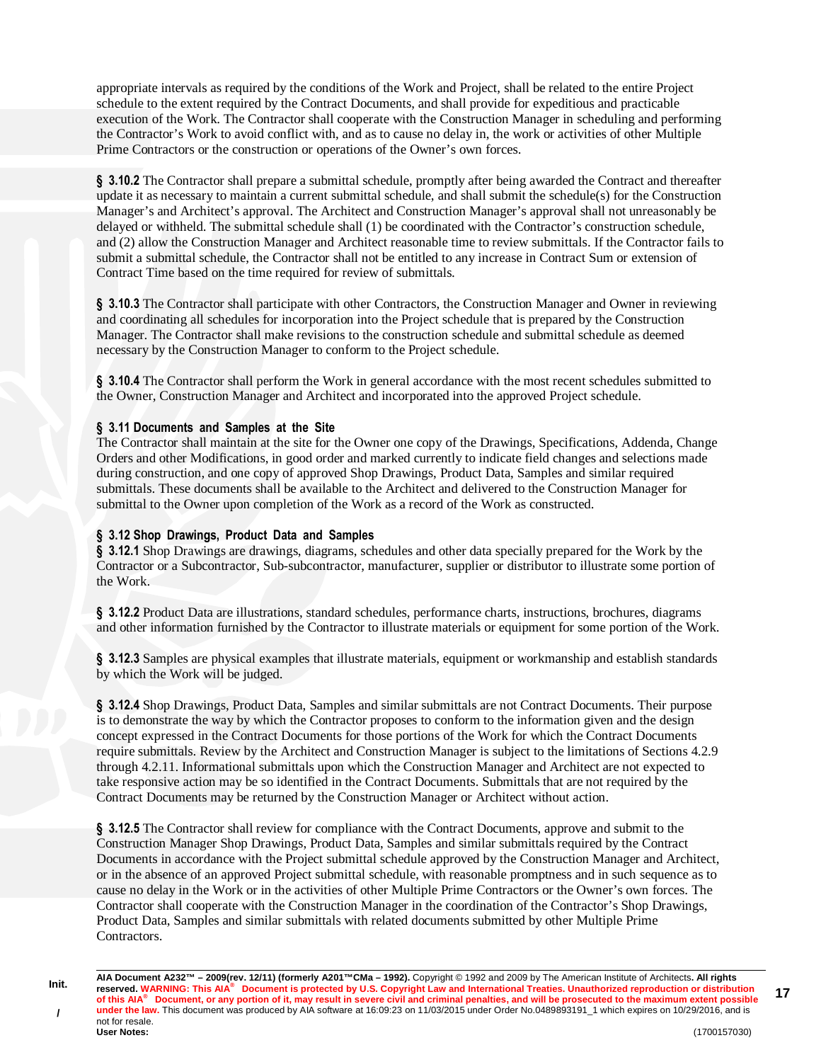appropriate intervals as required by the conditions of the Work and Project, shall be related to the entire Project schedule to the extent required by the Contract Documents, and shall provide for expeditious and practicable execution of the Work. The Contractor shall cooperate with the Construction Manager in scheduling and performing the Contractor's Work to avoid conflict with, and as to cause no delay in, the work or activities of other Multiple Prime Contractors or the construction or operations of the Owner's own forces.

**§ 3.10.2** The Contractor shall prepare a submittal schedule, promptly after being awarded the Contract and thereafter update it as necessary to maintain a current submittal schedule, and shall submit the schedule(s) for the Construction Manager's and Architect's approval. The Architect and Construction Manager's approval shall not unreasonably be delayed or withheld. The submittal schedule shall (1) be coordinated with the Contractor's construction schedule, and (2) allow the Construction Manager and Architect reasonable time to review submittals. If the Contractor fails to submit a submittal schedule, the Contractor shall not be entitled to any increase in Contract Sum or extension of Contract Time based on the time required for review of submittals.

**§ 3.10.3** The Contractor shall participate with other Contractors, the Construction Manager and Owner in reviewing and coordinating all schedules for incorporation into the Project schedule that is prepared by the Construction Manager. The Contractor shall make revisions to the construction schedule and submittal schedule as deemed necessary by the Construction Manager to conform to the Project schedule.

**§ 3.10.4** The Contractor shall perform the Work in general accordance with the most recent schedules submitted to the Owner, Construction Manager and Architect and incorporated into the approved Project schedule.

#### **§ 3.11 Documents and Samples at the Site**

The Contractor shall maintain at the site for the Owner one copy of the Drawings, Specifications, Addenda, Change Orders and other Modifications, in good order and marked currently to indicate field changes and selections made during construction, and one copy of approved Shop Drawings, Product Data, Samples and similar required submittals. These documents shall be available to the Architect and delivered to the Construction Manager for submittal to the Owner upon completion of the Work as a record of the Work as constructed.

# **§ 3.12 Shop Drawings, Product Data and Samples**

**§ 3.12.1** Shop Drawings are drawings, diagrams, schedules and other data specially prepared for the Work by the Contractor or a Subcontractor, Sub-subcontractor, manufacturer, supplier or distributor to illustrate some portion of the Work.

**§ 3.12.2** Product Data are illustrations, standard schedules, performance charts, instructions, brochures, diagrams and other information furnished by the Contractor to illustrate materials or equipment for some portion of the Work.

**§ 3.12.3** Samples are physical examples that illustrate materials, equipment or workmanship and establish standards by which the Work will be judged.

**§ 3.12.4** Shop Drawings, Product Data, Samples and similar submittals are not Contract Documents. Their purpose is to demonstrate the way by which the Contractor proposes to conform to the information given and the design concept expressed in the Contract Documents for those portions of the Work for which the Contract Documents require submittals. Review by the Architect and Construction Manager is subject to the limitations of Sections 4.2.9 through 4.2.11. Informational submittals upon which the Construction Manager and Architect are not expected to take responsive action may be so identified in the Contract Documents. Submittals that are not required by the Contract Documents may be returned by the Construction Manager or Architect without action.

**§ 3.12.5** The Contractor shall review for compliance with the Contract Documents, approve and submit to the Construction Manager Shop Drawings, Product Data, Samples and similar submittals required by the Contract Documents in accordance with the Project submittal schedule approved by the Construction Manager and Architect, or in the absence of an approved Project submittal schedule, with reasonable promptness and in such sequence as to cause no delay in the Work or in the activities of other Multiple Prime Contractors or the Owner's own forces. The Contractor shall cooperate with the Construction Manager in the coordination of the Contractor's Shop Drawings, Product Data, Samples and similar submittals with related documents submitted by other Multiple Prime Contractors.

**/**

**Init.**

**AIA Document A232™ – 2009(rev. 12/11) (formerly A201™CMa – 1992).** Copyright © 1992 and 2009 by The American Institute of Architects**. All rights reserved. WARNING: This AIA® Document is protected by U.S. Copyright Law and International Treaties. Unauthorized reproduction or distribution of this AIA® Document, or any portion of it, may result in severe civil and criminal penalties, and will be prosecuted to the maximum extent possible under the law.** This document was produced by AIA software at 16:09:23 on 11/03/2015 under Order No.0489893191\_1 which expires on 10/29/2016, and is not for resale.<br>User Notes: **17**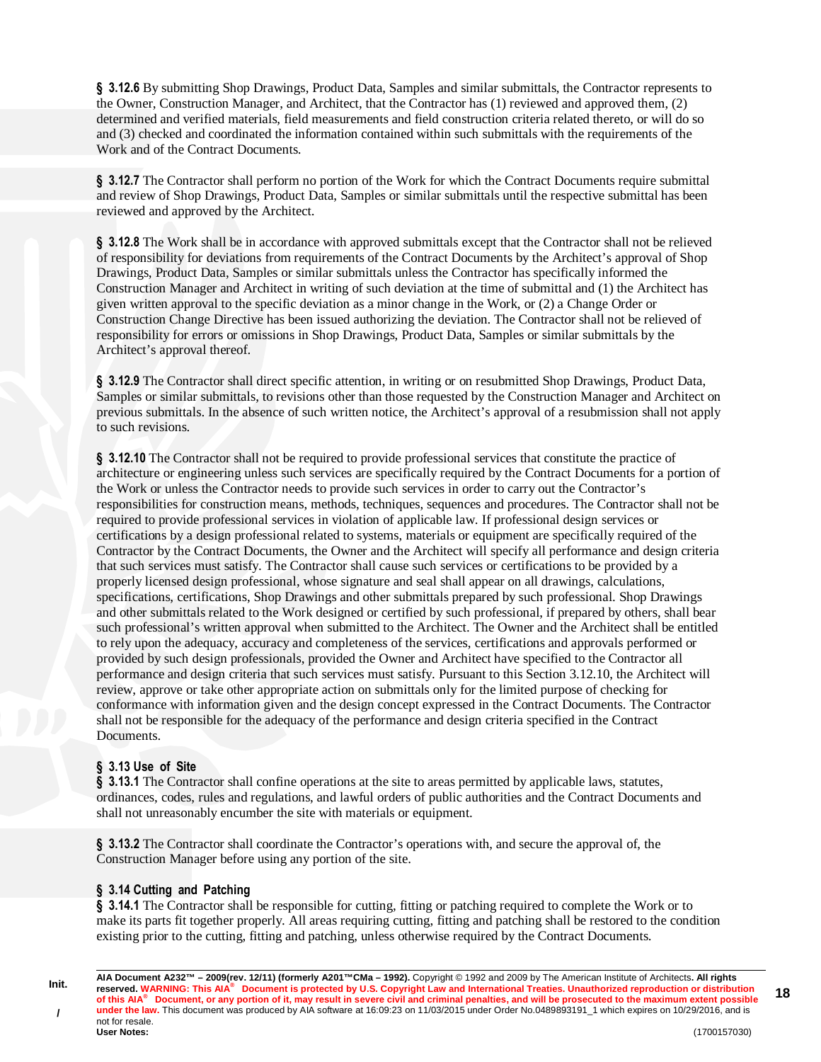**§ 3.12.6** By submitting Shop Drawings, Product Data, Samples and similar submittals, the Contractor represents to the Owner, Construction Manager, and Architect, that the Contractor has (1) reviewed and approved them, (2) determined and verified materials, field measurements and field construction criteria related thereto, or will do so and (3) checked and coordinated the information contained within such submittals with the requirements of the Work and of the Contract Documents.

**§ 3.12.7** The Contractor shall perform no portion of the Work for which the Contract Documents require submittal and review of Shop Drawings, Product Data, Samples or similar submittals until the respective submittal has been reviewed and approved by the Architect.

**§ 3.12.8** The Work shall be in accordance with approved submittals except that the Contractor shall not be relieved of responsibility for deviations from requirements of the Contract Documents by the Architect's approval of Shop Drawings, Product Data, Samples or similar submittals unless the Contractor has specifically informed the Construction Manager and Architect in writing of such deviation at the time of submittal and (1) the Architect has given written approval to the specific deviation as a minor change in the Work, or (2) a Change Order or Construction Change Directive has been issued authorizing the deviation. The Contractor shall not be relieved of responsibility for errors or omissions in Shop Drawings, Product Data, Samples or similar submittals by the Architect's approval thereof.

**§ 3.12.9** The Contractor shall direct specific attention, in writing or on resubmitted Shop Drawings, Product Data, Samples or similar submittals, to revisions other than those requested by the Construction Manager and Architect on previous submittals. In the absence of such written notice, the Architect's approval of a resubmission shall not apply to such revisions.

**§ 3.12.10** The Contractor shall not be required to provide professional services that constitute the practice of architecture or engineering unless such services are specifically required by the Contract Documents for a portion of the Work or unless the Contractor needs to provide such services in order to carry out the Contractor's responsibilities for construction means, methods, techniques, sequences and procedures. The Contractor shall not be required to provide professional services in violation of applicable law. If professional design services or certifications by a design professional related to systems, materials or equipment are specifically required of the Contractor by the Contract Documents, the Owner and the Architect will specify all performance and design criteria that such services must satisfy. The Contractor shall cause such services or certifications to be provided by a properly licensed design professional, whose signature and seal shall appear on all drawings, calculations, specifications, certifications, Shop Drawings and other submittals prepared by such professional. Shop Drawings and other submittals related to the Work designed or certified by such professional, if prepared by others, shall bear such professional's written approval when submitted to the Architect. The Owner and the Architect shall be entitled to rely upon the adequacy, accuracy and completeness of the services, certifications and approvals performed or provided by such design professionals, provided the Owner and Architect have specified to the Contractor all performance and design criteria that such services must satisfy. Pursuant to this Section 3.12.10, the Architect will review, approve or take other appropriate action on submittals only for the limited purpose of checking for conformance with information given and the design concept expressed in the Contract Documents. The Contractor shall not be responsible for the adequacy of the performance and design criteria specified in the Contract Documents.

#### **§ 3.13 Use of Site**

**§ 3.13.1** The Contractor shall confine operations at the site to areas permitted by applicable laws, statutes, ordinances, codes, rules and regulations, and lawful orders of public authorities and the Contract Documents and shall not unreasonably encumber the site with materials or equipment.

**§ 3.13.2** The Contractor shall coordinate the Contractor's operations with, and secure the approval of, the Construction Manager before using any portion of the site.

#### **§ 3.14 Cutting and Patching**

**§ 3.14.1** The Contractor shall be responsible for cutting, fitting or patching required to complete the Work or to make its parts fit together properly. All areas requiring cutting, fitting and patching shall be restored to the condition existing prior to the cutting, fitting and patching, unless otherwise required by the Contract Documents.

**/**

**AIA Document A232™ – 2009(rev. 12/11) (formerly A201™CMa – 1992).** Copyright © 1992 and 2009 by The American Institute of Architects**. All rights reserved. WARNING: This AIA® Document is protected by U.S. Copyright Law and International Treaties. Unauthorized reproduction or distribution of this AIA® Document, or any portion of it, may result in severe civil and criminal penalties, and will be prosecuted to the maximum extent possible under the law.** This document was produced by AIA software at 16:09:23 on 11/03/2015 under Order No.0489893191\_1 which expires on 10/29/2016, and is not for resale.<br>User Notes: **User Notes:** (1700157030)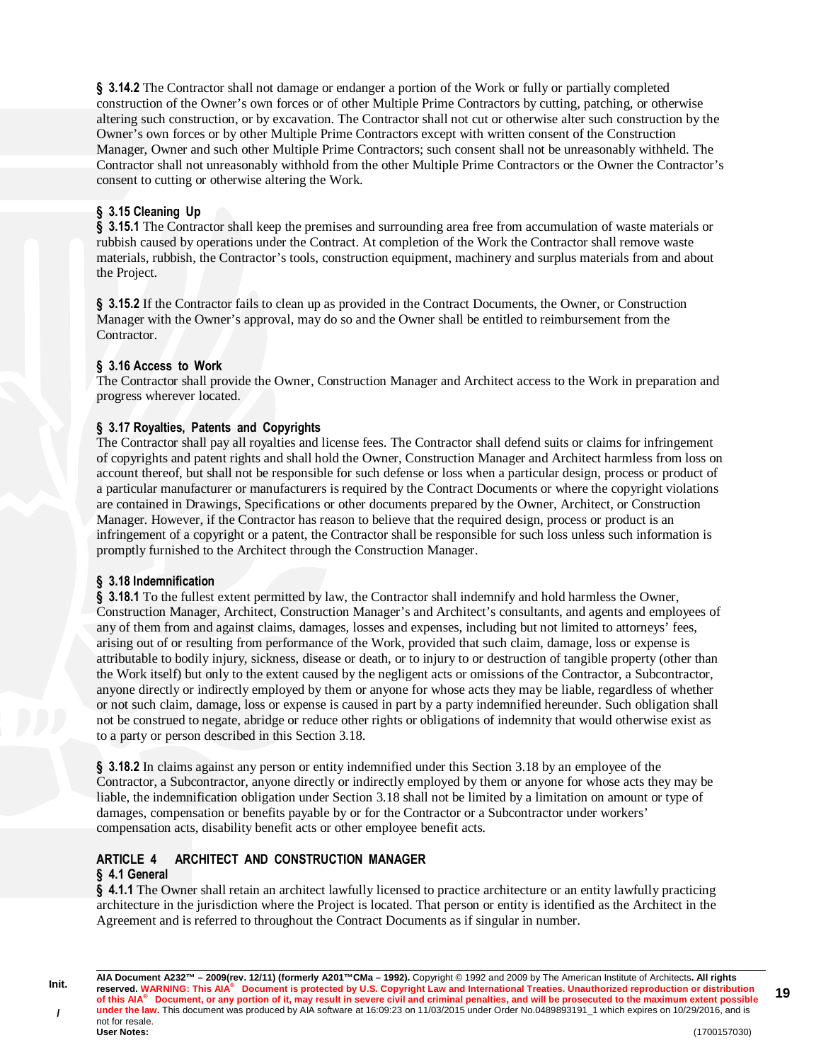**§ 3.14.2** The Contractor shall not damage or endanger a portion of the Work or fully or partially completed construction of the Owner's own forces or of other Multiple Prime Contractors by cutting, patching, or otherwise altering such construction, or by excavation. The Contractor shall not cut or otherwise alter such construction by the Owner's own forces or by other Multiple Prime Contractors except with written consent of the Construction Manager, Owner and such other Multiple Prime Contractors; such consent shall not be unreasonably withheld. The Contractor shall not unreasonably withhold from the other Multiple Prime Contractors or the Owner the Contractor's consent to cutting or otherwise altering the Work.

# **§ 3.15 Cleaning Up**

**§ 3.15.1** The Contractor shall keep the premises and surrounding area free from accumulation of waste materials or rubbish caused by operations under the Contract. At completion of the Work the Contractor shall remove waste materials, rubbish, the Contractor's tools, construction equipment, machinery and surplus materials from and about the Project.

**§ 3.15.2** If the Contractor fails to clean up as provided in the Contract Documents, the Owner, or Construction Manager with the Owner's approval, may do so and the Owner shall be entitled to reimbursement from the Contractor.

# **§ 3.16 Access to Work**

The Contractor shall provide the Owner, Construction Manager and Architect access to the Work in preparation and progress wherever located.

# **§ 3.17 Royalties, Patents and Copyrights**

The Contractor shall pay all royalties and license fees. The Contractor shall defend suits or claims for infringement of copyrights and patent rights and shall hold the Owner, Construction Manager and Architect harmless from loss on account thereof, but shall not be responsible for such defense or loss when a particular design, process or product of a particular manufacturer or manufacturers is required by the Contract Documents or where the copyright violations are contained in Drawings, Specifications or other documents prepared by the Owner, Architect, or Construction Manager. However, if the Contractor has reason to believe that the required design, process or product is an infringement of a copyright or a patent, the Contractor shall be responsible for such loss unless such information is promptly furnished to the Architect through the Construction Manager.

#### **§ 3.18 Indemnification**

**§ 3.18.1** To the fullest extent permitted by law, the Contractor shall indemnify and hold harmless the Owner, Construction Manager, Architect, Construction Manager's and Architect's consultants, and agents and employees of any of them from and against claims, damages, losses and expenses, including but not limited to attorneys' fees, arising out of or resulting from performance of the Work, provided that such claim, damage, loss or expense is attributable to bodily injury, sickness, disease or death, or to injury to or destruction of tangible property (other than the Work itself) but only to the extent caused by the negligent acts or omissions of the Contractor, a Subcontractor, anyone directly or indirectly employed by them or anyone for whose acts they may be liable, regardless of whether or not such claim, damage, loss or expense is caused in part by a party indemnified hereunder. Such obligation shall not be construed to negate, abridge or reduce other rights or obligations of indemnity that would otherwise exist as to a party or person described in this Section 3.18.

**§ 3.18.2** In claims against any person or entity indemnified under this Section 3.18 by an employee of the Contractor, a Subcontractor, anyone directly or indirectly employed by them or anyone for whose acts they may be liable, the indemnification obligation under Section 3.18 shall not be limited by a limitation on amount or type of damages, compensation or benefits payable by or for the Contractor or a Subcontractor under workers' compensation acts, disability benefit acts or other employee benefit acts.

# **ARTICLE 4 ARCHITECT AND CONSTRUCTION MANAGER § 4.1 General**

**§ 4.1.1** The Owner shall retain an architect lawfully licensed to practice architecture or an entity lawfully practicing architecture in the jurisdiction where the Project is located. That person or entity is identified as the Architect in the Agreement and is referred to throughout the Contract Documents as if singular in number.

**Init.**

**/**

**AIA Document A232™ – 2009(rev. 12/11) (formerly A201™CMa – 1992).** Copyright © 1992 and 2009 by The American Institute of Architects**. All rights reserved. WARNING: This AIA® Document is protected by U.S. Copyright Law and International Treaties. Unauthorized reproduction or distribution of this AIA® Document, or any portion of it, may result in severe civil and criminal penalties, and will be prosecuted to the maximum extent possible under the law.** This document was produced by AIA software at 16:09:23 on 11/03/2015 under Order No.0489893191\_1 which expires on 10/29/2016, and is not for resale.<br>User Notes: **User Notes:** (1700157030)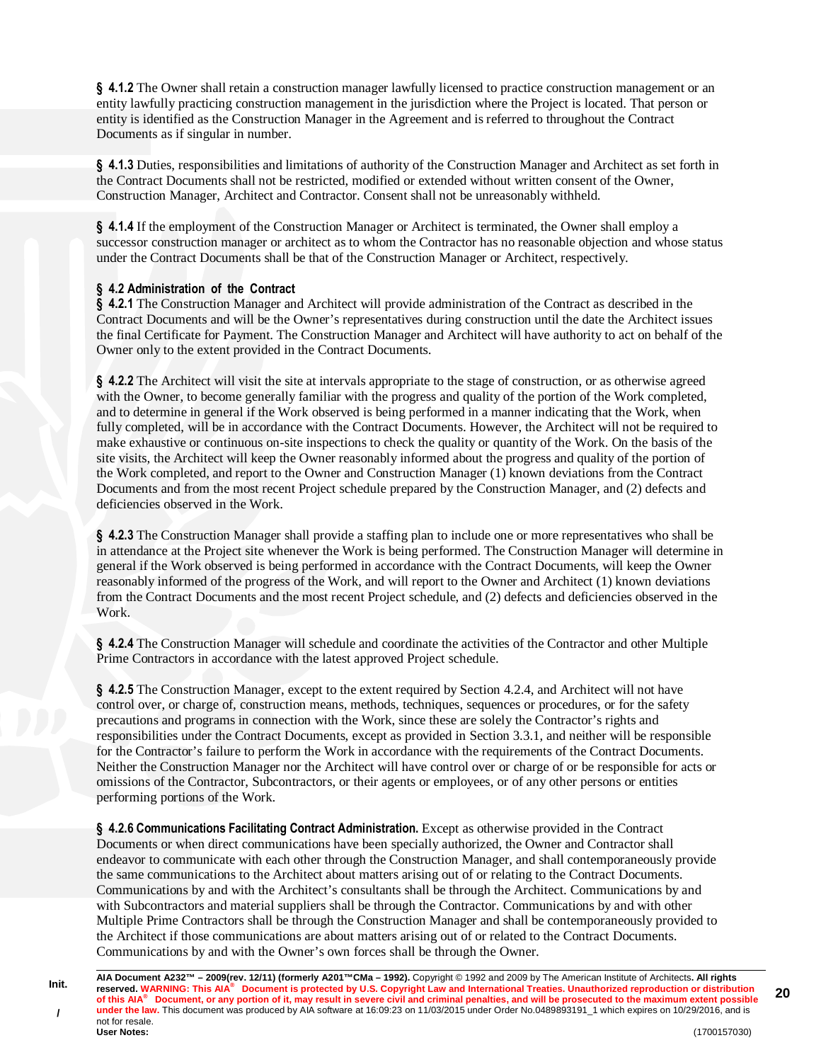**§ 4.1.2** The Owner shall retain a construction manager lawfully licensed to practice construction management or an entity lawfully practicing construction management in the jurisdiction where the Project is located. That person or entity is identified as the Construction Manager in the Agreement and is referred to throughout the Contract Documents as if singular in number.

**§ 4.1.3** Duties, responsibilities and limitations of authority of the Construction Manager and Architect as set forth in the Contract Documents shall not be restricted, modified or extended without written consent of the Owner, Construction Manager, Architect and Contractor. Consent shall not be unreasonably withheld.

**§ 4.1.4** If the employment of the Construction Manager or Architect is terminated, the Owner shall employ a successor construction manager or architect as to whom the Contractor has no reasonable objection and whose status under the Contract Documents shall be that of the Construction Manager or Architect, respectively.

#### **§ 4.2 Administration of the Contract**

**Init.**

**/**

**§ 4.2.1** The Construction Manager and Architect will provide administration of the Contract as described in the Contract Documents and will be the Owner's representatives during construction until the date the Architect issues the final Certificate for Payment. The Construction Manager and Architect will have authority to act on behalf of the Owner only to the extent provided in the Contract Documents.

**§ 4.2.2** The Architect will visit the site at intervals appropriate to the stage of construction, or as otherwise agreed with the Owner, to become generally familiar with the progress and quality of the portion of the Work completed, and to determine in general if the Work observed is being performed in a manner indicating that the Work, when fully completed, will be in accordance with the Contract Documents. However, the Architect will not be required to make exhaustive or continuous on-site inspections to check the quality or quantity of the Work. On the basis of the site visits, the Architect will keep the Owner reasonably informed about the progress and quality of the portion of the Work completed, and report to the Owner and Construction Manager (1) known deviations from the Contract Documents and from the most recent Project schedule prepared by the Construction Manager, and (2) defects and deficiencies observed in the Work.

**§ 4.2.3** The Construction Manager shall provide a staffing plan to include one or more representatives who shall be in attendance at the Project site whenever the Work is being performed. The Construction Manager will determine in general if the Work observed is being performed in accordance with the Contract Documents, will keep the Owner reasonably informed of the progress of the Work, and will report to the Owner and Architect (1) known deviations from the Contract Documents and the most recent Project schedule, and (2) defects and deficiencies observed in the Work.

**§ 4.2.4** The Construction Manager will schedule and coordinate the activities of the Contractor and other Multiple Prime Contractors in accordance with the latest approved Project schedule.

**§ 4.2.5** The Construction Manager, except to the extent required by Section 4.2.4, and Architect will not have control over, or charge of, construction means, methods, techniques, sequences or procedures, or for the safety precautions and programs in connection with the Work, since these are solely the Contractor's rights and responsibilities under the Contract Documents, except as provided in Section 3.3.1, and neither will be responsible for the Contractor's failure to perform the Work in accordance with the requirements of the Contract Documents. Neither the Construction Manager nor the Architect will have control over or charge of or be responsible for acts or omissions of the Contractor, Subcontractors, or their agents or employees, or of any other persons or entities performing portions of the Work.

**§ 4.2.6 Communications Facilitating Contract Administration.** Except as otherwise provided in the Contract Documents or when direct communications have been specially authorized, the Owner and Contractor shall endeavor to communicate with each other through the Construction Manager, and shall contemporaneously provide the same communications to the Architect about matters arising out of or relating to the Contract Documents. Communications by and with the Architect's consultants shall be through the Architect. Communications by and with Subcontractors and material suppliers shall be through the Contractor. Communications by and with other Multiple Prime Contractors shall be through the Construction Manager and shall be contemporaneously provided to the Architect if those communications are about matters arising out of or related to the Contract Documents. Communications by and with the Owner's own forces shall be through the Owner.

**AIA Document A232™ – 2009(rev. 12/11) (formerly A201™CMa – 1992).** Copyright © 1992 and 2009 by The American Institute of Architects**. All rights reserved. WARNING: This AIA® Document is protected by U.S. Copyright Law and International Treaties. Unauthorized reproduction or distribution of this AIA® Document, or any portion of it, may result in severe civil and criminal penalties, and will be prosecuted to the maximum extent possible under the law.** This document was produced by AIA software at 16:09:23 on 11/03/2015 under Order No.0489893191\_1 which expires on 10/29/2016, and is not for resale.<br>User Notes: **User Notes:** (1700157030)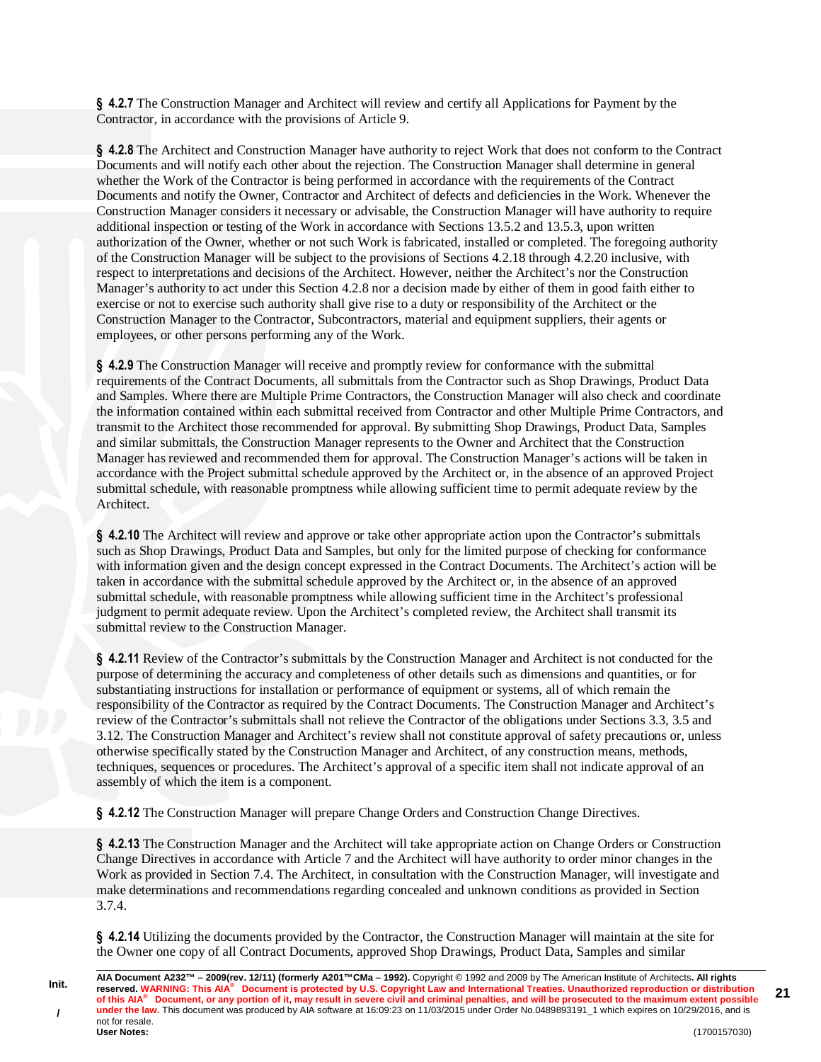**§ 4.2.7** The Construction Manager and Architect will review and certify all Applications for Payment by the Contractor, in accordance with the provisions of Article 9.

**§ 4.2.8** The Architect and Construction Manager have authority to reject Work that does not conform to the Contract Documents and will notify each other about the rejection. The Construction Manager shall determine in general whether the Work of the Contractor is being performed in accordance with the requirements of the Contract Documents and notify the Owner, Contractor and Architect of defects and deficiencies in the Work. Whenever the Construction Manager considers it necessary or advisable, the Construction Manager will have authority to require additional inspection or testing of the Work in accordance with Sections 13.5.2 and 13.5.3, upon written authorization of the Owner, whether or not such Work is fabricated, installed or completed. The foregoing authority of the Construction Manager will be subject to the provisions of Sections 4.2.18 through 4.2.20 inclusive, with respect to interpretations and decisions of the Architect. However, neither the Architect's nor the Construction Manager's authority to act under this Section 4.2.8 nor a decision made by either of them in good faith either to exercise or not to exercise such authority shall give rise to a duty or responsibility of the Architect or the Construction Manager to the Contractor, Subcontractors, material and equipment suppliers, their agents or employees, or other persons performing any of the Work.

**§ 4.2.9** The Construction Manager will receive and promptly review for conformance with the submittal requirements of the Contract Documents, all submittals from the Contractor such as Shop Drawings, Product Data and Samples. Where there are Multiple Prime Contractors, the Construction Manager will also check and coordinate the information contained within each submittal received from Contractor and other Multiple Prime Contractors, and transmit to the Architect those recommended for approval. By submitting Shop Drawings, Product Data, Samples and similar submittals, the Construction Manager represents to the Owner and Architect that the Construction Manager has reviewed and recommended them for approval. The Construction Manager's actions will be taken in accordance with the Project submittal schedule approved by the Architect or, in the absence of an approved Project submittal schedule, with reasonable promptness while allowing sufficient time to permit adequate review by the Architect.

**§ 4.2.10** The Architect will review and approve or take other appropriate action upon the Contractor's submittals such as Shop Drawings, Product Data and Samples, but only for the limited purpose of checking for conformance with information given and the design concept expressed in the Contract Documents. The Architect's action will be taken in accordance with the submittal schedule approved by the Architect or, in the absence of an approved submittal schedule, with reasonable promptness while allowing sufficient time in the Architect's professional judgment to permit adequate review. Upon the Architect's completed review, the Architect shall transmit its submittal review to the Construction Manager.

**§ 4.2.11** Review of the Contractor's submittals by the Construction Manager and Architect is not conducted for the purpose of determining the accuracy and completeness of other details such as dimensions and quantities, or for substantiating instructions for installation or performance of equipment or systems, all of which remain the responsibility of the Contractor as required by the Contract Documents. The Construction Manager and Architect's review of the Contractor's submittals shall not relieve the Contractor of the obligations under Sections 3.3, 3.5 and 3.12. The Construction Manager and Architect's review shall not constitute approval of safety precautions or, unless otherwise specifically stated by the Construction Manager and Architect, of any construction means, methods, techniques, sequences or procedures. The Architect's approval of a specific item shall not indicate approval of an assembly of which the item is a component.

**§ 4.2.12** The Construction Manager will prepare Change Orders and Construction Change Directives.

**Init.**

**/**

**§ 4.2.13** The Construction Manager and the Architect will take appropriate action on Change Orders or Construction Change Directives in accordance with Article 7 and the Architect will have authority to order minor changes in the Work as provided in Section 7.4. The Architect, in consultation with the Construction Manager, will investigate and make determinations and recommendations regarding concealed and unknown conditions as provided in Section 3.7.4.

**§ 4.2.14** Utilizing the documents provided by the Contractor, the Construction Manager will maintain at the site for the Owner one copy of all Contract Documents, approved Shop Drawings, Product Data, Samples and similar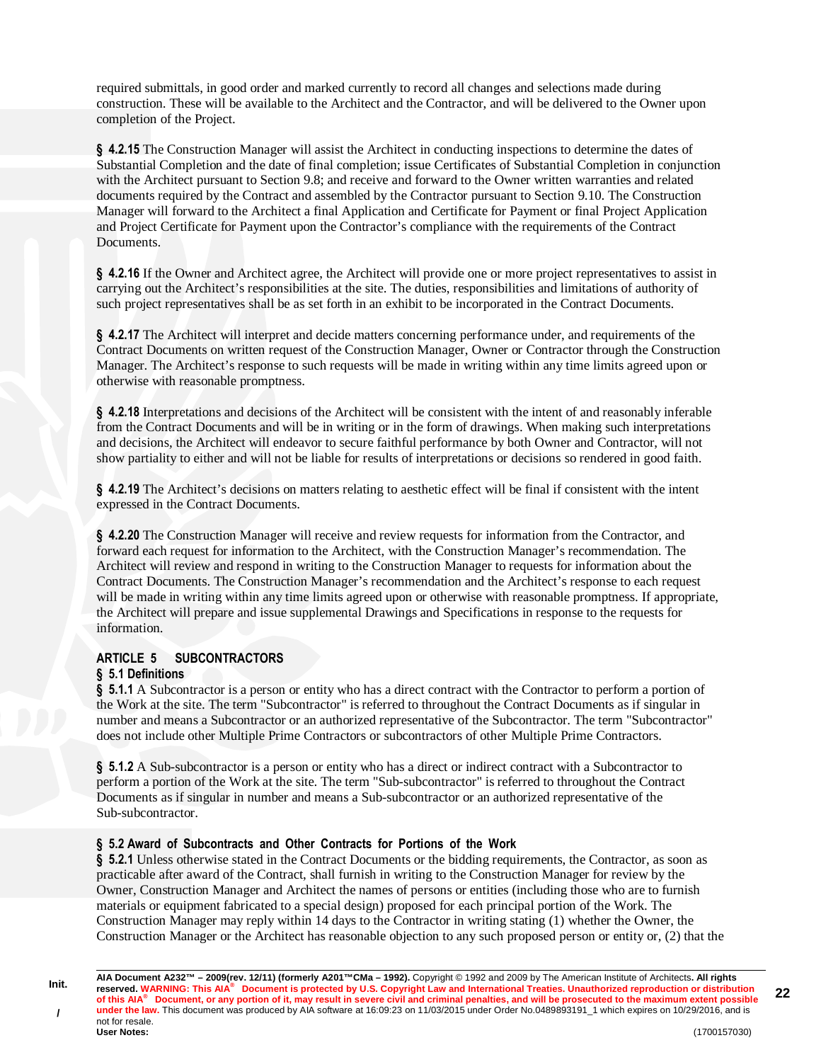required submittals, in good order and marked currently to record all changes and selections made during construction. These will be available to the Architect and the Contractor, and will be delivered to the Owner upon completion of the Project.

**§ 4.2.15** The Construction Manager will assist the Architect in conducting inspections to determine the dates of Substantial Completion and the date of final completion; issue Certificates of Substantial Completion in conjunction with the Architect pursuant to Section 9.8; and receive and forward to the Owner written warranties and related documents required by the Contract and assembled by the Contractor pursuant to Section 9.10. The Construction Manager will forward to the Architect a final Application and Certificate for Payment or final Project Application and Project Certificate for Payment upon the Contractor's compliance with the requirements of the Contract Documents.

**§ 4.2.16** If the Owner and Architect agree, the Architect will provide one or more project representatives to assist in carrying out the Architect's responsibilities at the site. The duties, responsibilities and limitations of authority of such project representatives shall be as set forth in an exhibit to be incorporated in the Contract Documents.

**§ 4.2.17** The Architect will interpret and decide matters concerning performance under, and requirements of the Contract Documents on written request of the Construction Manager, Owner or Contractor through the Construction Manager. The Architect's response to such requests will be made in writing within any time limits agreed upon or otherwise with reasonable promptness.

**§ 4.2.18** Interpretations and decisions of the Architect will be consistent with the intent of and reasonably inferable from the Contract Documents and will be in writing or in the form of drawings. When making such interpretations and decisions, the Architect will endeavor to secure faithful performance by both Owner and Contractor, will not show partiality to either and will not be liable for results of interpretations or decisions so rendered in good faith.

**§ 4.2.19** The Architect's decisions on matters relating to aesthetic effect will be final if consistent with the intent expressed in the Contract Documents.

**§ 4.2.20** The Construction Manager will receive and review requests for information from the Contractor, and forward each request for information to the Architect, with the Construction Manager's recommendation. The Architect will review and respond in writing to the Construction Manager to requests for information about the Contract Documents. The Construction Manager's recommendation and the Architect's response to each request will be made in writing within any time limits agreed upon or otherwise with reasonable promptness. If appropriate, the Architect will prepare and issue supplemental Drawings and Specifications in response to the requests for information.

# **ARTICLE 5 SUBCONTRACTORS**

#### **§ 5.1 Definitions**

**§ 5.1.1** A Subcontractor is a person or entity who has a direct contract with the Contractor to perform a portion of the Work at the site. The term "Subcontractor" is referred to throughout the Contract Documents as if singular in number and means a Subcontractor or an authorized representative of the Subcontractor. The term "Subcontractor" does not include other Multiple Prime Contractors or subcontractors of other Multiple Prime Contractors.

**§ 5.1.2** A Sub-subcontractor is a person or entity who has a direct or indirect contract with a Subcontractor to perform a portion of the Work at the site. The term "Sub-subcontractor" is referred to throughout the Contract Documents as if singular in number and means a Sub-subcontractor or an authorized representative of the Sub-subcontractor.

#### **§ 5.2 Award of Subcontracts and Other Contracts for Portions of the Work**

**§ 5.2.1** Unless otherwise stated in the Contract Documents or the bidding requirements, the Contractor, as soon as practicable after award of the Contract, shall furnish in writing to the Construction Manager for review by the Owner, Construction Manager and Architect the names of persons or entities (including those who are to furnish materials or equipment fabricated to a special design) proposed for each principal portion of the Work. The Construction Manager may reply within 14 days to the Contractor in writing stating (1) whether the Owner, the Construction Manager or the Architect has reasonable objection to any such proposed person or entity or, (2) that the

**Init.**

**/**

**AIA Document A232™ – 2009(rev. 12/11) (formerly A201™CMa – 1992).** Copyright © 1992 and 2009 by The American Institute of Architects**. All rights reserved. WARNING: This AIA® Document is protected by U.S. Copyright Law and International Treaties. Unauthorized reproduction or distribution of this AIA® Document, or any portion of it, may result in severe civil and criminal penalties, and will be prosecuted to the maximum extent possible under the law.** This document was produced by AIA software at 16:09:23 on 11/03/2015 under Order No.0489893191\_1 which expires on 10/29/2016, and is not for resale.<br>User Notes: **User Notes:** (1700157030)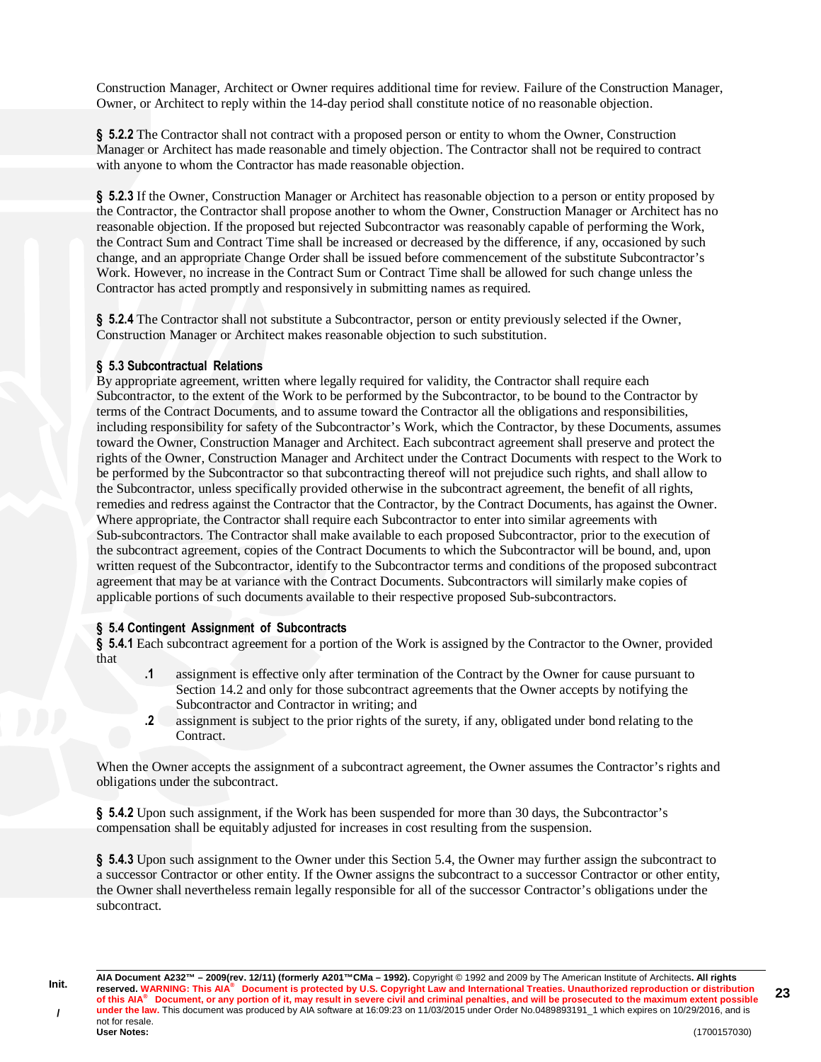Construction Manager, Architect or Owner requires additional time for review. Failure of the Construction Manager, Owner, or Architect to reply within the 14-day period shall constitute notice of no reasonable objection.

**§ 5.2.2** The Contractor shall not contract with a proposed person or entity to whom the Owner, Construction Manager or Architect has made reasonable and timely objection. The Contractor shall not be required to contract with anyone to whom the Contractor has made reasonable objection.

**§ 5.2.3** If the Owner, Construction Manager or Architect has reasonable objection to a person or entity proposed by the Contractor, the Contractor shall propose another to whom the Owner, Construction Manager or Architect has no reasonable objection. If the proposed but rejected Subcontractor was reasonably capable of performing the Work, the Contract Sum and Contract Time shall be increased or decreased by the difference, if any, occasioned by such change, and an appropriate Change Order shall be issued before commencement of the substitute Subcontractor's Work. However, no increase in the Contract Sum or Contract Time shall be allowed for such change unless the Contractor has acted promptly and responsively in submitting names as required.

**§ 5.2.4** The Contractor shall not substitute a Subcontractor, person or entity previously selected if the Owner, Construction Manager or Architect makes reasonable objection to such substitution.

#### **§ 5.3 Subcontractual Relations**

By appropriate agreement, written where legally required for validity, the Contractor shall require each Subcontractor, to the extent of the Work to be performed by the Subcontractor, to be bound to the Contractor by terms of the Contract Documents, and to assume toward the Contractor all the obligations and responsibilities, including responsibility for safety of the Subcontractor's Work, which the Contractor, by these Documents, assumes toward the Owner, Construction Manager and Architect. Each subcontract agreement shall preserve and protect the rights of the Owner, Construction Manager and Architect under the Contract Documents with respect to the Work to be performed by the Subcontractor so that subcontracting thereof will not prejudice such rights, and shall allow to the Subcontractor, unless specifically provided otherwise in the subcontract agreement, the benefit of all rights, remedies and redress against the Contractor that the Contractor, by the Contract Documents, has against the Owner. Where appropriate, the Contractor shall require each Subcontractor to enter into similar agreements with Sub-subcontractors. The Contractor shall make available to each proposed Subcontractor, prior to the execution of the subcontract agreement, copies of the Contract Documents to which the Subcontractor will be bound, and, upon written request of the Subcontractor, identify to the Subcontractor terms and conditions of the proposed subcontract agreement that may be at variance with the Contract Documents. Subcontractors will similarly make copies of applicable portions of such documents available to their respective proposed Sub-subcontractors.

# **§ 5.4 Contingent Assignment of Subcontracts**

**§ 5.4.1** Each subcontract agreement for a portion of the Work is assigned by the Contractor to the Owner, provided that

- **.1** assignment is effective only after termination of the Contract by the Owner for cause pursuant to Section 14.2 and only for those subcontract agreements that the Owner accepts by notifying the Subcontractor and Contractor in writing; and
- **.2** assignment is subject to the prior rights of the surety, if any, obligated under bond relating to the Contract.

When the Owner accepts the assignment of a subcontract agreement, the Owner assumes the Contractor's rights and obligations under the subcontract.

**§ 5.4.2** Upon such assignment, if the Work has been suspended for more than 30 days, the Subcontractor's compensation shall be equitably adjusted for increases in cost resulting from the suspension.

**§ 5.4.3** Upon such assignment to the Owner under this Section 5.4, the Owner may further assign the subcontract to a successor Contractor or other entity. If the Owner assigns the subcontract to a successor Contractor or other entity, the Owner shall nevertheless remain legally responsible for all of the successor Contractor's obligations under the subcontract.

**Init.**

**/**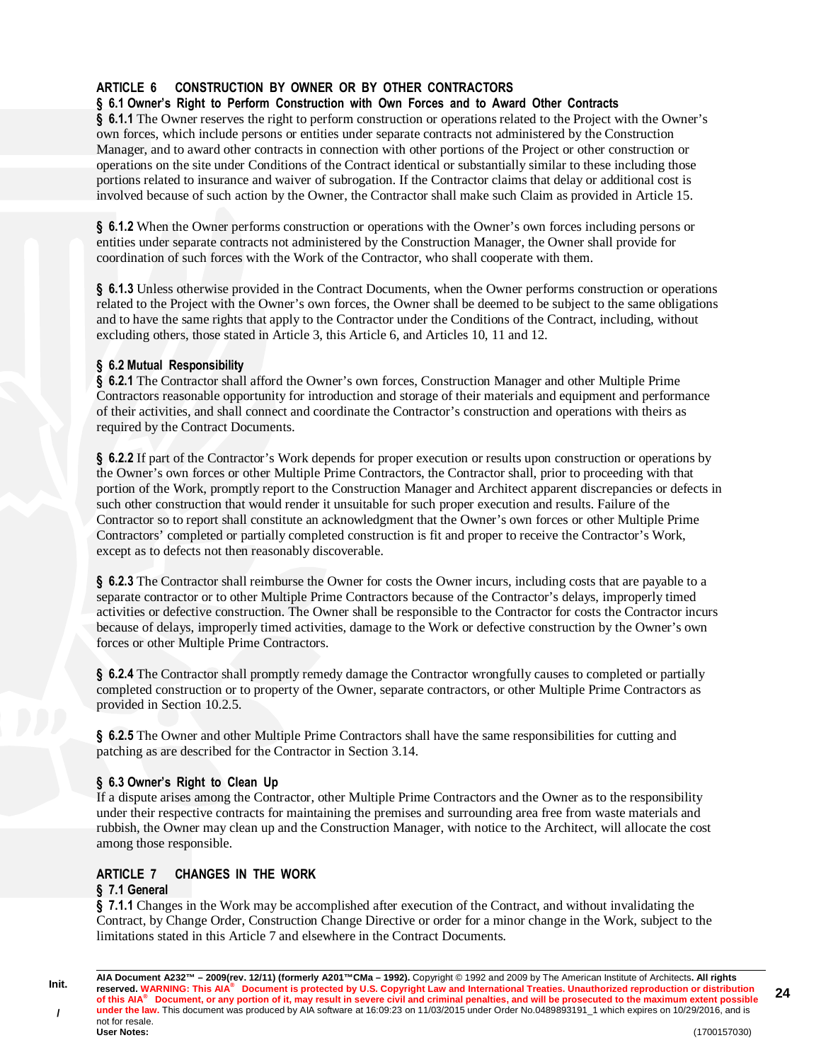# **ARTICLE 6 CONSTRUCTION BY OWNER OR BY OTHER CONTRACTORS**

# **§ 6.1 Owner's Right to Perform Construction with Own Forces and to Award Other Contracts**

**§ 6.1.1** The Owner reserves the right to perform construction or operations related to the Project with the Owner's own forces, which include persons or entities under separate contracts not administered by the Construction Manager, and to award other contracts in connection with other portions of the Project or other construction or operations on the site under Conditions of the Contract identical or substantially similar to these including those portions related to insurance and waiver of subrogation. If the Contractor claims that delay or additional cost is involved because of such action by the Owner, the Contractor shall make such Claim as provided in Article 15.

**§ 6.1.2** When the Owner performs construction or operations with the Owner's own forces including persons or entities under separate contracts not administered by the Construction Manager, the Owner shall provide for coordination of such forces with the Work of the Contractor, who shall cooperate with them.

**§ 6.1.3** Unless otherwise provided in the Contract Documents, when the Owner performs construction or operations related to the Project with the Owner's own forces, the Owner shall be deemed to be subject to the same obligations and to have the same rights that apply to the Contractor under the Conditions of the Contract, including, without excluding others, those stated in Article 3, this Article 6, and Articles 10, 11 and 12.

#### **§ 6.2 Mutual Responsibility**

**§ 6.2.1** The Contractor shall afford the Owner's own forces, Construction Manager and other Multiple Prime Contractors reasonable opportunity for introduction and storage of their materials and equipment and performance of their activities, and shall connect and coordinate the Contractor's construction and operations with theirs as required by the Contract Documents.

**§ 6.2.2** If part of the Contractor's Work depends for proper execution or results upon construction or operations by the Owner's own forces or other Multiple Prime Contractors, the Contractor shall, prior to proceeding with that portion of the Work, promptly report to the Construction Manager and Architect apparent discrepancies or defects in such other construction that would render it unsuitable for such proper execution and results. Failure of the Contractor so to report shall constitute an acknowledgment that the Owner's own forces or other Multiple Prime Contractors' completed or partially completed construction is fit and proper to receive the Contractor's Work, except as to defects not then reasonably discoverable.

**§ 6.2.3** The Contractor shall reimburse the Owner for costs the Owner incurs, including costs that are payable to a separate contractor or to other Multiple Prime Contractors because of the Contractor's delays, improperly timed activities or defective construction. The Owner shall be responsible to the Contractor for costs the Contractor incurs because of delays, improperly timed activities, damage to the Work or defective construction by the Owner's own forces or other Multiple Prime Contractors.

**§ 6.2.4** The Contractor shall promptly remedy damage the Contractor wrongfully causes to completed or partially completed construction or to property of the Owner, separate contractors, or other Multiple Prime Contractors as provided in Section 10.2.5.

**§ 6.2.5** The Owner and other Multiple Prime Contractors shall have the same responsibilities for cutting and patching as are described for the Contractor in Section 3.14.

# **§ 6.3 Owner's Right to Clean Up**

If a dispute arises among the Contractor, other Multiple Prime Contractors and the Owner as to the responsibility under their respective contracts for maintaining the premises and surrounding area free from waste materials and rubbish, the Owner may clean up and the Construction Manager, with notice to the Architect, will allocate the cost among those responsible.

# **ARTICLE 7 CHANGES IN THE WORK**

# **§ 7.1 General**

**§ 7.1.1** Changes in the Work may be accomplished after execution of the Contract, and without invalidating the Contract, by Change Order, Construction Change Directive or order for a minor change in the Work, subject to the limitations stated in this Article 7 and elsewhere in the Contract Documents.

**AIA Document A232™ – 2009(rev. 12/11) (formerly A201™CMa – 1992).** Copyright © 1992 and 2009 by The American Institute of Architects**. All rights reserved. WARNING: This AIA® Document is protected by U.S. Copyright Law and International Treaties. Unauthorized reproduction or distribution of this AIA® Document, or any portion of it, may result in severe civil and criminal penalties, and will be prosecuted to the maximum extent possible under the law.** This document was produced by AIA software at 16:09:23 on 11/03/2015 under Order No.0489893191\_1 which expires on 10/29/2016, and is not for resale.<br>User Notes: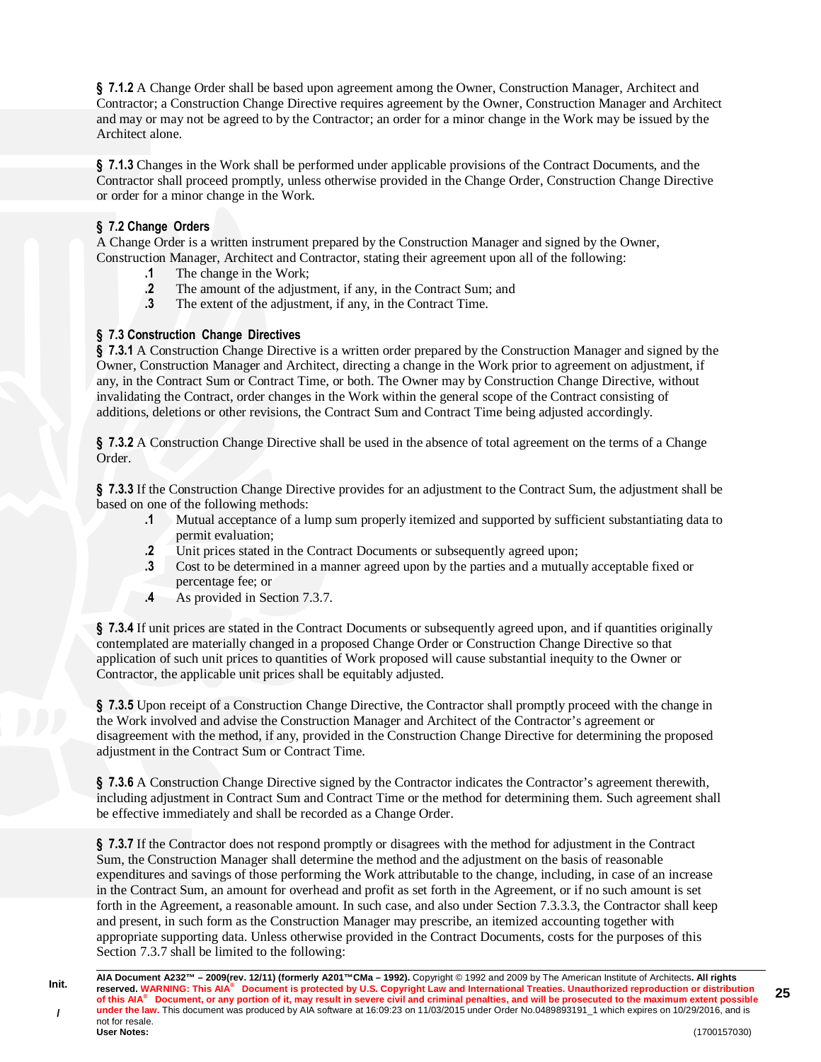**§ 7.1.2** A Change Order shall be based upon agreement among the Owner, Construction Manager, Architect and Contractor; a Construction Change Directive requires agreement by the Owner, Construction Manager and Architect and may or may not be agreed to by the Contractor; an order for a minor change in the Work may be issued by the Architect alone.

**§ 7.1.3** Changes in the Work shall be performed under applicable provisions of the Contract Documents, and the Contractor shall proceed promptly, unless otherwise provided in the Change Order, Construction Change Directive or order for a minor change in the Work.

# **§ 7.2 Change Orders**

A Change Order is a written instrument prepared by the Construction Manager and signed by the Owner, Construction Manager, Architect and Contractor, stating their agreement upon all of the following:

- 
- **.1** The change in the Work;<br>**2** The amount of the adjust: **.2** The amount of the adjustment, if any, in the Contract Sum; and **.3** The extent of the adjustment, if any, in the Contract Time.
- **.3** The extent of the adjustment, if any, in the Contract Time.

# **§ 7.3 Construction Change Directives**

**§ 7.3.1** A Construction Change Directive is a written order prepared by the Construction Manager and signed by the Owner, Construction Manager and Architect, directing a change in the Work prior to agreement on adjustment, if any, in the Contract Sum or Contract Time, or both. The Owner may by Construction Change Directive, without invalidating the Contract, order changes in the Work within the general scope of the Contract consisting of additions, deletions or other revisions, the Contract Sum and Contract Time being adjusted accordingly.

**§ 7.3.2** A Construction Change Directive shall be used in the absence of total agreement on the terms of a Change Order.

**§ 7.3.3** If the Construction Change Directive provides for an adjustment to the Contract Sum, the adjustment shall be based on one of the following methods:

- **.1** Mutual acceptance of a lump sum properly itemized and supported by sufficient substantiating data to permit evaluation;
- **.2** Unit prices stated in the Contract Documents or subsequently agreed upon;
- **.3** Cost to be determined in a manner agreed upon by the parties and a mutually acceptable fixed or percentage fee; or
- **.4** As provided in Section 7.3.7.

**§ 7.3.4** If unit prices are stated in the Contract Documents or subsequently agreed upon, and if quantities originally contemplated are materially changed in a proposed Change Order or Construction Change Directive so that application of such unit prices to quantities of Work proposed will cause substantial inequity to the Owner or Contractor, the applicable unit prices shall be equitably adjusted.

**§ 7.3.5** Upon receipt of a Construction Change Directive, the Contractor shall promptly proceed with the change in the Work involved and advise the Construction Manager and Architect of the Contractor's agreement or disagreement with the method, if any, provided in the Construction Change Directive for determining the proposed adjustment in the Contract Sum or Contract Time.

**§ 7.3.6** A Construction Change Directive signed by the Contractor indicates the Contractor's agreement therewith, including adjustment in Contract Sum and Contract Time or the method for determining them. Such agreement shall be effective immediately and shall be recorded as a Change Order.

**§ 7.3.7** If the Contractor does not respond promptly or disagrees with the method for adjustment in the Contract Sum, the Construction Manager shall determine the method and the adjustment on the basis of reasonable expenditures and savings of those performing the Work attributable to the change, including, in case of an increase in the Contract Sum, an amount for overhead and profit as set forth in the Agreement, or if no such amount is set forth in the Agreement, a reasonable amount. In such case, and also under Section 7.3.3.3, the Contractor shall keep and present, in such form as the Construction Manager may prescribe, an itemized accounting together with appropriate supporting data. Unless otherwise provided in the Contract Documents, costs for the purposes of this Section 7.3.7 shall be limited to the following:

**AIA Document A232™ – 2009(rev. 12/11) (formerly A201™CMa – 1992).** Copyright © 1992 and 2009 by The American Institute of Architects**. All rights reserved. WARNING: This AIA® Document is protected by U.S. Copyright Law and International Treaties. Unauthorized reproduction or distribution of this AIA® Document, or any portion of it, may result in severe civil and criminal penalties, and will be prosecuted to the maximum extent possible under the law.** This document was produced by AIA software at 16:09:23 on 11/03/2015 under Order No.0489893191\_1 which expires on 10/29/2016, and is not for resale.<br>User Notes: **User Notes:** (1700157030)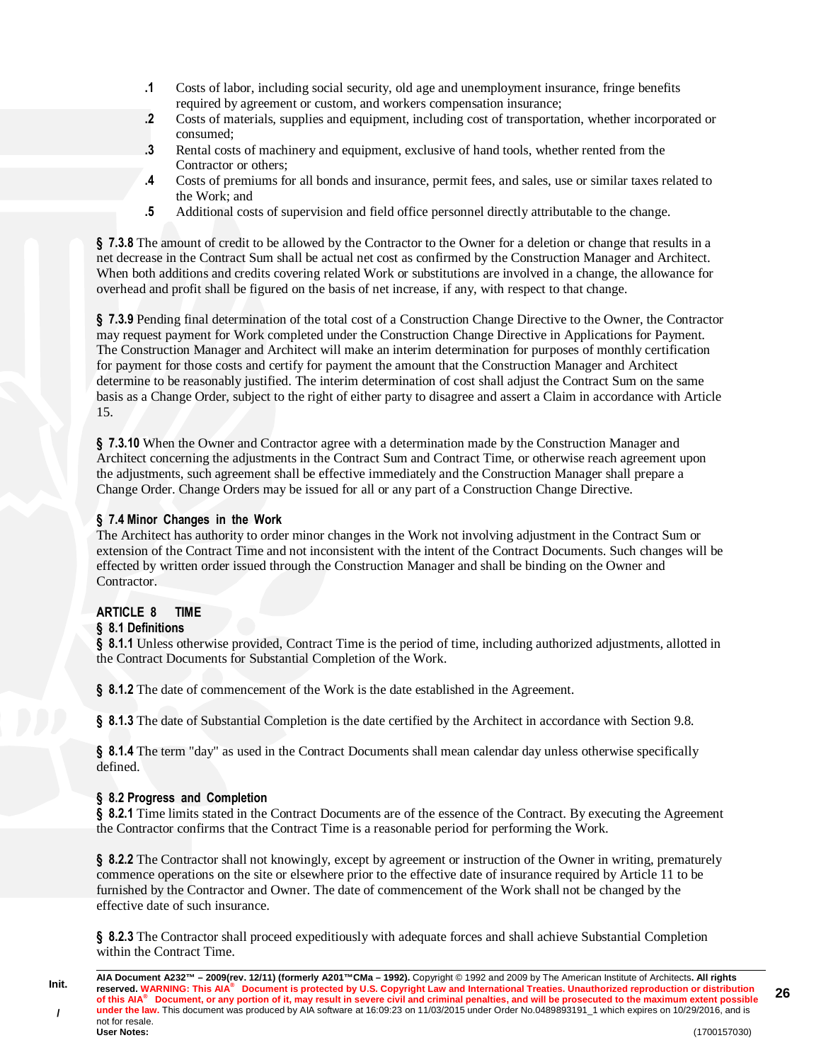- **.1** Costs of labor, including social security, old age and unemployment insurance, fringe benefits required by agreement or custom, and workers compensation insurance;
- **.2** Costs of materials, supplies and equipment, including cost of transportation, whether incorporated or consumed;
- **.3** Rental costs of machinery and equipment, exclusive of hand tools, whether rented from the Contractor or others;
- **.4** Costs of premiums for all bonds and insurance, permit fees, and sales, use or similar taxes related to the Work; and
- **.5** Additional costs of supervision and field office personnel directly attributable to the change.

**§ 7.3.8** The amount of credit to be allowed by the Contractor to the Owner for a deletion or change that results in a net decrease in the Contract Sum shall be actual net cost as confirmed by the Construction Manager and Architect. When both additions and credits covering related Work or substitutions are involved in a change, the allowance for overhead and profit shall be figured on the basis of net increase, if any, with respect to that change.

**§ 7.3.9** Pending final determination of the total cost of a Construction Change Directive to the Owner, the Contractor may request payment for Work completed under the Construction Change Directive in Applications for Payment. The Construction Manager and Architect will make an interim determination for purposes of monthly certification for payment for those costs and certify for payment the amount that the Construction Manager and Architect determine to be reasonably justified. The interim determination of cost shall adjust the Contract Sum on the same basis as a Change Order, subject to the right of either party to disagree and assert a Claim in accordance with Article 15.

**§ 7.3.10** When the Owner and Contractor agree with a determination made by the Construction Manager and Architect concerning the adjustments in the Contract Sum and Contract Time, or otherwise reach agreement upon the adjustments, such agreement shall be effective immediately and the Construction Manager shall prepare a Change Order. Change Orders may be issued for all or any part of a Construction Change Directive.

# **§ 7.4 Minor Changes in the Work**

The Architect has authority to order minor changes in the Work not involving adjustment in the Contract Sum or extension of the Contract Time and not inconsistent with the intent of the Contract Documents. Such changes will be effected by written order issued through the Construction Manager and shall be binding on the Owner and Contractor.

# **ARTICLE 8 TIME**

# **§ 8.1 Definitions**

**Init.**

**/**

**§ 8.1.1** Unless otherwise provided, Contract Time is the period of time, including authorized adjustments, allotted in the Contract Documents for Substantial Completion of the Work.

**§ 8.1.2** The date of commencement of the Work is the date established in the Agreement.

**§ 8.1.3** The date of Substantial Completion is the date certified by the Architect in accordance with Section 9.8.

**§ 8.1.4** The term "day" as used in the Contract Documents shall mean calendar day unless otherwise specifically defined.

#### **§ 8.2 Progress and Completion**

**§ 8.2.1** Time limits stated in the Contract Documents are of the essence of the Contract. By executing the Agreement the Contractor confirms that the Contract Time is a reasonable period for performing the Work.

**§ 8.2.2** The Contractor shall not knowingly, except by agreement or instruction of the Owner in writing, prematurely commence operations on the site or elsewhere prior to the effective date of insurance required by Article 11 to be furnished by the Contractor and Owner. The date of commencement of the Work shall not be changed by the effective date of such insurance.

**§ 8.2.3** The Contractor shall proceed expeditiously with adequate forces and shall achieve Substantial Completion within the Contract Time.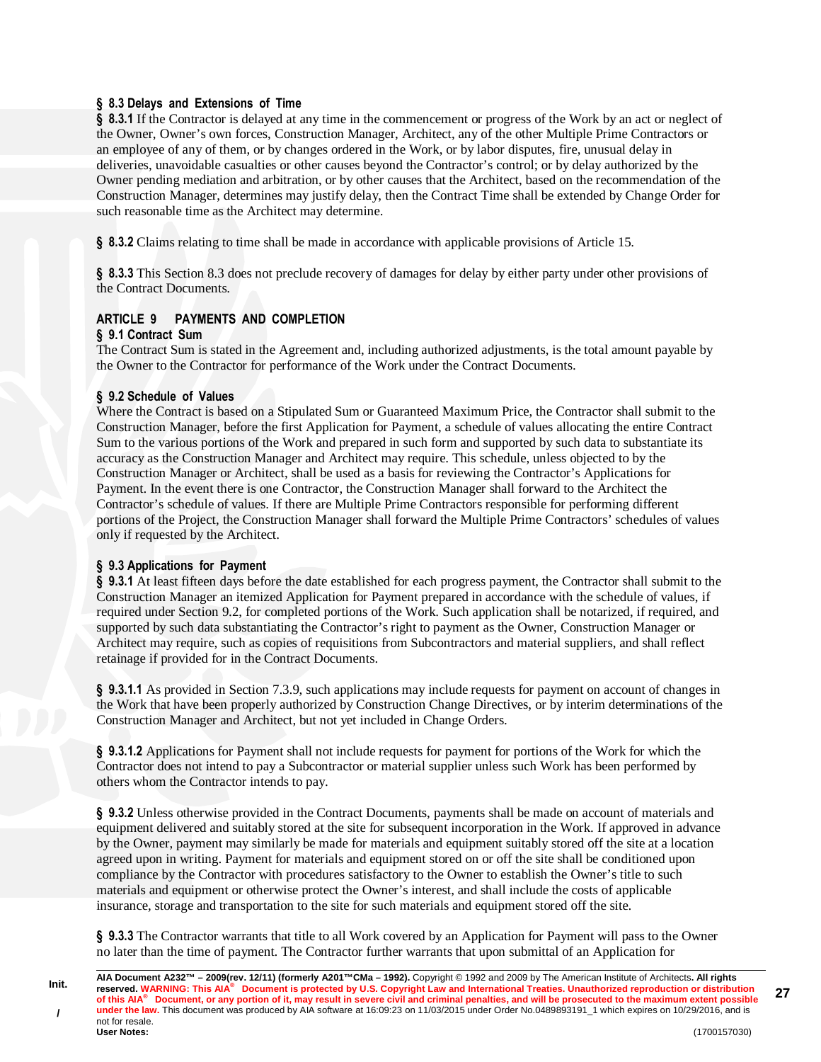# **§ 8.3 Delays and Extensions of Time**

**§ 8.3.1** If the Contractor is delayed at any time in the commencement or progress of the Work by an act or neglect of the Owner, Owner's own forces, Construction Manager, Architect, any of the other Multiple Prime Contractors or an employee of any of them, or by changes ordered in the Work, or by labor disputes, fire, unusual delay in deliveries, unavoidable casualties or other causes beyond the Contractor's control; or by delay authorized by the Owner pending mediation and arbitration, or by other causes that the Architect, based on the recommendation of the Construction Manager, determines may justify delay, then the Contract Time shall be extended by Change Order for such reasonable time as the Architect may determine.

**§ 8.3.2** Claims relating to time shall be made in accordance with applicable provisions of Article 15.

**§ 8.3.3** This Section 8.3 does not preclude recovery of damages for delay by either party under other provisions of the Contract Documents.

# **ARTICLE 9 PAYMENTS AND COMPLETION**

#### **§ 9.1 Contract Sum**

The Contract Sum is stated in the Agreement and, including authorized adjustments, is the total amount payable by the Owner to the Contractor for performance of the Work under the Contract Documents.

#### **§ 9.2 Schedule of Values**

Where the Contract is based on a Stipulated Sum or Guaranteed Maximum Price, the Contractor shall submit to the Construction Manager, before the first Application for Payment, a schedule of values allocating the entire Contract Sum to the various portions of the Work and prepared in such form and supported by such data to substantiate its accuracy as the Construction Manager and Architect may require. This schedule, unless objected to by the Construction Manager or Architect, shall be used as a basis for reviewing the Contractor's Applications for Payment. In the event there is one Contractor, the Construction Manager shall forward to the Architect the Contractor's schedule of values. If there are Multiple Prime Contractors responsible for performing different portions of the Project, the Construction Manager shall forward the Multiple Prime Contractors' schedules of values only if requested by the Architect.

# **§ 9.3 Applications for Payment**

**Init.**

**/**

**§ 9.3.1** At least fifteen days before the date established for each progress payment, the Contractor shall submit to the Construction Manager an itemized Application for Payment prepared in accordance with the schedule of values, if required under Section 9.2, for completed portions of the Work. Such application shall be notarized, if required, and supported by such data substantiating the Contractor's right to payment as the Owner, Construction Manager or Architect may require, such as copies of requisitions from Subcontractors and material suppliers, and shall reflect retainage if provided for in the Contract Documents.

**§ 9.3.1.1** As provided in Section 7.3.9, such applications may include requests for payment on account of changes in the Work that have been properly authorized by Construction Change Directives, or by interim determinations of the Construction Manager and Architect, but not yet included in Change Orders.

**§ 9.3.1.2** Applications for Payment shall not include requests for payment for portions of the Work for which the Contractor does not intend to pay a Subcontractor or material supplier unless such Work has been performed by others whom the Contractor intends to pay.

**§ 9.3.2** Unless otherwise provided in the Contract Documents, payments shall be made on account of materials and equipment delivered and suitably stored at the site for subsequent incorporation in the Work. If approved in advance by the Owner, payment may similarly be made for materials and equipment suitably stored off the site at a location agreed upon in writing. Payment for materials and equipment stored on or off the site shall be conditioned upon compliance by the Contractor with procedures satisfactory to the Owner to establish the Owner's title to such materials and equipment or otherwise protect the Owner's interest, and shall include the costs of applicable insurance, storage and transportation to the site for such materials and equipment stored off the site.

**§ 9.3.3** The Contractor warrants that title to all Work covered by an Application for Payment will pass to the Owner no later than the time of payment. The Contractor further warrants that upon submittal of an Application for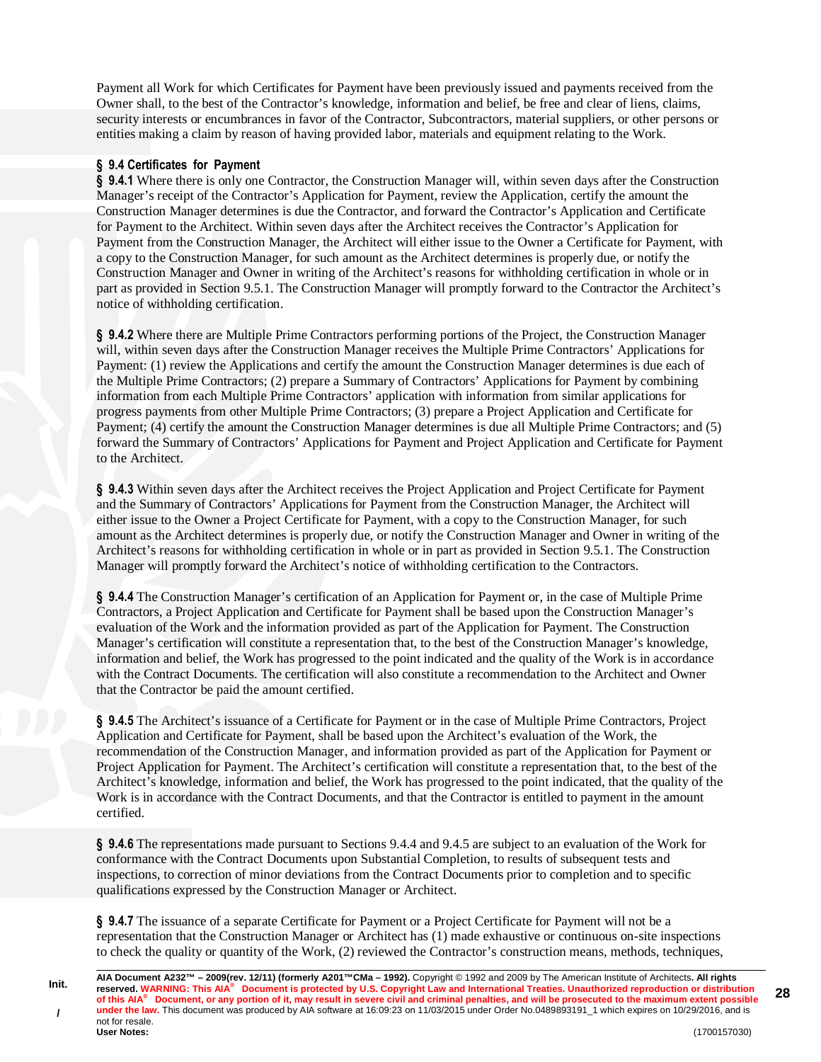Payment all Work for which Certificates for Payment have been previously issued and payments received from the Owner shall, to the best of the Contractor's knowledge, information and belief, be free and clear of liens, claims, security interests or encumbrances in favor of the Contractor, Subcontractors, material suppliers, or other persons or entities making a claim by reason of having provided labor, materials and equipment relating to the Work.

# **§ 9.4 Certificates for Payment**

**Init.**

**/**

**§ 9.4.1** Where there is only one Contractor, the Construction Manager will, within seven days after the Construction Manager's receipt of the Contractor's Application for Payment, review the Application, certify the amount the Construction Manager determines is due the Contractor, and forward the Contractor's Application and Certificate for Payment to the Architect. Within seven days after the Architect receives the Contractor's Application for Payment from the Construction Manager, the Architect will either issue to the Owner a Certificate for Payment, with a copy to the Construction Manager, for such amount as the Architect determines is properly due, or notify the Construction Manager and Owner in writing of the Architect's reasons for withholding certification in whole or in part as provided in Section 9.5.1. The Construction Manager will promptly forward to the Contractor the Architect's notice of withholding certification.

**§ 9.4.2** Where there are Multiple Prime Contractors performing portions of the Project, the Construction Manager will, within seven days after the Construction Manager receives the Multiple Prime Contractors' Applications for Payment: (1) review the Applications and certify the amount the Construction Manager determines is due each of the Multiple Prime Contractors; (2) prepare a Summary of Contractors' Applications for Payment by combining information from each Multiple Prime Contractors' application with information from similar applications for progress payments from other Multiple Prime Contractors; (3) prepare a Project Application and Certificate for Payment; (4) certify the amount the Construction Manager determines is due all Multiple Prime Contractors; and (5) forward the Summary of Contractors' Applications for Payment and Project Application and Certificate for Payment to the Architect.

**§ 9.4.3** Within seven days after the Architect receives the Project Application and Project Certificate for Payment and the Summary of Contractors' Applications for Payment from the Construction Manager, the Architect will either issue to the Owner a Project Certificate for Payment, with a copy to the Construction Manager, for such amount as the Architect determines is properly due, or notify the Construction Manager and Owner in writing of the Architect's reasons for withholding certification in whole or in part as provided in Section 9.5.1. The Construction Manager will promptly forward the Architect's notice of withholding certification to the Contractors.

**§ 9.4.4** The Construction Manager's certification of an Application for Payment or, in the case of Multiple Prime Contractors, a Project Application and Certificate for Payment shall be based upon the Construction Manager's evaluation of the Work and the information provided as part of the Application for Payment. The Construction Manager's certification will constitute a representation that, to the best of the Construction Manager's knowledge, information and belief, the Work has progressed to the point indicated and the quality of the Work is in accordance with the Contract Documents. The certification will also constitute a recommendation to the Architect and Owner that the Contractor be paid the amount certified.

**§ 9.4.5** The Architect's issuance of a Certificate for Payment or in the case of Multiple Prime Contractors, Project Application and Certificate for Payment, shall be based upon the Architect's evaluation of the Work, the recommendation of the Construction Manager, and information provided as part of the Application for Payment or Project Application for Payment. The Architect's certification will constitute a representation that, to the best of the Architect's knowledge, information and belief, the Work has progressed to the point indicated, that the quality of the Work is in accordance with the Contract Documents, and that the Contractor is entitled to payment in the amount certified.

**§ 9.4.6** The representations made pursuant to Sections 9.4.4 and 9.4.5 are subject to an evaluation of the Work for conformance with the Contract Documents upon Substantial Completion, to results of subsequent tests and inspections, to correction of minor deviations from the Contract Documents prior to completion and to specific qualifications expressed by the Construction Manager or Architect.

**§ 9.4.7** The issuance of a separate Certificate for Payment or a Project Certificate for Payment will not be a representation that the Construction Manager or Architect has (1) made exhaustive or continuous on-site inspections to check the quality or quantity of the Work, (2) reviewed the Contractor's construction means, methods, techniques,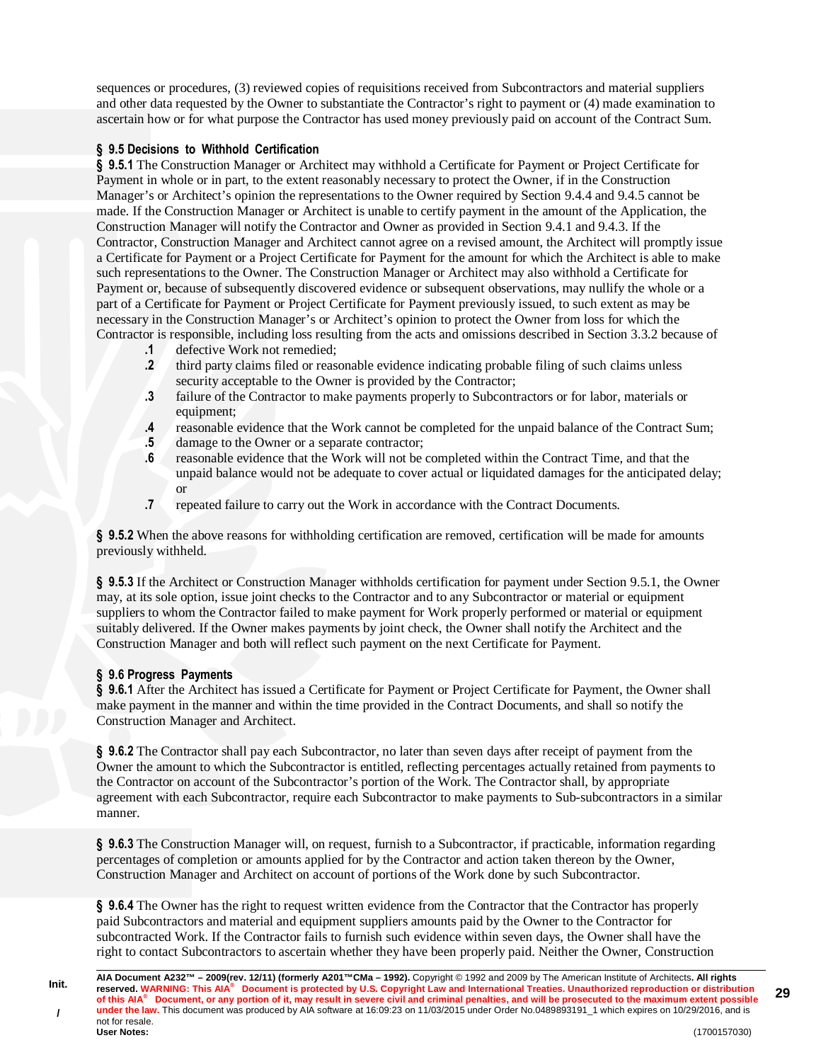sequences or procedures, (3) reviewed copies of requisitions received from Subcontractors and material suppliers and other data requested by the Owner to substantiate the Contractor's right to payment or (4) made examination to ascertain how or for what purpose the Contractor has used money previously paid on account of the Contract Sum.

# **§ 9.5 Decisions to Withhold Certification**

**§ 9.5.1** The Construction Manager or Architect may withhold a Certificate for Payment or Project Certificate for Payment in whole or in part, to the extent reasonably necessary to protect the Owner, if in the Construction Manager's or Architect's opinion the representations to the Owner required by Section 9.4.4 and 9.4.5 cannot be made. If the Construction Manager or Architect is unable to certify payment in the amount of the Application, the Construction Manager will notify the Contractor and Owner as provided in Section 9.4.1 and 9.4.3. If the Contractor, Construction Manager and Architect cannot agree on a revised amount, the Architect will promptly issue a Certificate for Payment or a Project Certificate for Payment for the amount for which the Architect is able to make such representations to the Owner. The Construction Manager or Architect may also withhold a Certificate for Payment or, because of subsequently discovered evidence or subsequent observations, may nullify the whole or a part of a Certificate for Payment or Project Certificate for Payment previously issued, to such extent as may be necessary in the Construction Manager's or Architect's opinion to protect the Owner from loss for which the Contractor is responsible, including loss resulting from the acts and omissions described in Section 3.3.2 because of

- **.1** defective Work not remedied;
- **.2** third party claims filed or reasonable evidence indicating probable filing of such claims unless security acceptable to the Owner is provided by the Contractor;
- **.3** failure of the Contractor to make payments properly to Subcontractors or for labor, materials or equipment;
- **.4** reasonable evidence that the Work cannot be completed for the unpaid balance of the Contract Sum;
- **.5** damage to the Owner or a separate contractor;
- **.6** reasonable evidence that the Work will not be completed within the Contract Time, and that the unpaid balance would not be adequate to cover actual or liquidated damages for the anticipated delay; or
- **.7** repeated failure to carry out the Work in accordance with the Contract Documents.

**§ 9.5.2** When the above reasons for withholding certification are removed, certification will be made for amounts previously withheld.

**§ 9.5.3** If the Architect or Construction Manager withholds certification for payment under Section 9.5.1, the Owner may, at its sole option, issue joint checks to the Contractor and to any Subcontractor or material or equipment suppliers to whom the Contractor failed to make payment for Work properly performed or material or equipment suitably delivered. If the Owner makes payments by joint check, the Owner shall notify the Architect and the Construction Manager and both will reflect such payment on the next Certificate for Payment.

# **§ 9.6 Progress Payments**

**Init.**

**/**

**§ 9.6.1** After the Architect has issued a Certificate for Payment or Project Certificate for Payment, the Owner shall make payment in the manner and within the time provided in the Contract Documents, and shall so notify the Construction Manager and Architect.

**§ 9.6.2** The Contractor shall pay each Subcontractor, no later than seven days after receipt of payment from the Owner the amount to which the Subcontractor is entitled, reflecting percentages actually retained from payments to the Contractor on account of the Subcontractor's portion of the Work. The Contractor shall, by appropriate agreement with each Subcontractor, require each Subcontractor to make payments to Sub-subcontractors in a similar manner.

**§ 9.6.3** The Construction Manager will, on request, furnish to a Subcontractor, if practicable, information regarding percentages of completion or amounts applied for by the Contractor and action taken thereon by the Owner, Construction Manager and Architect on account of portions of the Work done by such Subcontractor.

**§ 9.6.4** The Owner has the right to request written evidence from the Contractor that the Contractor has properly paid Subcontractors and material and equipment suppliers amounts paid by the Owner to the Contractor for subcontracted Work. If the Contractor fails to furnish such evidence within seven days, the Owner shall have the right to contact Subcontractors to ascertain whether they have been properly paid. Neither the Owner, Construction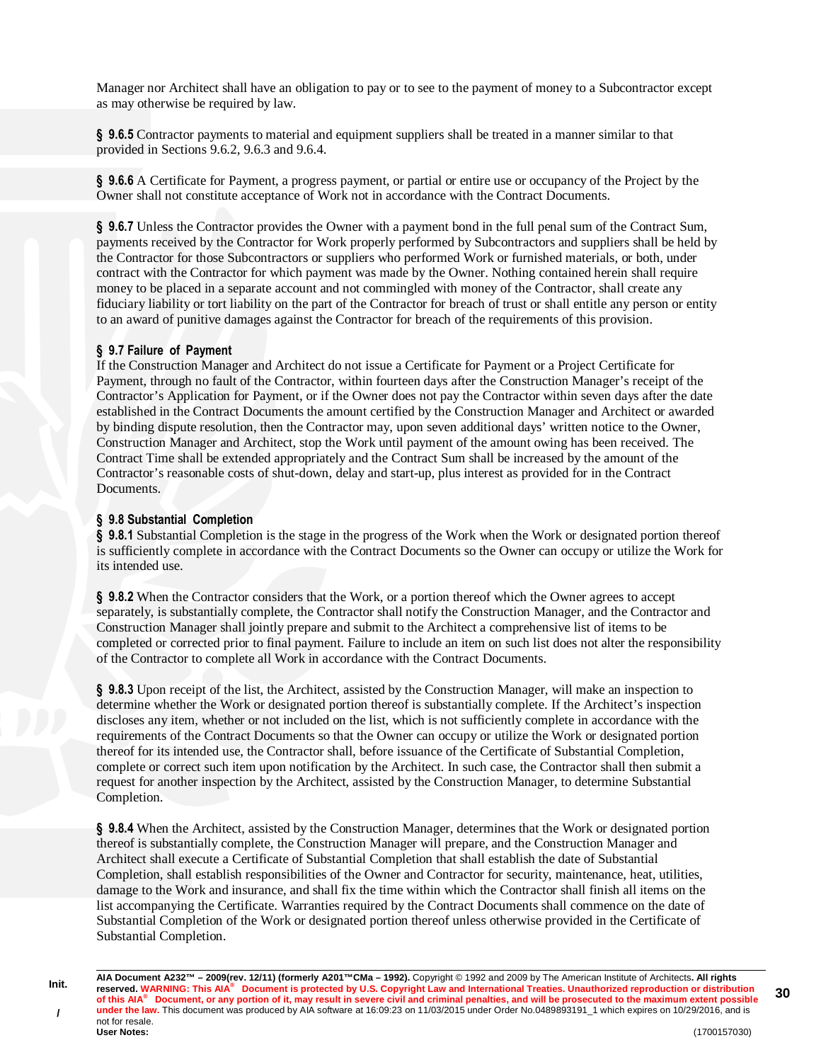Manager nor Architect shall have an obligation to pay or to see to the payment of money to a Subcontractor except as may otherwise be required by law.

**§ 9.6.5** Contractor payments to material and equipment suppliers shall be treated in a manner similar to that provided in Sections 9.6.2, 9.6.3 and 9.6.4.

**§ 9.6.6** A Certificate for Payment, a progress payment, or partial or entire use or occupancy of the Project by the Owner shall not constitute acceptance of Work not in accordance with the Contract Documents.

**§ 9.6.7** Unless the Contractor provides the Owner with a payment bond in the full penal sum of the Contract Sum, payments received by the Contractor for Work properly performed by Subcontractors and suppliers shall be held by the Contractor for those Subcontractors or suppliers who performed Work or furnished materials, or both, under contract with the Contractor for which payment was made by the Owner. Nothing contained herein shall require money to be placed in a separate account and not commingled with money of the Contractor, shall create any fiduciary liability or tort liability on the part of the Contractor for breach of trust or shall entitle any person or entity to an award of punitive damages against the Contractor for breach of the requirements of this provision.

#### **§ 9.7 Failure of Payment**

If the Construction Manager and Architect do not issue a Certificate for Payment or a Project Certificate for Payment, through no fault of the Contractor, within fourteen days after the Construction Manager's receipt of the Contractor's Application for Payment, or if the Owner does not pay the Contractor within seven days after the date established in the Contract Documents the amount certified by the Construction Manager and Architect or awarded by binding dispute resolution, then the Contractor may, upon seven additional days' written notice to the Owner, Construction Manager and Architect, stop the Work until payment of the amount owing has been received. The Contract Time shall be extended appropriately and the Contract Sum shall be increased by the amount of the Contractor's reasonable costs of shut-down, delay and start-up, plus interest as provided for in the Contract Documents.

#### **§ 9.8 Substantial Completion**

**§ 9.8.1** Substantial Completion is the stage in the progress of the Work when the Work or designated portion thereof is sufficiently complete in accordance with the Contract Documents so the Owner can occupy or utilize the Work for its intended use.

**§ 9.8.2** When the Contractor considers that the Work, or a portion thereof which the Owner agrees to accept separately, is substantially complete, the Contractor shall notify the Construction Manager, and the Contractor and Construction Manager shall jointly prepare and submit to the Architect a comprehensive list of items to be completed or corrected prior to final payment. Failure to include an item on such list does not alter the responsibility of the Contractor to complete all Work in accordance with the Contract Documents.

**§ 9.8.3** Upon receipt of the list, the Architect, assisted by the Construction Manager, will make an inspection to determine whether the Work or designated portion thereof is substantially complete. If the Architect's inspection discloses any item, whether or not included on the list, which is not sufficiently complete in accordance with the requirements of the Contract Documents so that the Owner can occupy or utilize the Work or designated portion thereof for its intended use, the Contractor shall, before issuance of the Certificate of Substantial Completion, complete or correct such item upon notification by the Architect. In such case, the Contractor shall then submit a request for another inspection by the Architect, assisted by the Construction Manager, to determine Substantial Completion.

**§ 9.8.4** When the Architect, assisted by the Construction Manager, determines that the Work or designated portion thereof is substantially complete, the Construction Manager will prepare, and the Construction Manager and Architect shall execute a Certificate of Substantial Completion that shall establish the date of Substantial Completion, shall establish responsibilities of the Owner and Contractor for security, maintenance, heat, utilities, damage to the Work and insurance, and shall fix the time within which the Contractor shall finish all items on the list accompanying the Certificate. Warranties required by the Contract Documents shall commence on the date of Substantial Completion of the Work or designated portion thereof unless otherwise provided in the Certificate of Substantial Completion.

**/**

**AIA Document A232™ – 2009(rev. 12/11) (formerly A201™CMa – 1992).** Copyright © 1992 and 2009 by The American Institute of Architects**. All rights reserved. WARNING: This AIA® Document is protected by U.S. Copyright Law and International Treaties. Unauthorized reproduction or distribution of this AIA® Document, or any portion of it, may result in severe civil and criminal penalties, and will be prosecuted to the maximum extent possible under the law.** This document was produced by AIA software at 16:09:23 on 11/03/2015 under Order No.0489893191\_1 which expires on 10/29/2016, and is not for resale.<br>User Notes:

**Init.**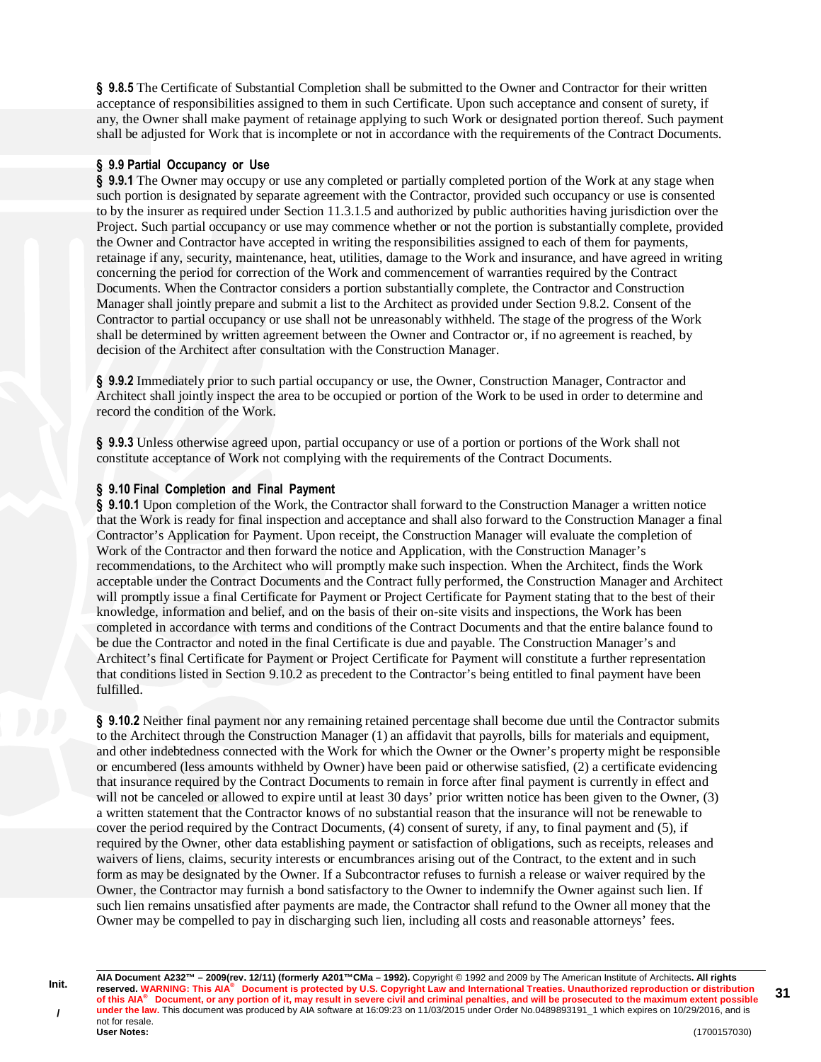**§ 9.8.5** The Certificate of Substantial Completion shall be submitted to the Owner and Contractor for their written acceptance of responsibilities assigned to them in such Certificate. Upon such acceptance and consent of surety, if any, the Owner shall make payment of retainage applying to such Work or designated portion thereof. Such payment shall be adjusted for Work that is incomplete or not in accordance with the requirements of the Contract Documents.

# **§ 9.9 Partial Occupancy or Use**

**§ 9.9.1** The Owner may occupy or use any completed or partially completed portion of the Work at any stage when such portion is designated by separate agreement with the Contractor, provided such occupancy or use is consented to by the insurer as required under Section 11.3.1.5 and authorized by public authorities having jurisdiction over the Project. Such partial occupancy or use may commence whether or not the portion is substantially complete, provided the Owner and Contractor have accepted in writing the responsibilities assigned to each of them for payments, retainage if any, security, maintenance, heat, utilities, damage to the Work and insurance, and have agreed in writing concerning the period for correction of the Work and commencement of warranties required by the Contract Documents. When the Contractor considers a portion substantially complete, the Contractor and Construction Manager shall jointly prepare and submit a list to the Architect as provided under Section 9.8.2. Consent of the Contractor to partial occupancy or use shall not be unreasonably withheld. The stage of the progress of the Work shall be determined by written agreement between the Owner and Contractor or, if no agreement is reached, by decision of the Architect after consultation with the Construction Manager.

**§ 9.9.2** Immediately prior to such partial occupancy or use, the Owner, Construction Manager, Contractor and Architect shall jointly inspect the area to be occupied or portion of the Work to be used in order to determine and record the condition of the Work.

**§ 9.9.3** Unless otherwise agreed upon, partial occupancy or use of a portion or portions of the Work shall not constitute acceptance of Work not complying with the requirements of the Contract Documents.

# **§ 9.10 Final Completion and Final Payment**

**§ 9.10.1** Upon completion of the Work, the Contractor shall forward to the Construction Manager a written notice that the Work is ready for final inspection and acceptance and shall also forward to the Construction Manager a final Contractor's Application for Payment. Upon receipt, the Construction Manager will evaluate the completion of Work of the Contractor and then forward the notice and Application, with the Construction Manager's recommendations, to the Architect who will promptly make such inspection. When the Architect, finds the Work acceptable under the Contract Documents and the Contract fully performed, the Construction Manager and Architect will promptly issue a final Certificate for Payment or Project Certificate for Payment stating that to the best of their knowledge, information and belief, and on the basis of their on-site visits and inspections, the Work has been completed in accordance with terms and conditions of the Contract Documents and that the entire balance found to be due the Contractor and noted in the final Certificate is due and payable. The Construction Manager's and Architect's final Certificate for Payment or Project Certificate for Payment will constitute a further representation that conditions listed in Section 9.10.2 as precedent to the Contractor's being entitled to final payment have been fulfilled.

**§ 9.10.2** Neither final payment nor any remaining retained percentage shall become due until the Contractor submits to the Architect through the Construction Manager (1) an affidavit that payrolls, bills for materials and equipment, and other indebtedness connected with the Work for which the Owner or the Owner's property might be responsible or encumbered (less amounts withheld by Owner) have been paid or otherwise satisfied, (2) a certificate evidencing that insurance required by the Contract Documents to remain in force after final payment is currently in effect and will not be canceled or allowed to expire until at least 30 days' prior written notice has been given to the Owner, (3) a written statement that the Contractor knows of no substantial reason that the insurance will not be renewable to cover the period required by the Contract Documents, (4) consent of surety, if any, to final payment and (5), if required by the Owner, other data establishing payment or satisfaction of obligations, such as receipts, releases and waivers of liens, claims, security interests or encumbrances arising out of the Contract, to the extent and in such form as may be designated by the Owner. If a Subcontractor refuses to furnish a release or waiver required by the Owner, the Contractor may furnish a bond satisfactory to the Owner to indemnify the Owner against such lien. If such lien remains unsatisfied after payments are made, the Contractor shall refund to the Owner all money that the Owner may be compelled to pay in discharging such lien, including all costs and reasonable attorneys' fees.

**Init.**

**/**

**AIA Document A232™ – 2009(rev. 12/11) (formerly A201™CMa – 1992).** Copyright © 1992 and 2009 by The American Institute of Architects**. All rights reserved. WARNING: This AIA® Document is protected by U.S. Copyright Law and International Treaties. Unauthorized reproduction or distribution of this AIA® Document, or any portion of it, may result in severe civil and criminal penalties, and will be prosecuted to the maximum extent possible under the law.** This document was produced by AIA software at 16:09:23 on 11/03/2015 under Order No.0489893191\_1 which expires on 10/29/2016, and is not for resale.<br>User Notes: **31**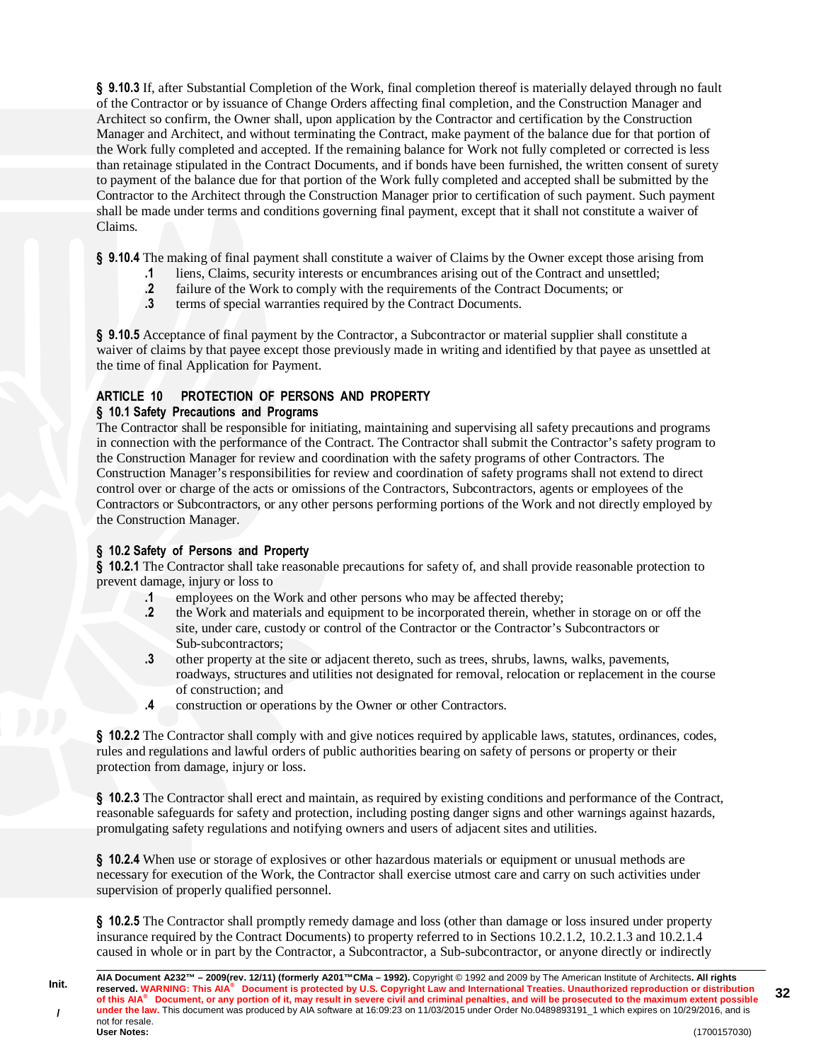**§ 9.10.3** If, after Substantial Completion of the Work, final completion thereof is materially delayed through no fault of the Contractor or by issuance of Change Orders affecting final completion, and the Construction Manager and Architect so confirm, the Owner shall, upon application by the Contractor and certification by the Construction Manager and Architect, and without terminating the Contract, make payment of the balance due for that portion of the Work fully completed and accepted. If the remaining balance for Work not fully completed or corrected is less than retainage stipulated in the Contract Documents, and if bonds have been furnished, the written consent of surety to payment of the balance due for that portion of the Work fully completed and accepted shall be submitted by the Contractor to the Architect through the Construction Manager prior to certification of such payment. Such payment shall be made under terms and conditions governing final payment, except that it shall not constitute a waiver of Claims.

**§ 9.10.4** The making of final payment shall constitute a waiver of Claims by the Owner except those arising from

- **.1** liens, Claims, security interests or encumbrances arising out of the Contract and unsettled;
- **.2** failure of the Work to comply with the requirements of the Contract Documents; or **.3** terms of special warranties required by the Contract Documents.
- **.3** terms of special warranties required by the Contract Documents.

**§ 9.10.5** Acceptance of final payment by the Contractor, a Subcontractor or material supplier shall constitute a waiver of claims by that payee except those previously made in writing and identified by that payee as unsettled at the time of final Application for Payment.

# **ARTICLE 10 PROTECTION OF PERSONS AND PROPERTY**

# **§ 10.1 Safety Precautions and Programs**

The Contractor shall be responsible for initiating, maintaining and supervising all safety precautions and programs in connection with the performance of the Contract. The Contractor shall submit the Contractor's safety program to the Construction Manager for review and coordination with the safety programs of other Contractors. The Construction Manager's responsibilities for review and coordination of safety programs shall not extend to direct control over or charge of the acts or omissions of the Contractors, Subcontractors, agents or employees of the Contractors or Subcontractors, or any other persons performing portions of the Work and not directly employed by the Construction Manager.

# **§ 10.2 Safety of Persons and Property**

**Init.**

**/**

**§ 10.2.1** The Contractor shall take reasonable precautions for safety of, and shall provide reasonable protection to prevent damage, injury or loss to

- **.1** employees on the Work and other persons who may be affected thereby;
- **.2** the Work and materials and equipment to be incorporated therein, whether in storage on or off the site, under care, custody or control of the Contractor or the Contractor's Subcontractors or Sub-subcontractors;
- **.3** other property at the site or adjacent thereto, such as trees, shrubs, lawns, walks, pavements, roadways, structures and utilities not designated for removal, relocation or replacement in the course of construction; and
- **.4** construction or operations by the Owner or other Contractors.

**§ 10.2.2** The Contractor shall comply with and give notices required by applicable laws, statutes, ordinances, codes, rules and regulations and lawful orders of public authorities bearing on safety of persons or property or their protection from damage, injury or loss.

**§ 10.2.3** The Contractor shall erect and maintain, as required by existing conditions and performance of the Contract, reasonable safeguards for safety and protection, including posting danger signs and other warnings against hazards, promulgating safety regulations and notifying owners and users of adjacent sites and utilities.

**§ 10.2.4** When use or storage of explosives or other hazardous materials or equipment or unusual methods are necessary for execution of the Work, the Contractor shall exercise utmost care and carry on such activities under supervision of properly qualified personnel.

**§ 10.2.5** The Contractor shall promptly remedy damage and loss (other than damage or loss insured under property insurance required by the Contract Documents) to property referred to in Sections 10.2.1.2, 10.2.1.3 and 10.2.1.4 caused in whole or in part by the Contractor, a Subcontractor, a Sub-subcontractor, or anyone directly or indirectly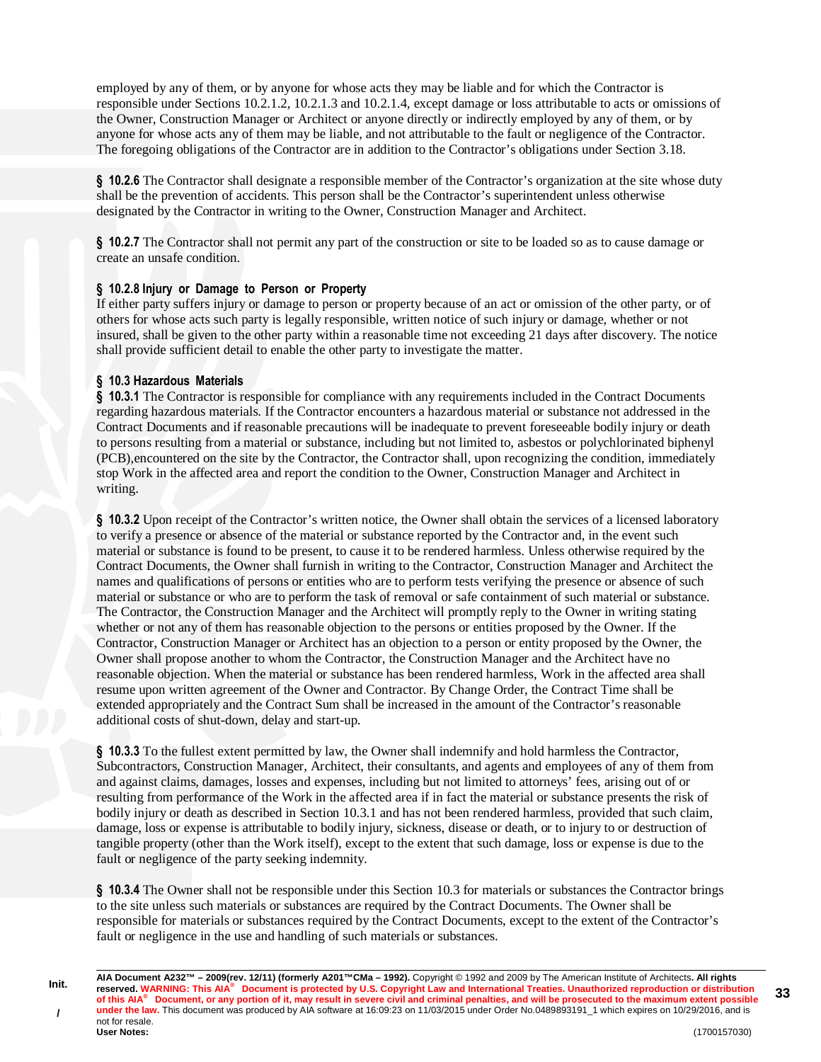employed by any of them, or by anyone for whose acts they may be liable and for which the Contractor is responsible under Sections 10.2.1.2, 10.2.1.3 and 10.2.1.4, except damage or loss attributable to acts or omissions of the Owner, Construction Manager or Architect or anyone directly or indirectly employed by any of them, or by anyone for whose acts any of them may be liable, and not attributable to the fault or negligence of the Contractor. The foregoing obligations of the Contractor are in addition to the Contractor's obligations under Section 3.18.

**§ 10.2.6** The Contractor shall designate a responsible member of the Contractor's organization at the site whose duty shall be the prevention of accidents. This person shall be the Contractor's superintendent unless otherwise designated by the Contractor in writing to the Owner, Construction Manager and Architect.

**§ 10.2.7** The Contractor shall not permit any part of the construction or site to be loaded so as to cause damage or create an unsafe condition.

# **§ 10.2.8 Injury or Damage to Person or Property**

If either party suffers injury or damage to person or property because of an act or omission of the other party, or of others for whose acts such party is legally responsible, written notice of such injury or damage, whether or not insured, shall be given to the other party within a reasonable time not exceeding 21 days after discovery. The notice shall provide sufficient detail to enable the other party to investigate the matter.

#### **§ 10.3 Hazardous Materials**

**§ 10.3.1** The Contractor is responsible for compliance with any requirements included in the Contract Documents regarding hazardous materials. If the Contractor encounters a hazardous material or substance not addressed in the Contract Documents and if reasonable precautions will be inadequate to prevent foreseeable bodily injury or death to persons resulting from a material or substance, including but not limited to, asbestos or polychlorinated biphenyl (PCB),encountered on the site by the Contractor, the Contractor shall, upon recognizing the condition, immediately stop Work in the affected area and report the condition to the Owner, Construction Manager and Architect in writing.

**§ 10.3.2** Upon receipt of the Contractor's written notice, the Owner shall obtain the services of a licensed laboratory to verify a presence or absence of the material or substance reported by the Contractor and, in the event such material or substance is found to be present, to cause it to be rendered harmless. Unless otherwise required by the Contract Documents, the Owner shall furnish in writing to the Contractor, Construction Manager and Architect the names and qualifications of persons or entities who are to perform tests verifying the presence or absence of such material or substance or who are to perform the task of removal or safe containment of such material or substance. The Contractor, the Construction Manager and the Architect will promptly reply to the Owner in writing stating whether or not any of them has reasonable objection to the persons or entities proposed by the Owner. If the Contractor, Construction Manager or Architect has an objection to a person or entity proposed by the Owner, the Owner shall propose another to whom the Contractor, the Construction Manager and the Architect have no reasonable objection. When the material or substance has been rendered harmless, Work in the affected area shall resume upon written agreement of the Owner and Contractor. By Change Order, the Contract Time shall be extended appropriately and the Contract Sum shall be increased in the amount of the Contractor's reasonable additional costs of shut-down, delay and start-up.

**§ 10.3.3** To the fullest extent permitted by law, the Owner shall indemnify and hold harmless the Contractor, Subcontractors, Construction Manager, Architect, their consultants, and agents and employees of any of them from and against claims, damages, losses and expenses, including but not limited to attorneys' fees, arising out of or resulting from performance of the Work in the affected area if in fact the material or substance presents the risk of bodily injury or death as described in Section 10.3.1 and has not been rendered harmless, provided that such claim, damage, loss or expense is attributable to bodily injury, sickness, disease or death, or to injury to or destruction of tangible property (other than the Work itself), except to the extent that such damage, loss or expense is due to the fault or negligence of the party seeking indemnity.

**§ 10.3.4** The Owner shall not be responsible under this Section 10.3 for materials or substances the Contractor brings to the site unless such materials or substances are required by the Contract Documents. The Owner shall be responsible for materials or substances required by the Contract Documents, except to the extent of the Contractor's fault or negligence in the use and handling of such materials or substances.

**AIA Document A232™ – 2009(rev. 12/11) (formerly A201™CMa – 1992).** Copyright © 1992 and 2009 by The American Institute of Architects**. All rights reserved. WARNING: This AIA® Document is protected by U.S. Copyright Law and International Treaties. Unauthorized reproduction or distribution of this AIA® Document, or any portion of it, may result in severe civil and criminal penalties, and will be prosecuted to the maximum extent possible under the law.** This document was produced by AIA software at 16:09:23 on 11/03/2015 under Order No.0489893191\_1 which expires on 10/29/2016, and is not for resale.<br>User Notes: **User Notes:** (1700157030)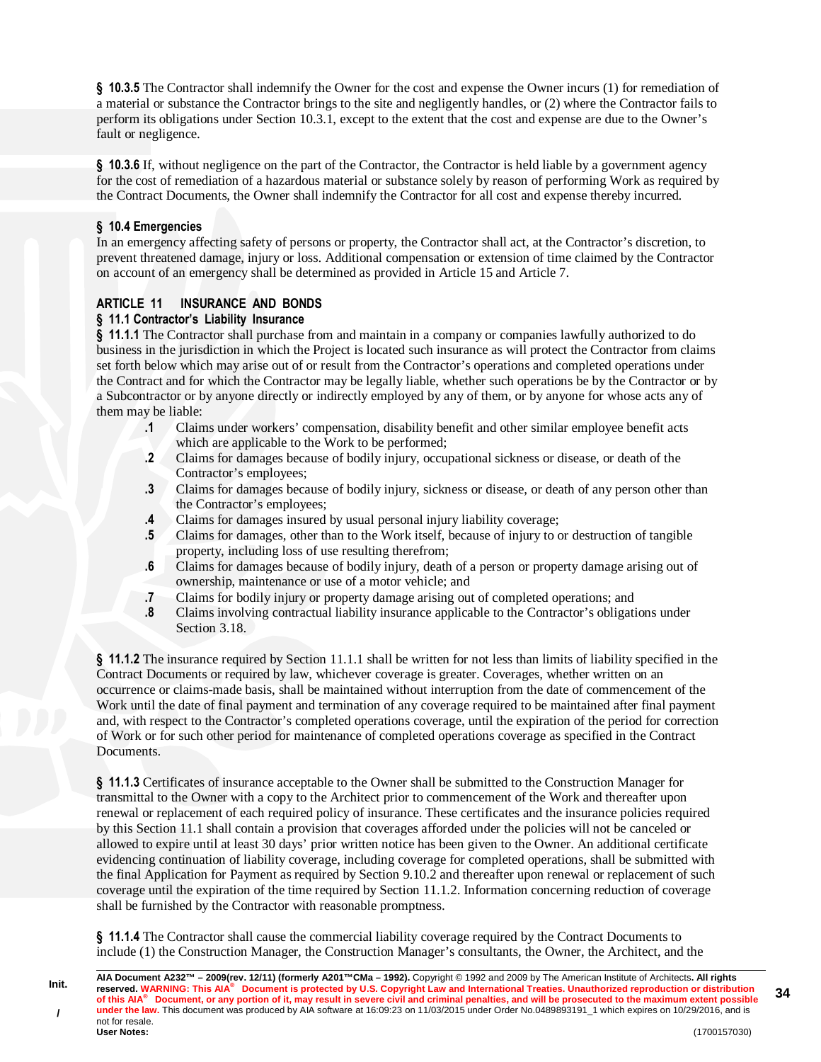**§ 10.3.5** The Contractor shall indemnify the Owner for the cost and expense the Owner incurs (1) for remediation of a material or substance the Contractor brings to the site and negligently handles, or (2) where the Contractor fails to perform its obligations under Section 10.3.1, except to the extent that the cost and expense are due to the Owner's fault or negligence.

**§ 10.3.6** If, without negligence on the part of the Contractor, the Contractor is held liable by a government agency for the cost of remediation of a hazardous material or substance solely by reason of performing Work as required by the Contract Documents, the Owner shall indemnify the Contractor for all cost and expense thereby incurred.

# **§ 10.4 Emergencies**

In an emergency affecting safety of persons or property, the Contractor shall act, at the Contractor's discretion, to prevent threatened damage, injury or loss. Additional compensation or extension of time claimed by the Contractor on account of an emergency shall be determined as provided in Article 15 and Article 7.

# **ARTICLE 11 INSURANCE AND BONDS**

# **§ 11.1 Contractor's Liability Insurance**

**§ 11.1.1** The Contractor shall purchase from and maintain in a company or companies lawfully authorized to do business in the jurisdiction in which the Project is located such insurance as will protect the Contractor from claims set forth below which may arise out of or result from the Contractor's operations and completed operations under the Contract and for which the Contractor may be legally liable, whether such operations be by the Contractor or by a Subcontractor or by anyone directly or indirectly employed by any of them, or by anyone for whose acts any of them may be liable:

- **.1** Claims under workers' compensation, disability benefit and other similar employee benefit acts which are applicable to the Work to be performed;
- **.2** Claims for damages because of bodily injury, occupational sickness or disease, or death of the Contractor's employees;
- **.3** Claims for damages because of bodily injury, sickness or disease, or death of any person other than the Contractor's employees;
- **.4** Claims for damages insured by usual personal injury liability coverage;
- **.5** Claims for damages, other than to the Work itself, because of injury to or destruction of tangible property, including loss of use resulting therefrom;
- **.6** Claims for damages because of bodily injury, death of a person or property damage arising out of ownership, maintenance or use of a motor vehicle; and
- **.7** Claims for bodily injury or property damage arising out of completed operations; and
- **.8** Claims involving contractual liability insurance applicable to the Contractor's obligations under Section 3.18.

**§ 11.1.2** The insurance required by Section 11.1.1 shall be written for not less than limits of liability specified in the Contract Documents or required by law, whichever coverage is greater. Coverages, whether written on an occurrence or claims-made basis, shall be maintained without interruption from the date of commencement of the Work until the date of final payment and termination of any coverage required to be maintained after final payment and, with respect to the Contractor's completed operations coverage, until the expiration of the period for correction of Work or for such other period for maintenance of completed operations coverage as specified in the Contract Documents.

**§ 11.1.3** Certificates of insurance acceptable to the Owner shall be submitted to the Construction Manager for transmittal to the Owner with a copy to the Architect prior to commencement of the Work and thereafter upon renewal or replacement of each required policy of insurance. These certificates and the insurance policies required by this Section 11.1 shall contain a provision that coverages afforded under the policies will not be canceled or allowed to expire until at least 30 days' prior written notice has been given to the Owner. An additional certificate evidencing continuation of liability coverage, including coverage for completed operations, shall be submitted with the final Application for Payment as required by Section 9.10.2 and thereafter upon renewal or replacement of such coverage until the expiration of the time required by Section 11.1.2. Information concerning reduction of coverage shall be furnished by the Contractor with reasonable promptness.

**§ 11.1.4** The Contractor shall cause the commercial liability coverage required by the Contract Documents to include (1) the Construction Manager, the Construction Manager's consultants, the Owner, the Architect, and the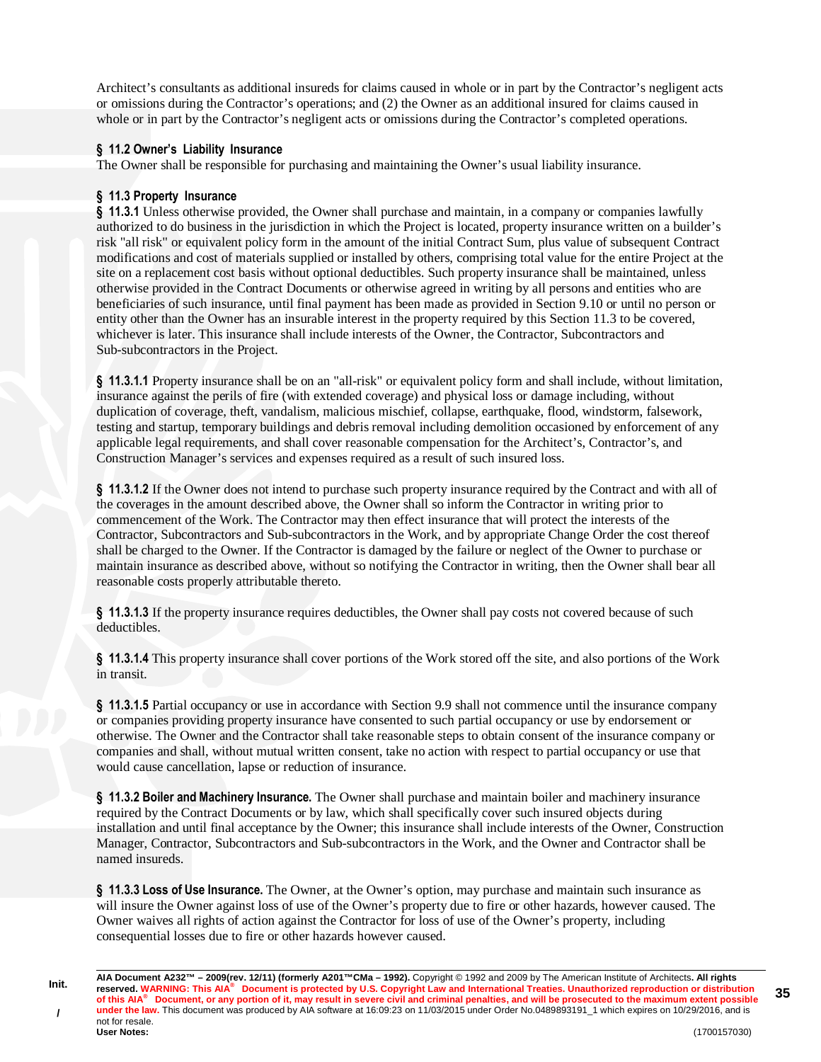Architect's consultants as additional insureds for claims caused in whole or in part by the Contractor's negligent acts or omissions during the Contractor's operations; and (2) the Owner as an additional insured for claims caused in whole or in part by the Contractor's negligent acts or omissions during the Contractor's completed operations.

# **§ 11.2 Owner's Liability Insurance**

The Owner shall be responsible for purchasing and maintaining the Owner's usual liability insurance.

# **§ 11.3 Property Insurance**

**Init.**

**/**

**§ 11.3.1** Unless otherwise provided, the Owner shall purchase and maintain, in a company or companies lawfully authorized to do business in the jurisdiction in which the Project is located, property insurance written on a builder's risk "all risk" or equivalent policy form in the amount of the initial Contract Sum, plus value of subsequent Contract modifications and cost of materials supplied or installed by others, comprising total value for the entire Project at the site on a replacement cost basis without optional deductibles. Such property insurance shall be maintained, unless otherwise provided in the Contract Documents or otherwise agreed in writing by all persons and entities who are beneficiaries of such insurance, until final payment has been made as provided in Section 9.10 or until no person or entity other than the Owner has an insurable interest in the property required by this Section 11.3 to be covered, whichever is later. This insurance shall include interests of the Owner, the Contractor, Subcontractors and Sub-subcontractors in the Project.

**§ 11.3.1.1** Property insurance shall be on an "all-risk" or equivalent policy form and shall include, without limitation, insurance against the perils of fire (with extended coverage) and physical loss or damage including, without duplication of coverage, theft, vandalism, malicious mischief, collapse, earthquake, flood, windstorm, falsework, testing and startup, temporary buildings and debris removal including demolition occasioned by enforcement of any applicable legal requirements, and shall cover reasonable compensation for the Architect's, Contractor's, and Construction Manager's services and expenses required as a result of such insured loss.

**§ 11.3.1.2** If the Owner does not intend to purchase such property insurance required by the Contract and with all of the coverages in the amount described above, the Owner shall so inform the Contractor in writing prior to commencement of the Work. The Contractor may then effect insurance that will protect the interests of the Contractor, Subcontractors and Sub-subcontractors in the Work, and by appropriate Change Order the cost thereof shall be charged to the Owner. If the Contractor is damaged by the failure or neglect of the Owner to purchase or maintain insurance as described above, without so notifying the Contractor in writing, then the Owner shall bear all reasonable costs properly attributable thereto.

**§ 11.3.1.3** If the property insurance requires deductibles, the Owner shall pay costs not covered because of such deductibles.

**§ 11.3.1.4** This property insurance shall cover portions of the Work stored off the site, and also portions of the Work in transit.

**§ 11.3.1.5** Partial occupancy or use in accordance with Section 9.9 shall not commence until the insurance company or companies providing property insurance have consented to such partial occupancy or use by endorsement or otherwise. The Owner and the Contractor shall take reasonable steps to obtain consent of the insurance company or companies and shall, without mutual written consent, take no action with respect to partial occupancy or use that would cause cancellation, lapse or reduction of insurance.

**§ 11.3.2 Boiler and Machinery Insurance.** The Owner shall purchase and maintain boiler and machinery insurance required by the Contract Documents or by law, which shall specifically cover such insured objects during installation and until final acceptance by the Owner; this insurance shall include interests of the Owner, Construction Manager, Contractor, Subcontractors and Sub-subcontractors in the Work, and the Owner and Contractor shall be named insureds.

**§ 11.3.3 Loss of Use Insurance.** The Owner, at the Owner's option, may purchase and maintain such insurance as will insure the Owner against loss of use of the Owner's property due to fire or other hazards, however caused. The Owner waives all rights of action against the Contractor for loss of use of the Owner's property, including consequential losses due to fire or other hazards however caused.

**AIA Document A232™ – 2009(rev. 12/11) (formerly A201™CMa – 1992).** Copyright © 1992 and 2009 by The American Institute of Architects**. All rights reserved. WARNING: This AIA® Document is protected by U.S. Copyright Law and International Treaties. Unauthorized reproduction or distribution of this AIA® Document, or any portion of it, may result in severe civil and criminal penalties, and will be prosecuted to the maximum extent possible under the law.** This document was produced by AIA software at 16:09:23 on 11/03/2015 under Order No.0489893191\_1 which expires on 10/29/2016, and is not for resale.<br>User Notes: **User Notes:** (1700157030) **35**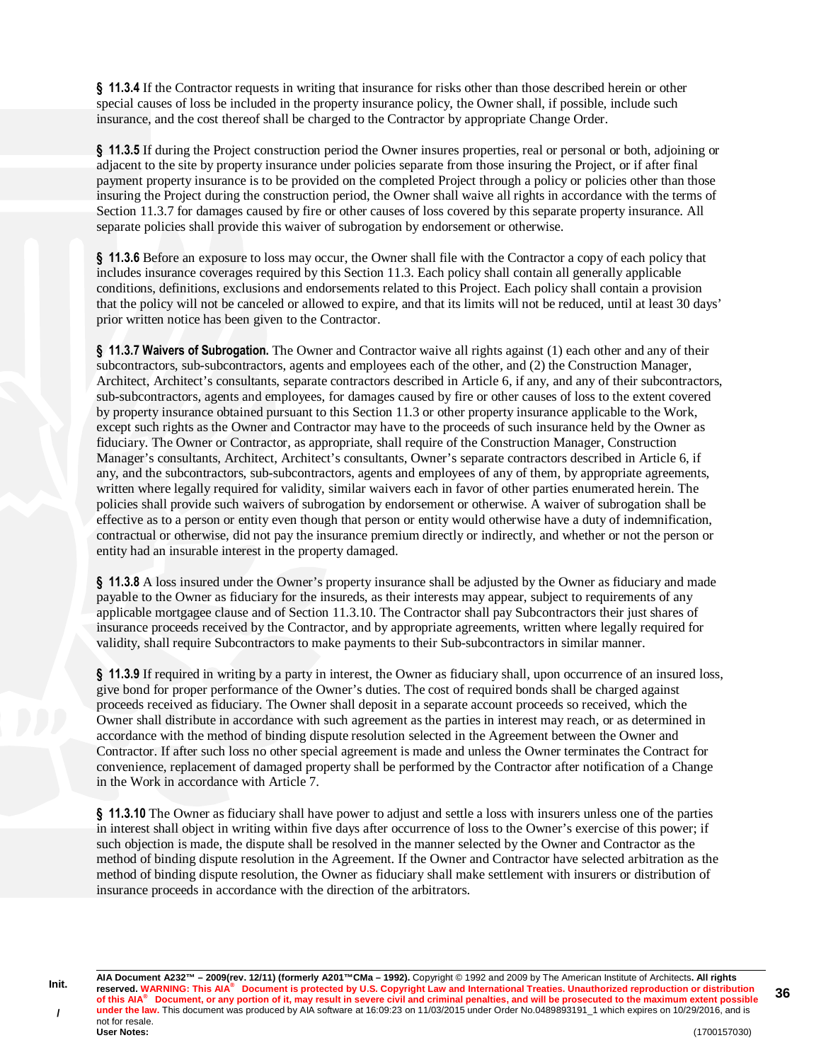**§ 11.3.4** If the Contractor requests in writing that insurance for risks other than those described herein or other special causes of loss be included in the property insurance policy, the Owner shall, if possible, include such insurance, and the cost thereof shall be charged to the Contractor by appropriate Change Order.

**§ 11.3.5** If during the Project construction period the Owner insures properties, real or personal or both, adjoining or adjacent to the site by property insurance under policies separate from those insuring the Project, or if after final payment property insurance is to be provided on the completed Project through a policy or policies other than those insuring the Project during the construction period, the Owner shall waive all rights in accordance with the terms of Section 11.3.7 for damages caused by fire or other causes of loss covered by this separate property insurance. All separate policies shall provide this waiver of subrogation by endorsement or otherwise.

**§ 11.3.6** Before an exposure to loss may occur, the Owner shall file with the Contractor a copy of each policy that includes insurance coverages required by this Section 11.3. Each policy shall contain all generally applicable conditions, definitions, exclusions and endorsements related to this Project. Each policy shall contain a provision that the policy will not be canceled or allowed to expire, and that its limits will not be reduced, until at least 30 days' prior written notice has been given to the Contractor.

**§ 11.3.7 Waivers of Subrogation.** The Owner and Contractor waive all rights against (1) each other and any of their subcontractors, sub-subcontractors, agents and employees each of the other, and (2) the Construction Manager, Architect, Architect's consultants, separate contractors described in Article 6, if any, and any of their subcontractors, sub-subcontractors, agents and employees, for damages caused by fire or other causes of loss to the extent covered by property insurance obtained pursuant to this Section 11.3 or other property insurance applicable to the Work, except such rights as the Owner and Contractor may have to the proceeds of such insurance held by the Owner as fiduciary. The Owner or Contractor, as appropriate, shall require of the Construction Manager, Construction Manager's consultants, Architect, Architect's consultants, Owner's separate contractors described in Article 6, if any, and the subcontractors, sub-subcontractors, agents and employees of any of them, by appropriate agreements, written where legally required for validity, similar waivers each in favor of other parties enumerated herein. The policies shall provide such waivers of subrogation by endorsement or otherwise. A waiver of subrogation shall be effective as to a person or entity even though that person or entity would otherwise have a duty of indemnification, contractual or otherwise, did not pay the insurance premium directly or indirectly, and whether or not the person or entity had an insurable interest in the property damaged.

**§ 11.3.8** A loss insured under the Owner's property insurance shall be adjusted by the Owner as fiduciary and made payable to the Owner as fiduciary for the insureds, as their interests may appear, subject to requirements of any applicable mortgagee clause and of Section 11.3.10. The Contractor shall pay Subcontractors their just shares of insurance proceeds received by the Contractor, and by appropriate agreements, written where legally required for validity, shall require Subcontractors to make payments to their Sub-subcontractors in similar manner.

**§ 11.3.9** If required in writing by a party in interest, the Owner as fiduciary shall, upon occurrence of an insured loss, give bond for proper performance of the Owner's duties. The cost of required bonds shall be charged against proceeds received as fiduciary. The Owner shall deposit in a separate account proceeds so received, which the Owner shall distribute in accordance with such agreement as the parties in interest may reach, or as determined in accordance with the method of binding dispute resolution selected in the Agreement between the Owner and Contractor. If after such loss no other special agreement is made and unless the Owner terminates the Contract for convenience, replacement of damaged property shall be performed by the Contractor after notification of a Change in the Work in accordance with Article 7.

**§ 11.3.10** The Owner as fiduciary shall have power to adjust and settle a loss with insurers unless one of the parties in interest shall object in writing within five days after occurrence of loss to the Owner's exercise of this power; if such objection is made, the dispute shall be resolved in the manner selected by the Owner and Contractor as the method of binding dispute resolution in the Agreement. If the Owner and Contractor have selected arbitration as the method of binding dispute resolution, the Owner as fiduciary shall make settlement with insurers or distribution of insurance proceeds in accordance with the direction of the arbitrators.

**/**

**AIA Document A232™ – 2009(rev. 12/11) (formerly A201™CMa – 1992).** Copyright © 1992 and 2009 by The American Institute of Architects**. All rights reserved. WARNING: This AIA® Document is protected by U.S. Copyright Law and International Treaties. Unauthorized reproduction or distribution of this AIA® Document, or any portion of it, may result in severe civil and criminal penalties, and will be prosecuted to the maximum extent possible under the law.** This document was produced by AIA software at 16:09:23 on 11/03/2015 under Order No.0489893191\_1 which expires on 10/29/2016, and is not for resale.<br>User Notes:

**Init.**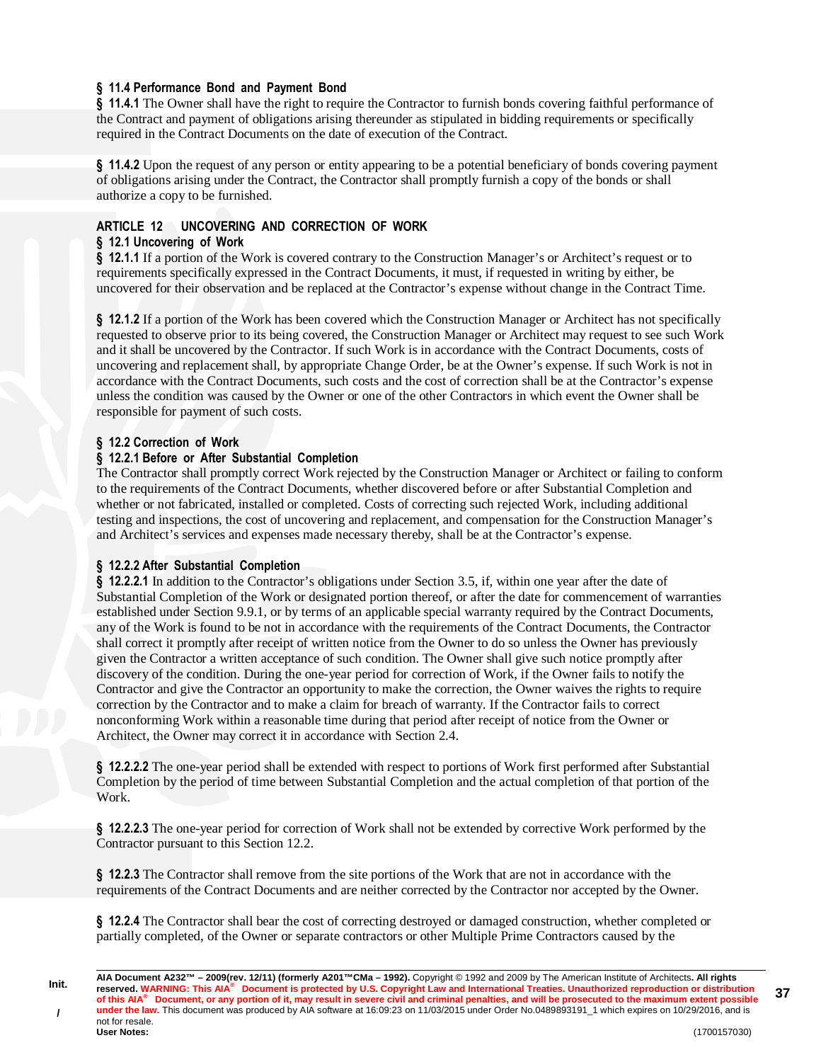# **§ 11.4 Performance Bond and Payment Bond**

**§ 11.4.1** The Owner shall have the right to require the Contractor to furnish bonds covering faithful performance of the Contract and payment of obligations arising thereunder as stipulated in bidding requirements or specifically required in the Contract Documents on the date of execution of the Contract.

**§ 11.4.2** Upon the request of any person or entity appearing to be a potential beneficiary of bonds covering payment of obligations arising under the Contract, the Contractor shall promptly furnish a copy of the bonds or shall authorize a copy to be furnished.

# **ARTICLE 12 UNCOVERING AND CORRECTION OF WORK**

# **§ 12.1 Uncovering of Work**

**§ 12.1.1** If a portion of the Work is covered contrary to the Construction Manager's or Architect's request or to requirements specifically expressed in the Contract Documents, it must, if requested in writing by either, be uncovered for their observation and be replaced at the Contractor's expense without change in the Contract Time.

**§ 12.1.2** If a portion of the Work has been covered which the Construction Manager or Architect has not specifically requested to observe prior to its being covered, the Construction Manager or Architect may request to see such Work and it shall be uncovered by the Contractor. If such Work is in accordance with the Contract Documents, costs of uncovering and replacement shall, by appropriate Change Order, be at the Owner's expense. If such Work is not in accordance with the Contract Documents, such costs and the cost of correction shall be at the Contractor's expense unless the condition was caused by the Owner or one of the other Contractors in which event the Owner shall be responsible for payment of such costs.

# **§ 12.2 Correction of Work**

**Init.**

**/**

# **§ 12.2.1 Before or After Substantial Completion**

The Contractor shall promptly correct Work rejected by the Construction Manager or Architect or failing to conform to the requirements of the Contract Documents, whether discovered before or after Substantial Completion and whether or not fabricated, installed or completed. Costs of correcting such rejected Work, including additional testing and inspections, the cost of uncovering and replacement, and compensation for the Construction Manager's and Architect's services and expenses made necessary thereby, shall be at the Contractor's expense.

# **§ 12.2.2 After Substantial Completion**

**§ 12.2.2.1** In addition to the Contractor's obligations under Section 3.5, if, within one year after the date of Substantial Completion of the Work or designated portion thereof, or after the date for commencement of warranties established under Section 9.9.1, or by terms of an applicable special warranty required by the Contract Documents, any of the Work is found to be not in accordance with the requirements of the Contract Documents, the Contractor shall correct it promptly after receipt of written notice from the Owner to do so unless the Owner has previously given the Contractor a written acceptance of such condition. The Owner shall give such notice promptly after discovery of the condition. During the one-year period for correction of Work, if the Owner fails to notify the Contractor and give the Contractor an opportunity to make the correction, the Owner waives the rights to require correction by the Contractor and to make a claim for breach of warranty. If the Contractor fails to correct nonconforming Work within a reasonable time during that period after receipt of notice from the Owner or Architect, the Owner may correct it in accordance with Section 2.4.

**§ 12.2.2.2** The one-year period shall be extended with respect to portions of Work first performed after Substantial Completion by the period of time between Substantial Completion and the actual completion of that portion of the Work.

**§ 12.2.2.3** The one-year period for correction of Work shall not be extended by corrective Work performed by the Contractor pursuant to this Section 12.2.

**§ 12.2.3** The Contractor shall remove from the site portions of the Work that are not in accordance with the requirements of the Contract Documents and are neither corrected by the Contractor nor accepted by the Owner.

**§ 12.2.4** The Contractor shall bear the cost of correcting destroyed or damaged construction, whether completed or partially completed, of the Owner or separate contractors or other Multiple Prime Contractors caused by the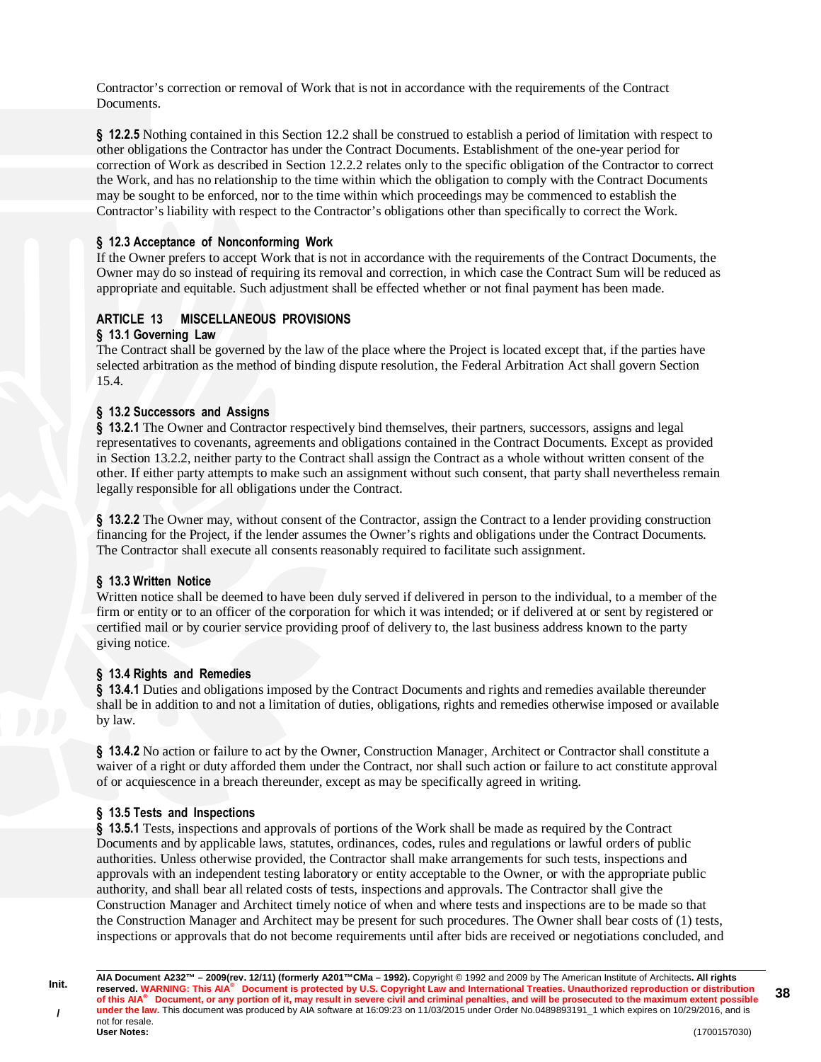Contractor's correction or removal of Work that is not in accordance with the requirements of the Contract Documents.

**§ 12.2.5** Nothing contained in this Section 12.2 shall be construed to establish a period of limitation with respect to other obligations the Contractor has under the Contract Documents. Establishment of the one-year period for correction of Work as described in Section 12.2.2 relates only to the specific obligation of the Contractor to correct the Work, and has no relationship to the time within which the obligation to comply with the Contract Documents may be sought to be enforced, nor to the time within which proceedings may be commenced to establish the Contractor's liability with respect to the Contractor's obligations other than specifically to correct the Work.

#### **§ 12.3 Acceptance of Nonconforming Work**

If the Owner prefers to accept Work that is not in accordance with the requirements of the Contract Documents, the Owner may do so instead of requiring its removal and correction, in which case the Contract Sum will be reduced as appropriate and equitable. Such adjustment shall be effected whether or not final payment has been made.

#### **ARTICLE 13 MISCELLANEOUS PROVISIONS**

#### **§ 13.1 Governing Law**

The Contract shall be governed by the law of the place where the Project is located except that, if the parties have selected arbitration as the method of binding dispute resolution, the Federal Arbitration Act shall govern Section 15.4.

#### **§ 13.2 Successors and Assigns**

**§ 13.2.1** The Owner and Contractor respectively bind themselves, their partners, successors, assigns and legal representatives to covenants, agreements and obligations contained in the Contract Documents. Except as provided in Section 13.2.2, neither party to the Contract shall assign the Contract as a whole without written consent of the other. If either party attempts to make such an assignment without such consent, that party shall nevertheless remain legally responsible for all obligations under the Contract.

**§ 13.2.2** The Owner may, without consent of the Contractor, assign the Contract to a lender providing construction financing for the Project, if the lender assumes the Owner's rights and obligations under the Contract Documents. The Contractor shall execute all consents reasonably required to facilitate such assignment.

# **§ 13.3 Written Notice**

Written notice shall be deemed to have been duly served if delivered in person to the individual, to a member of the firm or entity or to an officer of the corporation for which it was intended; or if delivered at or sent by registered or certified mail or by courier service providing proof of delivery to, the last business address known to the party giving notice.

#### **§ 13.4 Rights and Remedies**

**§ 13.4.1** Duties and obligations imposed by the Contract Documents and rights and remedies available thereunder shall be in addition to and not a limitation of duties, obligations, rights and remedies otherwise imposed or available by law.

**§ 13.4.2** No action or failure to act by the Owner, Construction Manager, Architect or Contractor shall constitute a waiver of a right or duty afforded them under the Contract, nor shall such action or failure to act constitute approval of or acquiescence in a breach thereunder, except as may be specifically agreed in writing.

#### **§ 13.5 Tests and Inspections**

**§ 13.5.1** Tests, inspections and approvals of portions of the Work shall be made as required by the Contract Documents and by applicable laws, statutes, ordinances, codes, rules and regulations or lawful orders of public authorities. Unless otherwise provided, the Contractor shall make arrangements for such tests, inspections and approvals with an independent testing laboratory or entity acceptable to the Owner, or with the appropriate public authority, and shall bear all related costs of tests, inspections and approvals. The Contractor shall give the Construction Manager and Architect timely notice of when and where tests and inspections are to be made so that the Construction Manager and Architect may be present for such procedures. The Owner shall bear costs of (1) tests, inspections or approvals that do not become requirements until after bids are received or negotiations concluded, and

**/**

**AIA Document A232™ – 2009(rev. 12/11) (formerly A201™CMa – 1992).** Copyright © 1992 and 2009 by The American Institute of Architects**. All rights reserved. WARNING: This AIA® Document is protected by U.S. Copyright Law and International Treaties. Unauthorized reproduction or distribution of this AIA® Document, or any portion of it, may result in severe civil and criminal penalties, and will be prosecuted to the maximum extent possible under the law.** This document was produced by AIA software at 16:09:23 on 11/03/2015 under Order No.0489893191\_1 which expires on 10/29/2016, and is not for resale.<br>User Notes: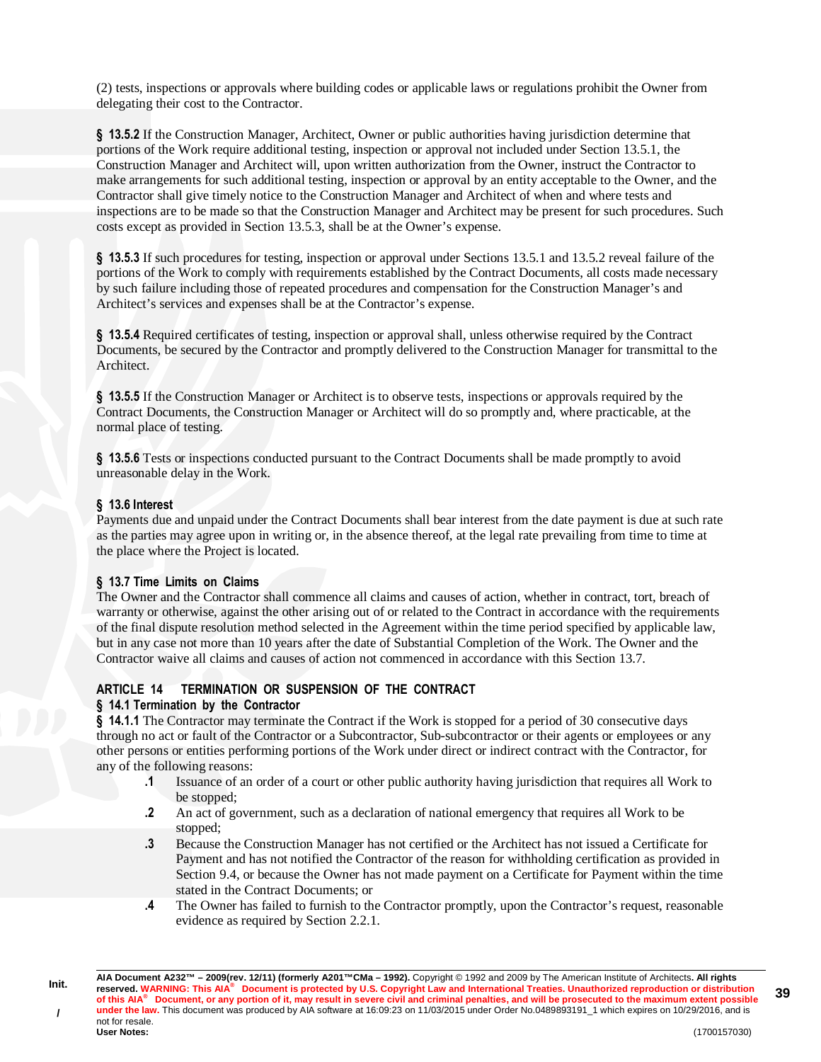(2) tests, inspections or approvals where building codes or applicable laws or regulations prohibit the Owner from delegating their cost to the Contractor.

**§ 13.5.2** If the Construction Manager, Architect, Owner or public authorities having jurisdiction determine that portions of the Work require additional testing, inspection or approval not included under Section 13.5.1, the Construction Manager and Architect will, upon written authorization from the Owner, instruct the Contractor to make arrangements for such additional testing, inspection or approval by an entity acceptable to the Owner, and the Contractor shall give timely notice to the Construction Manager and Architect of when and where tests and inspections are to be made so that the Construction Manager and Architect may be present for such procedures. Such costs except as provided in Section 13.5.3, shall be at the Owner's expense.

**§ 13.5.3** If such procedures for testing, inspection or approval under Sections 13.5.1 and 13.5.2 reveal failure of the portions of the Work to comply with requirements established by the Contract Documents, all costs made necessary by such failure including those of repeated procedures and compensation for the Construction Manager's and Architect's services and expenses shall be at the Contractor's expense.

**§ 13.5.4** Required certificates of testing, inspection or approval shall, unless otherwise required by the Contract Documents, be secured by the Contractor and promptly delivered to the Construction Manager for transmittal to the Architect.

**§ 13.5.5** If the Construction Manager or Architect is to observe tests, inspections or approvals required by the Contract Documents, the Construction Manager or Architect will do so promptly and, where practicable, at the normal place of testing.

§ **13.5.6** Tests or inspections conducted pursuant to the Contract Documents shall be made promptly to avoid unreasonable delay in the Work.

#### **§ 13.6 Interest**

Payments due and unpaid under the Contract Documents shall bear interest from the date payment is due at such rate as the parties may agree upon in writing or, in the absence thereof, at the legal rate prevailing from time to time at the place where the Project is located.

# **§ 13.7 Time Limits on Claims**

The Owner and the Contractor shall commence all claims and causes of action, whether in contract, tort, breach of warranty or otherwise, against the other arising out of or related to the Contract in accordance with the requirements of the final dispute resolution method selected in the Agreement within the time period specified by applicable law, but in any case not more than 10 years after the date of Substantial Completion of the Work. The Owner and the Contractor waive all claims and causes of action not commenced in accordance with this Section 13.7.

# **ARTICLE 14 TERMINATION OR SUSPENSION OF THE CONTRACT**

#### **§ 14.1 Termination by the Contractor**

**§ 14.1.1** The Contractor may terminate the Contract if the Work is stopped for a period of 30 consecutive days through no act or fault of the Contractor or a Subcontractor, Sub-subcontractor or their agents or employees or any other persons or entities performing portions of the Work under direct or indirect contract with the Contractor, for any of the following reasons:

- **.1** Issuance of an order of a court or other public authority having jurisdiction that requires all Work to be stopped;
- **.2** An act of government, such as a declaration of national emergency that requires all Work to be stopped;
- **.3** Because the Construction Manager has not certified or the Architect has not issued a Certificate for Payment and has not notified the Contractor of the reason for withholding certification as provided in Section 9.4, or because the Owner has not made payment on a Certificate for Payment within the time stated in the Contract Documents; or
- **.4** The Owner has failed to furnish to the Contractor promptly, upon the Contractor's request, reasonable evidence as required by Section 2.2.1.

**/**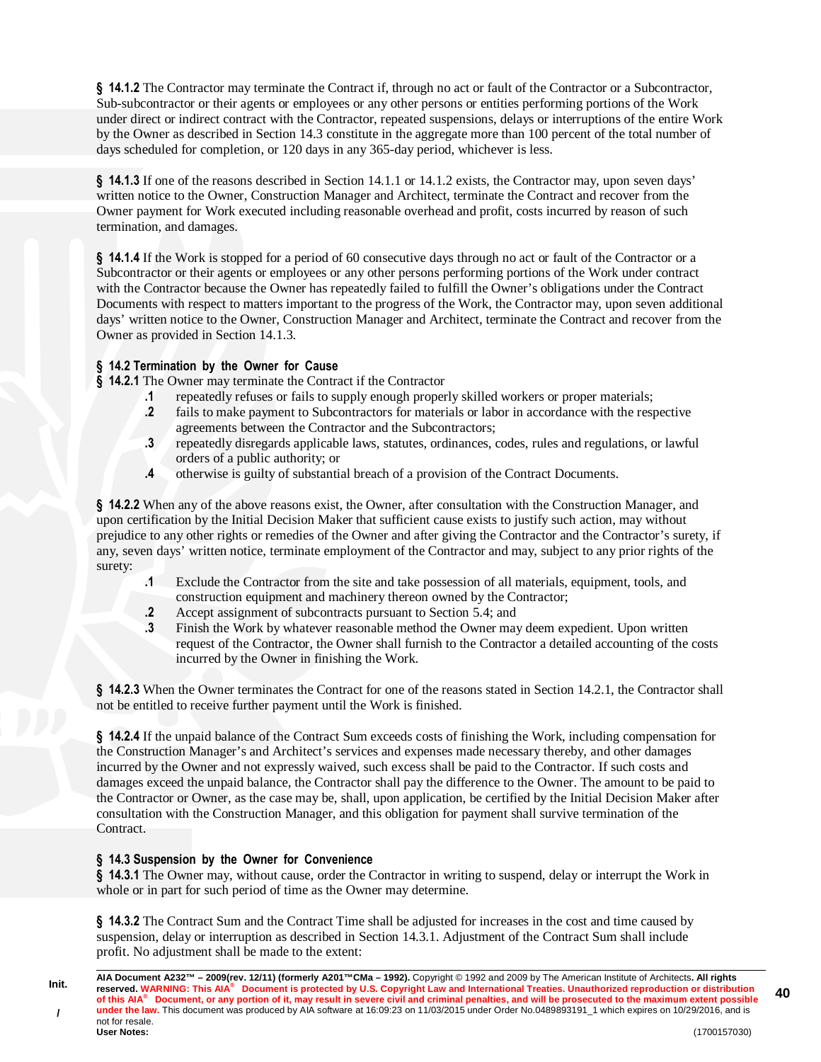**§ 14.1.2** The Contractor may terminate the Contract if, through no act or fault of the Contractor or a Subcontractor, Sub-subcontractor or their agents or employees or any other persons or entities performing portions of the Work under direct or indirect contract with the Contractor, repeated suspensions, delays or interruptions of the entire Work by the Owner as described in Section 14.3 constitute in the aggregate more than 100 percent of the total number of days scheduled for completion, or 120 days in any 365-day period, whichever is less.

**§ 14.1.3** If one of the reasons described in Section 14.1.1 or 14.1.2 exists, the Contractor may, upon seven days' written notice to the Owner, Construction Manager and Architect, terminate the Contract and recover from the Owner payment for Work executed including reasonable overhead and profit, costs incurred by reason of such termination, and damages.

**§ 14.1.4** If the Work is stopped for a period of 60 consecutive days through no act or fault of the Contractor or a Subcontractor or their agents or employees or any other persons performing portions of the Work under contract with the Contractor because the Owner has repeatedly failed to fulfill the Owner's obligations under the Contract Documents with respect to matters important to the progress of the Work, the Contractor may, upon seven additional days' written notice to the Owner, Construction Manager and Architect, terminate the Contract and recover from the Owner as provided in Section 14.1.3.

# **§ 14.2 Termination by the Owner for Cause**

**§ 14.2.1** The Owner may terminate the Contract if the Contractor

- **.1** repeatedly refuses or fails to supply enough properly skilled workers or proper materials;
- fails to make payment to Subcontractors for materials or labor in accordance with the respective agreements between the Contractor and the Subcontractors;
- **.3** repeatedly disregards applicable laws, statutes, ordinances, codes, rules and regulations, or lawful orders of a public authority; or
- **.4** otherwise is guilty of substantial breach of a provision of the Contract Documents.

**§ 14.2.2** When any of the above reasons exist, the Owner, after consultation with the Construction Manager, and upon certification by the Initial Decision Maker that sufficient cause exists to justify such action, may without prejudice to any other rights or remedies of the Owner and after giving the Contractor and the Contractor's surety, if any, seven days' written notice, terminate employment of the Contractor and may, subject to any prior rights of the surety:

- **.1** Exclude the Contractor from the site and take possession of all materials, equipment, tools, and construction equipment and machinery thereon owned by the Contractor;
- **.2** Accept assignment of subcontracts pursuant to Section 5.4; and
- **.3** Finish the Work by whatever reasonable method the Owner may deem expedient. Upon written request of the Contractor, the Owner shall furnish to the Contractor a detailed accounting of the costs incurred by the Owner in finishing the Work.

**§ 14.2.3** When the Owner terminates the Contract for one of the reasons stated in Section 14.2.1, the Contractor shall not be entitled to receive further payment until the Work is finished.

**§ 14.2.4** If the unpaid balance of the Contract Sum exceeds costs of finishing the Work, including compensation for the Construction Manager's and Architect's services and expenses made necessary thereby, and other damages incurred by the Owner and not expressly waived, such excess shall be paid to the Contractor. If such costs and damages exceed the unpaid balance, the Contractor shall pay the difference to the Owner. The amount to be paid to the Contractor or Owner, as the case may be, shall, upon application, be certified by the Initial Decision Maker after consultation with the Construction Manager, and this obligation for payment shall survive termination of the Contract.

# **§ 14.3 Suspension by the Owner for Convenience**

**Init.**

**/**

**§ 14.3.1** The Owner may, without cause, order the Contractor in writing to suspend, delay or interrupt the Work in whole or in part for such period of time as the Owner may determine.

**§ 14.3.2** The Contract Sum and the Contract Time shall be adjusted for increases in the cost and time caused by suspension, delay or interruption as described in Section 14.3.1. Adjustment of the Contract Sum shall include profit. No adjustment shall be made to the extent: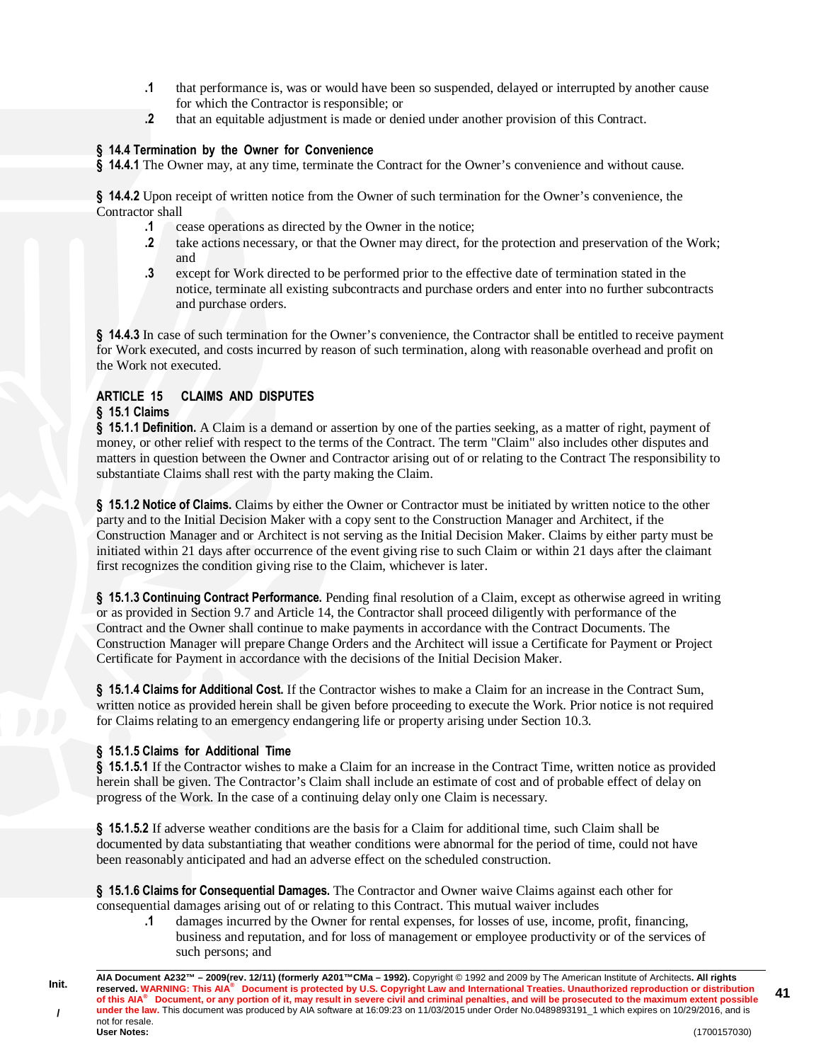- **.1** that performance is, was or would have been so suspended, delayed or interrupted by another cause for which the Contractor is responsible; or
- **.2** that an equitable adjustment is made or denied under another provision of this Contract.

# **§ 14.4 Termination by the Owner for Convenience**

**§ 14.4.1** The Owner may, at any time, terminate the Contract for the Owner's convenience and without cause.

**§ 14.4.2** Upon receipt of written notice from the Owner of such termination for the Owner's convenience, the Contractor shall

- **.1** cease operations as directed by the Owner in the notice;<br>**2** take actions necessary, or that the Owner may direct, for
- take actions necessary, or that the Owner may direct, for the protection and preservation of the Work; and
- **.3** except for Work directed to be performed prior to the effective date of termination stated in the notice, terminate all existing subcontracts and purchase orders and enter into no further subcontracts and purchase orders.

**§ 14.4.3** In case of such termination for the Owner's convenience, the Contractor shall be entitled to receive payment for Work executed, and costs incurred by reason of such termination, along with reasonable overhead and profit on the Work not executed.

# **ARTICLE 15 CLAIMS AND DISPUTES**

# **§ 15.1 Claims**

**§ 15.1.1 Definition.** A Claim is a demand or assertion by one of the parties seeking, as a matter of right, payment of money, or other relief with respect to the terms of the Contract. The term "Claim" also includes other disputes and matters in question between the Owner and Contractor arising out of or relating to the Contract The responsibility to substantiate Claims shall rest with the party making the Claim.

**§ 15.1.2 Notice of Claims.** Claims by either the Owner or Contractor must be initiated by written notice to the other party and to the Initial Decision Maker with a copy sent to the Construction Manager and Architect, if the Construction Manager and or Architect is not serving as the Initial Decision Maker. Claims by either party must be initiated within 21 days after occurrence of the event giving rise to such Claim or within 21 days after the claimant first recognizes the condition giving rise to the Claim, whichever is later.

**§ 15.1.3 Continuing Contract Performance.** Pending final resolution of a Claim, except as otherwise agreed in writing or as provided in Section 9.7 and Article 14, the Contractor shall proceed diligently with performance of the Contract and the Owner shall continue to make payments in accordance with the Contract Documents. The Construction Manager will prepare Change Orders and the Architect will issue a Certificate for Payment or Project Certificate for Payment in accordance with the decisions of the Initial Decision Maker.

**§ 15.1.4 Claims for Additional Cost.** If the Contractor wishes to make a Claim for an increase in the Contract Sum, written notice as provided herein shall be given before proceeding to execute the Work. Prior notice is not required for Claims relating to an emergency endangering life or property arising under Section 10.3.

# **§ 15.1.5 Claims for Additional Time**

**Init.**

**/**

**§ 15.1.5.1** If the Contractor wishes to make a Claim for an increase in the Contract Time, written notice as provided herein shall be given. The Contractor's Claim shall include an estimate of cost and of probable effect of delay on progress of the Work. In the case of a continuing delay only one Claim is necessary.

**§ 15.1.5.2** If adverse weather conditions are the basis for a Claim for additional time, such Claim shall be documented by data substantiating that weather conditions were abnormal for the period of time, could not have been reasonably anticipated and had an adverse effect on the scheduled construction.

**§ 15.1.6 Claims for Consequential Damages.** The Contractor and Owner waive Claims against each other for consequential damages arising out of or relating to this Contract. This mutual waiver includes

**.1** damages incurred by the Owner for rental expenses, for losses of use, income, profit, financing, business and reputation, and for loss of management or employee productivity or of the services of such persons; and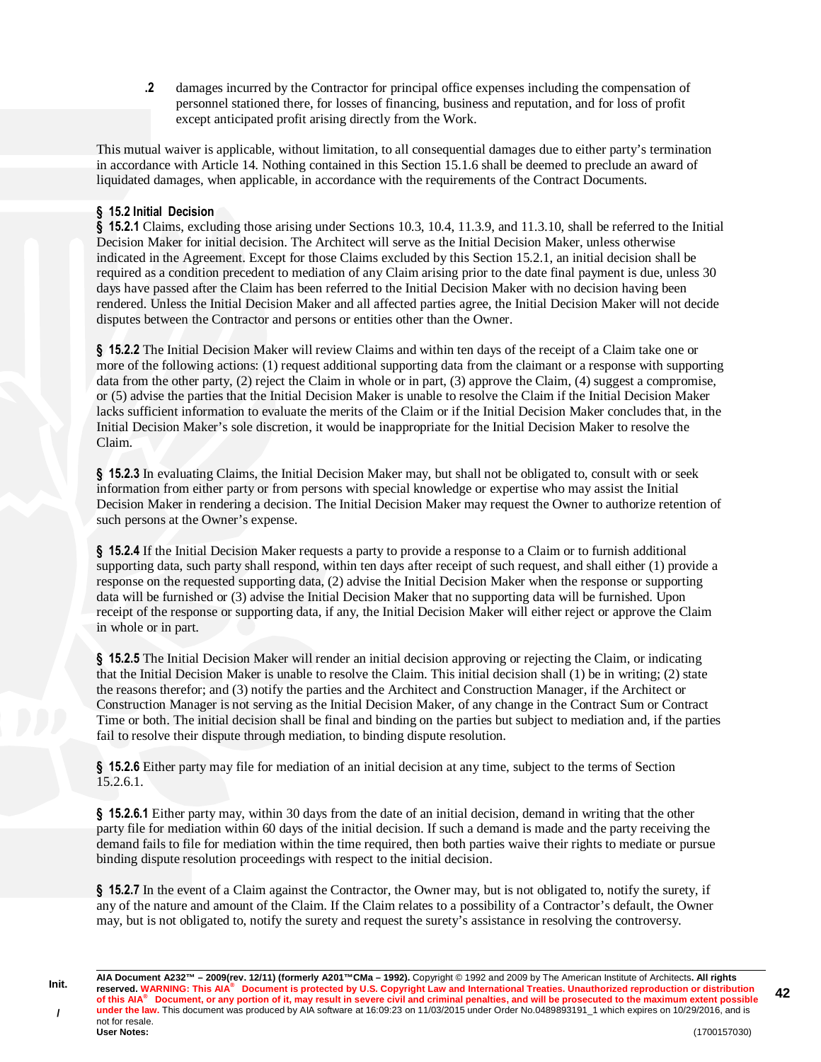**.2** damages incurred by the Contractor for principal office expenses including the compensation of personnel stationed there, for losses of financing, business and reputation, and for loss of profit except anticipated profit arising directly from the Work.

This mutual waiver is applicable, without limitation, to all consequential damages due to either party's termination in accordance with Article 14. Nothing contained in this Section 15.1.6 shall be deemed to preclude an award of liquidated damages, when applicable, in accordance with the requirements of the Contract Documents.

# **§ 15.2 Initial Decision**

**§ 15.2.1** Claims, excluding those arising under Sections 10.3, 10.4, 11.3.9, and 11.3.10, shall be referred to the Initial Decision Maker for initial decision. The Architect will serve as the Initial Decision Maker, unless otherwise indicated in the Agreement. Except for those Claims excluded by this Section 15.2.1, an initial decision shall be required as a condition precedent to mediation of any Claim arising prior to the date final payment is due, unless 30 days have passed after the Claim has been referred to the Initial Decision Maker with no decision having been rendered. Unless the Initial Decision Maker and all affected parties agree, the Initial Decision Maker will not decide disputes between the Contractor and persons or entities other than the Owner.

**§ 15.2.2** The Initial Decision Maker will review Claims and within ten days of the receipt of a Claim take one or more of the following actions: (1) request additional supporting data from the claimant or a response with supporting data from the other party, (2) reject the Claim in whole or in part, (3) approve the Claim, (4) suggest a compromise, or (5) advise the parties that the Initial Decision Maker is unable to resolve the Claim if the Initial Decision Maker lacks sufficient information to evaluate the merits of the Claim or if the Initial Decision Maker concludes that, in the Initial Decision Maker's sole discretion, it would be inappropriate for the Initial Decision Maker to resolve the Claim.

**§ 15.2.3** In evaluating Claims, the Initial Decision Maker may, but shall not be obligated to, consult with or seek information from either party or from persons with special knowledge or expertise who may assist the Initial Decision Maker in rendering a decision. The Initial Decision Maker may request the Owner to authorize retention of such persons at the Owner's expense.

**§ 15.2.4** If the Initial Decision Maker requests a party to provide a response to a Claim or to furnish additional supporting data, such party shall respond, within ten days after receipt of such request, and shall either (1) provide a response on the requested supporting data, (2) advise the Initial Decision Maker when the response or supporting data will be furnished or (3) advise the Initial Decision Maker that no supporting data will be furnished. Upon receipt of the response or supporting data, if any, the Initial Decision Maker will either reject or approve the Claim in whole or in part.

**§ 15.2.5** The Initial Decision Maker will render an initial decision approving or rejecting the Claim, or indicating that the Initial Decision Maker is unable to resolve the Claim. This initial decision shall (1) be in writing; (2) state the reasons therefor; and (3) notify the parties and the Architect and Construction Manager, if the Architect or Construction Manager is not serving as the Initial Decision Maker, of any change in the Contract Sum or Contract Time or both. The initial decision shall be final and binding on the parties but subject to mediation and, if the parties fail to resolve their dispute through mediation, to binding dispute resolution.

**§ 15.2.6** Either party may file for mediation of an initial decision at any time, subject to the terms of Section 15.2.6.1.

**§ 15.2.6.1** Either party may, within 30 days from the date of an initial decision, demand in writing that the other party file for mediation within 60 days of the initial decision. If such a demand is made and the party receiving the demand fails to file for mediation within the time required, then both parties waive their rights to mediate or pursue binding dispute resolution proceedings with respect to the initial decision.

**§ 15.2.7** In the event of a Claim against the Contractor, the Owner may, but is not obligated to, notify the surety, if any of the nature and amount of the Claim. If the Claim relates to a possibility of a Contractor's default, the Owner may, but is not obligated to, notify the surety and request the surety's assistance in resolving the controversy.

**Init.**

**/**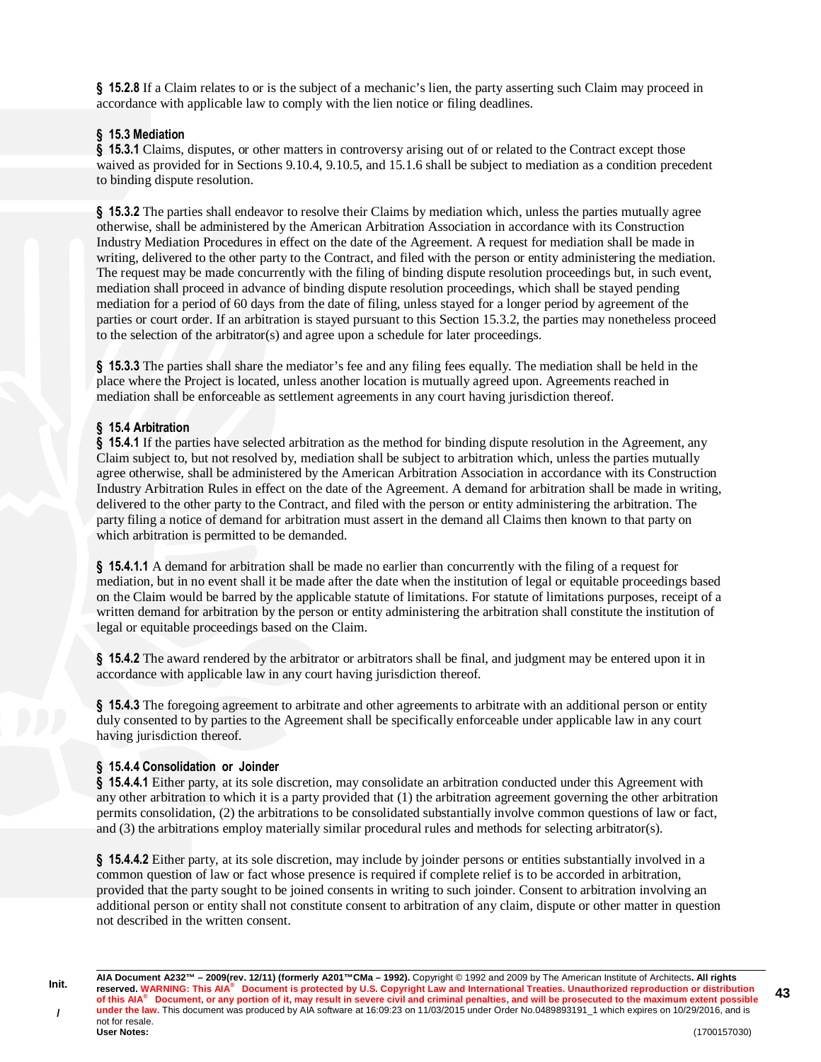**§ 15.2.8** If a Claim relates to or is the subject of a mechanic's lien, the party asserting such Claim may proceed in accordance with applicable law to comply with the lien notice or filing deadlines.

#### **§ 15.3 Mediation**

**§ 15.3.1** Claims, disputes, or other matters in controversy arising out of or related to the Contract except those waived as provided for in Sections 9.10.4, 9.10.5, and 15.1.6 shall be subject to mediation as a condition precedent to binding dispute resolution.

**§ 15.3.2** The parties shall endeavor to resolve their Claims by mediation which, unless the parties mutually agree otherwise, shall be administered by the American Arbitration Association in accordance with its Construction Industry Mediation Procedures in effect on the date of the Agreement. A request for mediation shall be made in writing, delivered to the other party to the Contract, and filed with the person or entity administering the mediation. The request may be made concurrently with the filing of binding dispute resolution proceedings but, in such event, mediation shall proceed in advance of binding dispute resolution proceedings, which shall be stayed pending mediation for a period of 60 days from the date of filing, unless stayed for a longer period by agreement of the parties or court order. If an arbitration is stayed pursuant to this Section 15.3.2, the parties may nonetheless proceed to the selection of the arbitrator(s) and agree upon a schedule for later proceedings.

**§ 15.3.3** The parties shall share the mediator's fee and any filing fees equally. The mediation shall be held in the place where the Project is located, unless another location is mutually agreed upon. Agreements reached in mediation shall be enforceable as settlement agreements in any court having jurisdiction thereof.

#### **§ 15.4 Arbitration**

**§ 15.4.1** If the parties have selected arbitration as the method for binding dispute resolution in the Agreement, any Claim subject to, but not resolved by, mediation shall be subject to arbitration which, unless the parties mutually agree otherwise, shall be administered by the American Arbitration Association in accordance with its Construction Industry Arbitration Rules in effect on the date of the Agreement. A demand for arbitration shall be made in writing, delivered to the other party to the Contract, and filed with the person or entity administering the arbitration. The party filing a notice of demand for arbitration must assert in the demand all Claims then known to that party on which arbitration is permitted to be demanded.

**§ 15.4.1.1** A demand for arbitration shall be made no earlier than concurrently with the filing of a request for mediation, but in no event shall it be made after the date when the institution of legal or equitable proceedings based on the Claim would be barred by the applicable statute of limitations. For statute of limitations purposes, receipt of a written demand for arbitration by the person or entity administering the arbitration shall constitute the institution of legal or equitable proceedings based on the Claim.

**§ 15.4.2** The award rendered by the arbitrator or arbitrators shall be final, and judgment may be entered upon it in accordance with applicable law in any court having jurisdiction thereof.

**§ 15.4.3** The foregoing agreement to arbitrate and other agreements to arbitrate with an additional person or entity duly consented to by parties to the Agreement shall be specifically enforceable under applicable law in any court having jurisdiction thereof.

#### **§ 15.4.4 Consolidation or Joinder**

**§ 15.4.4.1** Either party, at its sole discretion, may consolidate an arbitration conducted under this Agreement with any other arbitration to which it is a party provided that (1) the arbitration agreement governing the other arbitration permits consolidation, (2) the arbitrations to be consolidated substantially involve common questions of law or fact, and (3) the arbitrations employ materially similar procedural rules and methods for selecting arbitrator(s).

**§ 15.4.4.2** Either party, at its sole discretion, may include by joinder persons or entities substantially involved in a common question of law or fact whose presence is required if complete relief is to be accorded in arbitration, provided that the party sought to be joined consents in writing to such joinder. Consent to arbitration involving an additional person or entity shall not constitute consent to arbitration of any claim, dispute or other matter in question not described in the written consent.

**Init.**

**/**

**AIA Document A232™ – 2009(rev. 12/11) (formerly A201™CMa – 1992).** Copyright © 1992 and 2009 by The American Institute of Architects**. All rights reserved. WARNING: This AIA® Document is protected by U.S. Copyright Law and International Treaties. Unauthorized reproduction or distribution of this AIA® Document, or any portion of it, may result in severe civil and criminal penalties, and will be prosecuted to the maximum extent possible under the law.** This document was produced by AIA software at 16:09:23 on 11/03/2015 under Order No.0489893191\_1 which expires on 10/29/2016, and is not for resale.<br>User Notes: **User Notes:** (1700157030)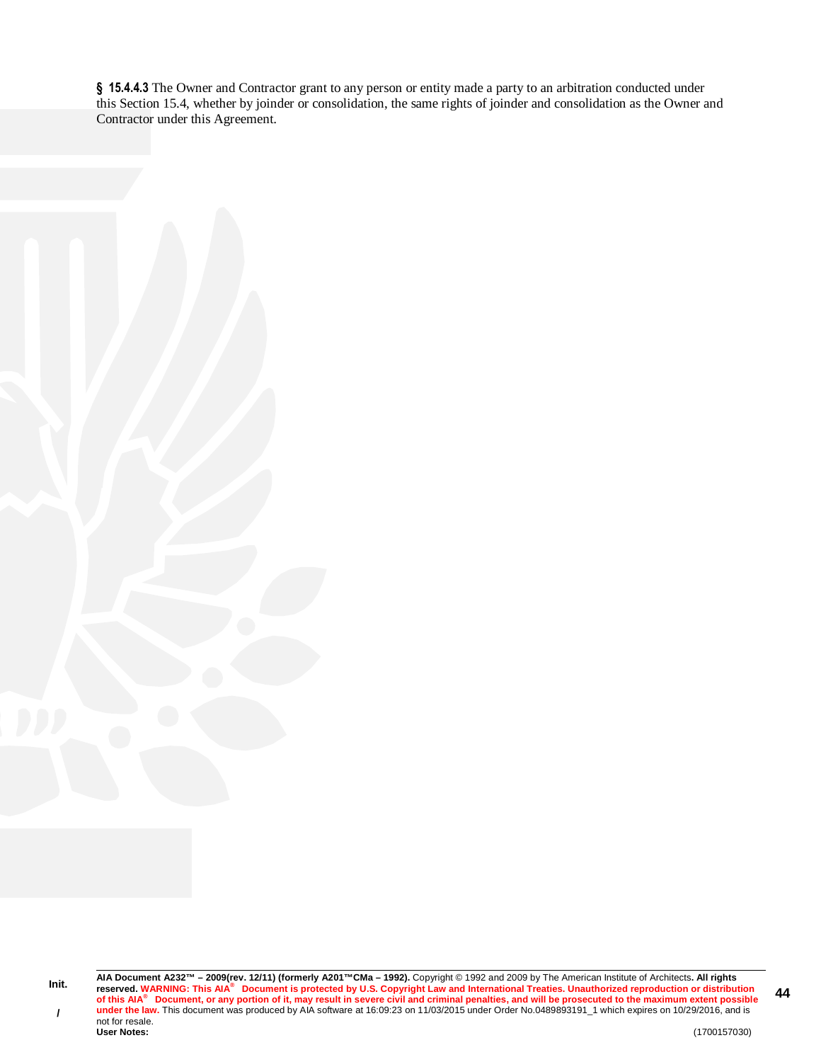**§ 15.4.4.3** The Owner and Contractor grant to any person or entity made a party to an arbitration conducted under this Section 15.4, whether by joinder or consolidation, the same rights of joinder and consolidation as the Owner and Contractor under this Agreement.



**/**

AIA Document A232™ – 2009(rev. 12/11) (formerly A201™CMa – 1992). Copyright © 1992 and 2009 by The American Institute of Architects. All rights<br>reserved. <mark>WARNING: This AIA<sup>®</sup> Document is protected by U.S. Copyright Law a</mark> of this AIA® Document, or any portion of it, may result in severe civil and criminal penalties, and will be prosecuted to the maximum extent possible<br>under the law. This document was produced by AIA software at 16:09:23 on not for resale.<br>User Notes: **User Notes:** (1700157030) **44**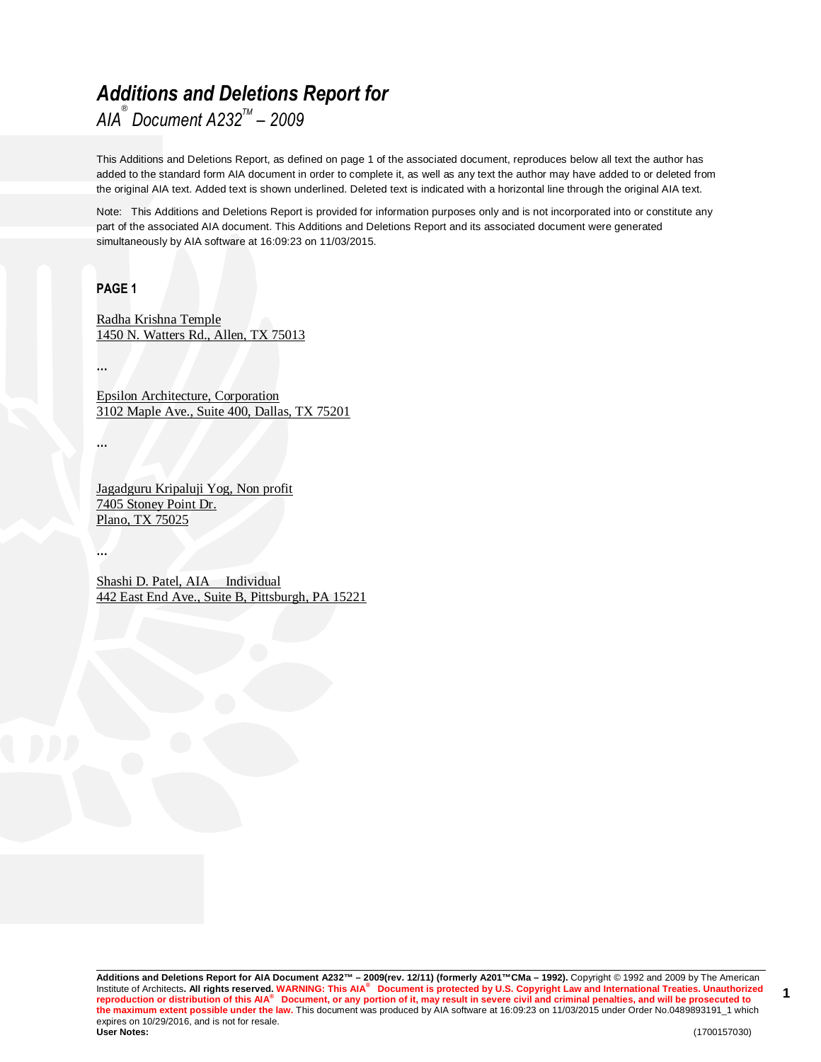# *Additions and Deletions Report for*

*AIA ® Document A232TM – 2009*

This Additions and Deletions Report, as defined on page 1 of the associated document, reproduces below all text the author has added to the standard form AIA document in order to complete it, as well as any text the author may have added to or deleted from the original AIA text. Added text is shown underlined. Deleted text is indicated with a horizontal line through the original AIA text.

Note: This Additions and Deletions Report is provided for information purposes only and is not incorporated into or constitute any part of the associated AIA document. This Additions and Deletions Report and its associated document were generated simultaneously by AIA software at 16:09:23 on 11/03/2015.

# **PAGE 1**

Radha Krishna Temple 1450 N. Watters Rd., Allen, TX 75013

**…**

Epsilon Architecture, Corporation 3102 Maple Ave., Suite 400, Dallas, TX 75201

**…**

Jagadguru Kripaluji Yog, Non profit 7405 Stoney Point Dr. Plano, TX 75025

**…**

Shashi D. Patel, AIA Individual 442 East End Ave., Suite B, Pittsburgh, PA 15221